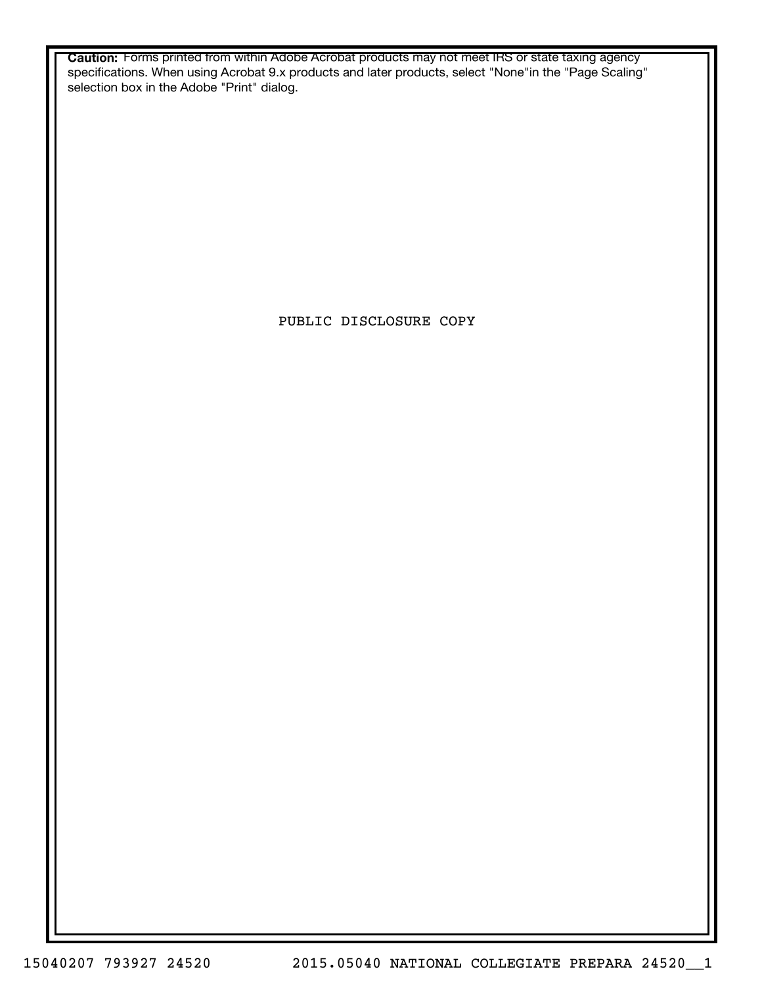**Caution:** Forms printed from within Adobe Acrobat products may not meet IRS or state taxing agency specifications. When using Acrobat 9.x products and later products, select "None"in the "Page Scaling" selection box in the Adobe "Print" dialog.

PUBLIC DISCLOSURE COPY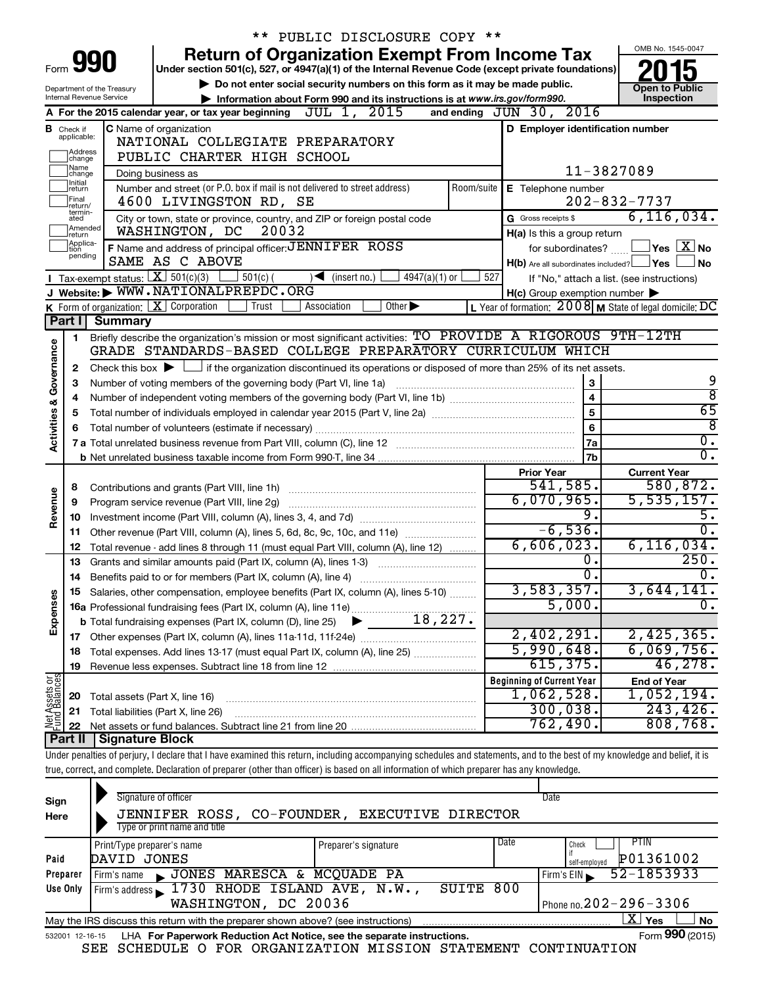|                         |                                                                                                                   |                                                      | PUBLIC DISCLOSURE COPY **                                                                                                                                                  |                                                           |                                            |  |  |  |  |
|-------------------------|-------------------------------------------------------------------------------------------------------------------|------------------------------------------------------|----------------------------------------------------------------------------------------------------------------------------------------------------------------------------|-----------------------------------------------------------|--------------------------------------------|--|--|--|--|
|                         |                                                                                                                   |                                                      | <b>Return of Organization Exempt From Income Tax</b>                                                                                                                       |                                                           | OMB No. 1545-0047                          |  |  |  |  |
|                         | 990<br>Form<br>Under section 501(c), 527, or 4947(a)(1) of the Internal Revenue Code (except private foundations) |                                                      |                                                                                                                                                                            |                                                           |                                            |  |  |  |  |
|                         |                                                                                                                   | Department of the Treasury                           | Do not enter social security numbers on this form as it may be made public.                                                                                                |                                                           | <b>Open to Public</b>                      |  |  |  |  |
|                         |                                                                                                                   | Internal Revenue Service                             | Information about Form 990 and its instructions is at www.irs.gov/form990.                                                                                                 |                                                           | Inspection                                 |  |  |  |  |
|                         |                                                                                                                   |                                                      | JUL 1, 2015<br>A For the 2015 calendar year, or tax year beginning                                                                                                         | and ending $JUN$ 30, $2016$                               |                                            |  |  |  |  |
|                         | <b>B</b> Check if<br>applicable:                                                                                  | C Name of organization                               | D Employer identification number                                                                                                                                           |                                                           |                                            |  |  |  |  |
|                         | Address                                                                                                           |                                                      | NATIONAL COLLEGIATE PREPARATORY                                                                                                                                            |                                                           |                                            |  |  |  |  |
|                         | change<br> Name                                                                                                   |                                                      | PUBLIC CHARTER HIGH SCHOOL                                                                                                                                                 |                                                           |                                            |  |  |  |  |
|                         | change<br>Initial                                                                                                 | Doing business as                                    |                                                                                                                                                                            | 11-3827089                                                |                                            |  |  |  |  |
|                         | return<br>Final                                                                                                   |                                                      | Number and street (or P.O. box if mail is not delivered to street address)<br>Room/suite<br>4600 LIVINGSTON RD, SE                                                         | E Telephone number                                        | $202 - 832 - 7737$                         |  |  |  |  |
|                         | return/<br>termin-                                                                                                |                                                      | City or town, state or province, country, and ZIP or foreign postal code                                                                                                   | G Gross receipts \$                                       | 6, 116, 034.                               |  |  |  |  |
|                         | ated<br>Amended                                                                                                   |                                                      | WASHINGTON, DC<br>20032                                                                                                                                                    | H(a) Is this a group return                               |                                            |  |  |  |  |
|                         | return<br>Applica-                                                                                                |                                                      | F Name and address of principal officer: JENNIFER ROSS                                                                                                                     | for subordinates?                                         | $\overline{\ }$ Yes $\overline{\rm X}$ No  |  |  |  |  |
|                         | tion<br>pending                                                                                                   |                                                      | SAME AS C ABOVE                                                                                                                                                            | $H(b)$ Are all subordinates included? $\Box$ Yes          | <b>No</b>                                  |  |  |  |  |
|                         |                                                                                                                   | <b>I</b> Tax-exempt status: $X \overline{301(c)(3)}$ | $\frac{1}{2}$ 501(c) (<br>$4947(a)(1)$ or<br>$\blacktriangleleft$ (insert no.)                                                                                             | 527                                                       | If "No," attach a list. (see instructions) |  |  |  |  |
|                         |                                                                                                                   |                                                      | J Website: WWW.NATIONALPREPDC.ORG                                                                                                                                          | $H(c)$ Group exemption number $\blacktriangleright$       |                                            |  |  |  |  |
|                         |                                                                                                                   |                                                      | <b>K</b> Form of organization: $\boxed{\mathbf{X}}$ Corporation<br>Trust<br>Association<br>Other $\blacktriangleright$                                                     | L Year of formation: $2008$ M State of legal domicile: DC |                                            |  |  |  |  |
|                         | Part I                                                                                                            | <b>Summary</b>                                       |                                                                                                                                                                            |                                                           |                                            |  |  |  |  |
|                         | 1                                                                                                                 |                                                      | Briefly describe the organization's mission or most significant activities: TO PROVIDE A RIGOROUS 9TH-12TH                                                                 |                                                           |                                            |  |  |  |  |
| Governance              |                                                                                                                   |                                                      | GRADE STANDARDS-BASED COLLEGE PREPARATORY CURRICULUM WHICH                                                                                                                 |                                                           |                                            |  |  |  |  |
|                         | 2                                                                                                                 |                                                      | Check this box $\blacktriangleright$ $\Box$ if the organization discontinued its operations or disposed of more than 25% of its net assets.                                |                                                           |                                            |  |  |  |  |
|                         | 3                                                                                                                 |                                                      | Number of voting members of the governing body (Part VI, line 1a)                                                                                                          | 3                                                         | 9                                          |  |  |  |  |
|                         | 4                                                                                                                 |                                                      |                                                                                                                                                                            | $\overline{4}$                                            | $\overline{\mathbf{8}}$                    |  |  |  |  |
|                         | 5                                                                                                                 |                                                      |                                                                                                                                                                            | $\overline{5}$                                            | 65                                         |  |  |  |  |
| <b>Activities &amp;</b> | 6                                                                                                                 |                                                      |                                                                                                                                                                            | 6                                                         | $\overline{8}$                             |  |  |  |  |
|                         |                                                                                                                   |                                                      |                                                                                                                                                                            | 7a                                                        | $\overline{0}$ .                           |  |  |  |  |
|                         |                                                                                                                   |                                                      |                                                                                                                                                                            | 7 <sub>b</sub>                                            | $\overline{0}$ .                           |  |  |  |  |
|                         |                                                                                                                   |                                                      |                                                                                                                                                                            | <b>Prior Year</b>                                         | <b>Current Year</b>                        |  |  |  |  |
|                         | 8                                                                                                                 |                                                      | Contributions and grants (Part VIII, line 1h)                                                                                                                              | 541,585.<br>6,070,965.                                    | 580,872.<br>5,535,157.                     |  |  |  |  |
| Revenue                 | 9                                                                                                                 |                                                      | Program service revenue (Part VIII, line 2g)                                                                                                                               | 9.                                                        | 5.                                         |  |  |  |  |
|                         | 10<br>11                                                                                                          |                                                      | Other revenue (Part VIII, column (A), lines 5, 6d, 8c, 9c, 10c, and 11e)                                                                                                   | $-6,536.$                                                 | $\overline{0}$ .                           |  |  |  |  |
|                         | 12                                                                                                                |                                                      | Total revenue - add lines 8 through 11 (must equal Part VIII, column (A), line 12)                                                                                         | 6,606,023.                                                | 6, 116, 034.                               |  |  |  |  |
|                         | 13                                                                                                                |                                                      | Grants and similar amounts paid (Part IX, column (A), lines 1-3)                                                                                                           | $\overline{0}$ .                                          | 250.                                       |  |  |  |  |
|                         | 14                                                                                                                |                                                      | Benefits paid to or for members (Part IX, column (A), line 4)                                                                                                              | σ.                                                        | $\overline{0}$ .                           |  |  |  |  |
|                         |                                                                                                                   |                                                      | 15 Salaries, other compensation, employee benefits (Part IX, column (A), lines 5-10)                                                                                       | 3,583,357.                                                | 3,644,141.                                 |  |  |  |  |
| Expenses                |                                                                                                                   |                                                      |                                                                                                                                                                            | 5,000.                                                    | $\overline{0}$ .                           |  |  |  |  |
|                         |                                                                                                                   |                                                      |                                                                                                                                                                            |                                                           |                                            |  |  |  |  |
|                         |                                                                                                                   |                                                      |                                                                                                                                                                            | 2,402,291.                                                | 2,425,365.                                 |  |  |  |  |
|                         | 18                                                                                                                |                                                      | Total expenses. Add lines 13-17 (must equal Part IX, column (A), line 25)                                                                                                  | 5,990,648.                                                | 6,069,756.                                 |  |  |  |  |
|                         | 19                                                                                                                |                                                      |                                                                                                                                                                            | 615, 375.                                                 | 46, 278.                                   |  |  |  |  |
|                         |                                                                                                                   |                                                      |                                                                                                                                                                            | <b>Beginning of Current Year</b>                          | <b>End of Year</b>                         |  |  |  |  |
|                         | 20                                                                                                                | Total assets (Part X, line 16)                       |                                                                                                                                                                            | 1,062,528.                                                | 1,052,194.                                 |  |  |  |  |
| Net Assets or           | 21                                                                                                                |                                                      | Total liabilities (Part X, line 26)                                                                                                                                        | 300,038.                                                  | 243, 426.                                  |  |  |  |  |
|                         | 22                                                                                                                |                                                      |                                                                                                                                                                            | 762,490                                                   | 808,768.                                   |  |  |  |  |
|                         | Part II                                                                                                           | <b>Signature Block</b>                               |                                                                                                                                                                            |                                                           |                                            |  |  |  |  |
|                         |                                                                                                                   |                                                      | Under penalties of perjury, I declare that I have examined this return, including accompanying schedules and statements, and to the best of my knowledge and belief, it is |                                                           |                                            |  |  |  |  |
|                         |                                                                                                                   |                                                      | true, correct, and complete. Declaration of preparer (other than officer) is based on all information of which preparer has any knowledge.                                 |                                                           |                                            |  |  |  |  |
|                         |                                                                                                                   |                                                      | Signature of officer                                                                                                                                                       | Date                                                      |                                            |  |  |  |  |
| Sign                    |                                                                                                                   |                                                      |                                                                                                                                                                            |                                                           |                                            |  |  |  |  |

| Here                                                                                                         | JENNIFER ROSS,                                                                                               | CO-FOUNDER, EXECUTIVE DIRECTOR |                          |                            |  |  |  |  |  |
|--------------------------------------------------------------------------------------------------------------|--------------------------------------------------------------------------------------------------------------|--------------------------------|--------------------------|----------------------------|--|--|--|--|--|
|                                                                                                              | Type or print name and title                                                                                 |                                |                          |                            |  |  |  |  |  |
|                                                                                                              | Print/Type preparer's name                                                                                   | Preparer's signature           | Date                     | PTIN<br>Check              |  |  |  |  |  |
| Paid                                                                                                         | DAVID JONES                                                                                                  |                                |                          | P01361002<br>self-employed |  |  |  |  |  |
| Preparer                                                                                                     | JONES MARESCA & MCQUADE PA<br>Firm's name                                                                    |                                | 52-1853933<br>Firm's EIN |                            |  |  |  |  |  |
| Use Only                                                                                                     | Firm's address 1730 RHODE ISLAND AVE, N.W.,<br>800<br>SUITE                                                  |                                |                          |                            |  |  |  |  |  |
|                                                                                                              | Phone no. $202 - 296 - 3306$<br>WASHINGTON, DC 20036                                                         |                                |                          |                            |  |  |  |  |  |
| X  <br><b>No</b><br>Yes<br>May the IRS discuss this return with the preparer shown above? (see instructions) |                                                                                                              |                                |                          |                            |  |  |  |  |  |
|                                                                                                              | Form 990 (2015)<br>LHA For Paperwork Reduction Act Notice, see the separate instructions.<br>532001 12-16-15 |                                |                          |                            |  |  |  |  |  |

SEE SCHEDULE O FOR ORGANIZATION MISSION STATEMENT CONTINUATION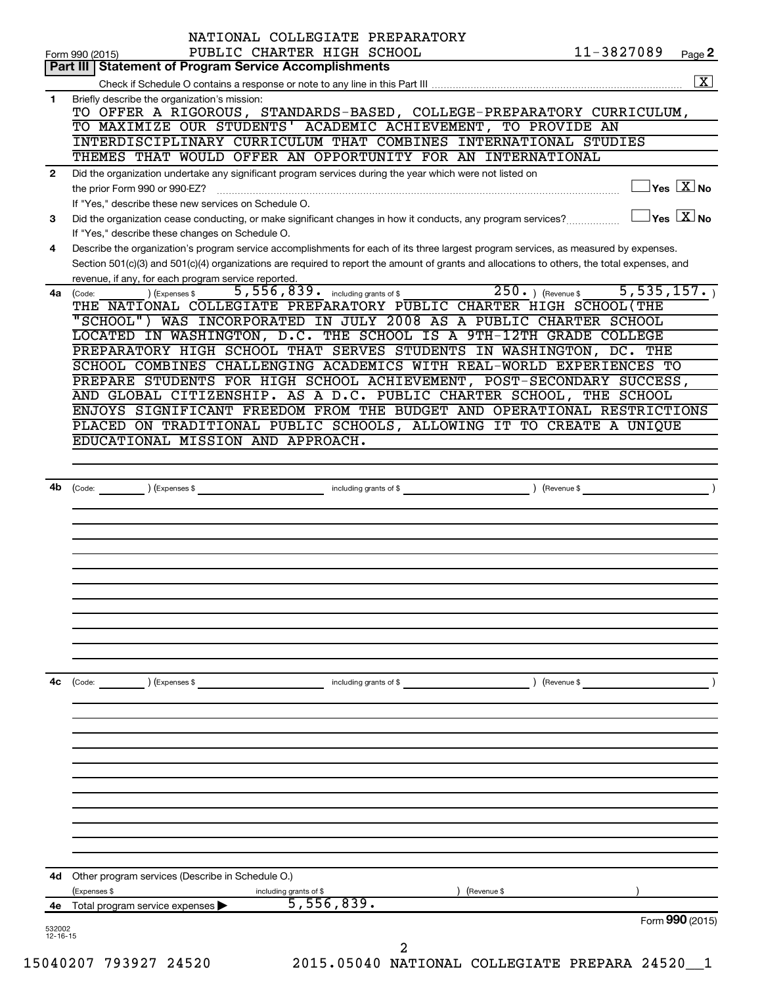|                | Form 990 (2015)                                                                                              | NATIONAL COLLEGIATE PREPARATORY<br>PUBLIC CHARTER HIGH SCHOOL | 11-3827089                                                                                                                                   | Page 2             |
|----------------|--------------------------------------------------------------------------------------------------------------|---------------------------------------------------------------|----------------------------------------------------------------------------------------------------------------------------------------------|--------------------|
|                | Part III   Statement of Program Service Accomplishments                                                      |                                                               |                                                                                                                                              |                    |
|                |                                                                                                              |                                                               |                                                                                                                                              | $\boxed{\text{X}}$ |
| 1.             | Briefly describe the organization's mission:                                                                 |                                                               |                                                                                                                                              |                    |
|                |                                                                                                              |                                                               | TO OFFER A RIGOROUS, STANDARDS-BASED, COLLEGE-PREPARATORY CURRICULUM,                                                                        |                    |
|                | TO MAXIMIZE OUR STUDENTS' ACADEMIC ACHIEVEMENT, TO PROVIDE AN                                                |                                                               |                                                                                                                                              |                    |
|                |                                                                                                              |                                                               | INTERDISCIPLINARY CURRICULUM THAT COMBINES INTERNATIONAL STUDIES                                                                             |                    |
|                | THEMES THAT WOULD OFFER AN OPPORTUNITY FOR AN INTERNATIONAL                                                  |                                                               |                                                                                                                                              |                    |
| $\mathbf{2}$   | Did the organization undertake any significant program services during the year which were not listed on     |                                                               |                                                                                                                                              |                    |
|                |                                                                                                              |                                                               | $\Box$ Yes $~\boxed{\text{X}}$ No                                                                                                            |                    |
|                | If "Yes," describe these new services on Schedule O.                                                         |                                                               |                                                                                                                                              |                    |
| 3              | Did the organization cease conducting, or make significant changes in how it conducts, any program services? |                                                               | $\Box$ Yes $\boxed{\text{X}}$ No                                                                                                             |                    |
|                | If "Yes," describe these changes on Schedule O.                                                              |                                                               |                                                                                                                                              |                    |
| 4              |                                                                                                              |                                                               | Describe the organization's program service accomplishments for each of its three largest program services, as measured by expenses.         |                    |
|                |                                                                                                              |                                                               | Section 501(c)(3) and 501(c)(4) organizations are required to report the amount of grants and allocations to others, the total expenses, and |                    |
|                | revenue, if any, for each program service reported.<br>(Expenses \$                                          | 5,556,839. including grants of \$                             | $\overline{250.}$ (Revenue \$ 5,535,157.)                                                                                                    |                    |
|                | 4a (Code:                                                                                                    |                                                               | THE NATIONAL COLLEGIATE PREPARATORY PUBLIC CHARTER HIGH SCHOOL (THE                                                                          |                    |
|                |                                                                                                              |                                                               | "SCHOOL") WAS INCORPORATED IN JULY 2008 AS A PUBLIC CHARTER SCHOOL                                                                           |                    |
|                |                                                                                                              |                                                               | LOCATED IN WASHINGTON, D.C. THE SCHOOL IS A 9TH-12TH GRADE COLLEGE                                                                           |                    |
|                |                                                                                                              |                                                               | PREPARATORY HIGH SCHOOL THAT SERVES STUDENTS IN WASHINGTON, DC. THE                                                                          |                    |
|                |                                                                                                              |                                                               | SCHOOL COMBINES CHALLENGING ACADEMICS WITH REAL-WORLD EXPERIENCES TO                                                                         |                    |
|                |                                                                                                              |                                                               | PREPARE STUDENTS FOR HIGH SCHOOL ACHIEVEMENT, POST-SECONDARY SUCCESS,                                                                        |                    |
|                |                                                                                                              |                                                               | AND GLOBAL CITIZENSHIP. AS A D.C. PUBLIC CHARTER SCHOOL, THE SCHOOL                                                                          |                    |
|                |                                                                                                              |                                                               | ENJOYS SIGNIFICANT FREEDOM FROM THE BUDGET AND OPERATIONAL RESTRICTIONS                                                                      |                    |
|                |                                                                                                              |                                                               | PLACED ON TRADITIONAL PUBLIC SCHOOLS, ALLOWING IT TO CREATE A UNIQUE                                                                         |                    |
|                | EDUCATIONAL MISSION AND APPROACH.                                                                            |                                                               |                                                                                                                                              |                    |
|                |                                                                                                              |                                                               |                                                                                                                                              |                    |
|                |                                                                                                              |                                                               |                                                                                                                                              |                    |
| 4b             |                                                                                                              |                                                               |                                                                                                                                              |                    |
|                |                                                                                                              |                                                               |                                                                                                                                              |                    |
|                |                                                                                                              |                                                               |                                                                                                                                              |                    |
|                |                                                                                                              |                                                               |                                                                                                                                              |                    |
|                |                                                                                                              |                                                               |                                                                                                                                              |                    |
|                |                                                                                                              |                                                               |                                                                                                                                              |                    |
|                |                                                                                                              |                                                               |                                                                                                                                              |                    |
|                |                                                                                                              |                                                               |                                                                                                                                              |                    |
|                |                                                                                                              |                                                               |                                                                                                                                              |                    |
|                |                                                                                                              |                                                               |                                                                                                                                              |                    |
|                |                                                                                                              |                                                               |                                                                                                                                              |                    |
|                |                                                                                                              |                                                               |                                                                                                                                              |                    |
|                |                                                                                                              |                                                               |                                                                                                                                              |                    |
| 4c             | (Expenses \$<br>(Code:                                                                                       | including grants of \$                                        | ) (Revenue \$                                                                                                                                |                    |
|                |                                                                                                              |                                                               |                                                                                                                                              |                    |
|                |                                                                                                              |                                                               |                                                                                                                                              |                    |
|                |                                                                                                              |                                                               |                                                                                                                                              |                    |
|                |                                                                                                              |                                                               |                                                                                                                                              |                    |
|                |                                                                                                              |                                                               |                                                                                                                                              |                    |
|                |                                                                                                              |                                                               |                                                                                                                                              |                    |
|                |                                                                                                              |                                                               |                                                                                                                                              |                    |
|                |                                                                                                              |                                                               |                                                                                                                                              |                    |
|                |                                                                                                              |                                                               |                                                                                                                                              |                    |
|                |                                                                                                              |                                                               |                                                                                                                                              |                    |
|                |                                                                                                              |                                                               |                                                                                                                                              |                    |
|                |                                                                                                              |                                                               |                                                                                                                                              |                    |
|                | Other program services (Describe in Schedule O.)                                                             |                                                               |                                                                                                                                              |                    |
|                |                                                                                                              | including grants of \$                                        | (Revenue \$                                                                                                                                  |                    |
| 4d             | (Expenses \$                                                                                                 |                                                               |                                                                                                                                              |                    |
| 4е —           | Total program service expenses >                                                                             | 5,556,839.                                                    |                                                                                                                                              |                    |
| 532002         |                                                                                                              |                                                               | Form 990 (2015)                                                                                                                              |                    |
| $12 - 16 - 15$ |                                                                                                              | 2                                                             |                                                                                                                                              |                    |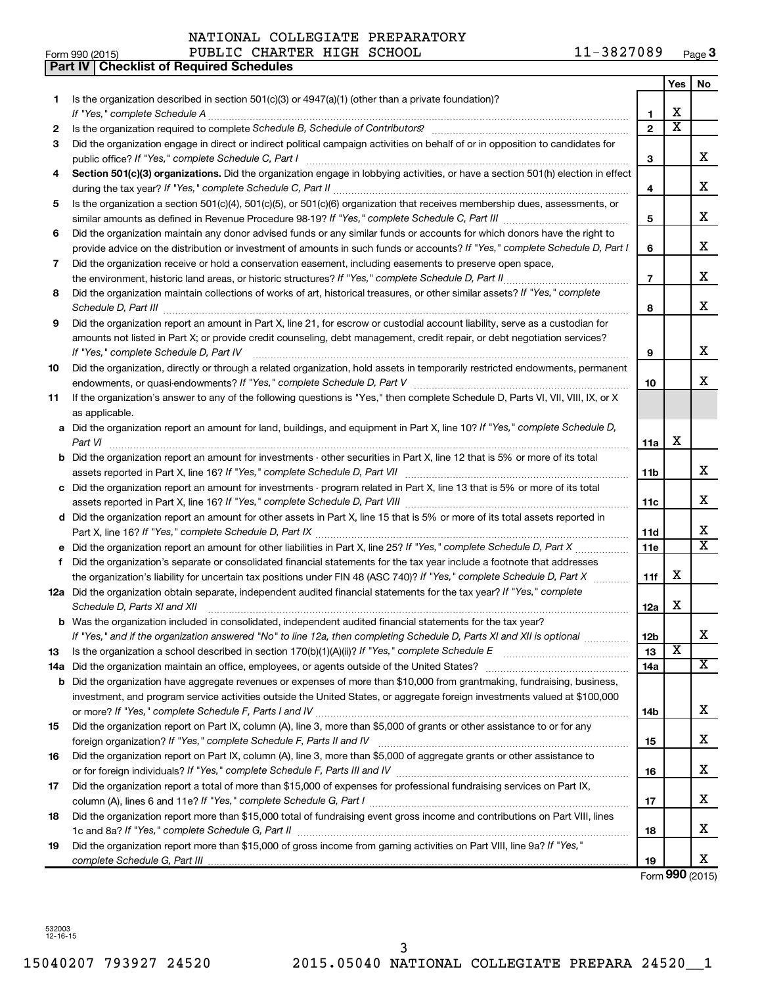|    | Part IV   Checklist of Required Schedules                                                                                                                                                                                           |                 |                         |                         |
|----|-------------------------------------------------------------------------------------------------------------------------------------------------------------------------------------------------------------------------------------|-----------------|-------------------------|-------------------------|
|    |                                                                                                                                                                                                                                     |                 | Yes                     | No                      |
| 1. | Is the organization described in section 501(c)(3) or $4947(a)(1)$ (other than a private foundation)?                                                                                                                               |                 |                         |                         |
|    |                                                                                                                                                                                                                                     | 1               | х                       |                         |
| 2  |                                                                                                                                                                                                                                     | $\overline{2}$  | $\overline{\textbf{x}}$ |                         |
| З  | Did the organization engage in direct or indirect political campaign activities on behalf of or in opposition to candidates for                                                                                                     |                 |                         |                         |
|    |                                                                                                                                                                                                                                     | 3               |                         | x                       |
| 4  | Section 501(c)(3) organizations. Did the organization engage in lobbying activities, or have a section 501(h) election in effect                                                                                                    |                 |                         |                         |
|    |                                                                                                                                                                                                                                     | 4               |                         | x                       |
| 5  | Is the organization a section 501(c)(4), 501(c)(5), or 501(c)(6) organization that receives membership dues, assessments, or                                                                                                        |                 |                         |                         |
|    |                                                                                                                                                                                                                                     | 5               |                         | x                       |
| 6  | Did the organization maintain any donor advised funds or any similar funds or accounts for which donors have the right to                                                                                                           |                 |                         |                         |
|    | provide advice on the distribution or investment of amounts in such funds or accounts? If "Yes," complete Schedule D, Part I                                                                                                        | 6               |                         | x                       |
| 7  | Did the organization receive or hold a conservation easement, including easements to preserve open space,                                                                                                                           |                 |                         |                         |
|    | the environment, historic land areas, or historic structures? If "Yes," complete Schedule D, Part II                                                                                                                                | $\overline{7}$  |                         | x                       |
|    |                                                                                                                                                                                                                                     |                 |                         |                         |
| 8  | Did the organization maintain collections of works of art, historical treasures, or other similar assets? If "Yes," complete                                                                                                        |                 |                         | x                       |
|    |                                                                                                                                                                                                                                     | 8               |                         |                         |
| 9  | Did the organization report an amount in Part X, line 21, for escrow or custodial account liability, serve as a custodian for                                                                                                       |                 |                         |                         |
|    | amounts not listed in Part X; or provide credit counseling, debt management, credit repair, or debt negotiation services?                                                                                                           |                 |                         | x                       |
|    | If "Yes," complete Schedule D, Part IV                                                                                                                                                                                              | 9               |                         |                         |
| 10 | Did the organization, directly or through a related organization, hold assets in temporarily restricted endowments, permanent                                                                                                       |                 |                         | x                       |
|    |                                                                                                                                                                                                                                     | 10              |                         |                         |
| 11 | If the organization's answer to any of the following questions is "Yes," then complete Schedule D, Parts VI, VII, VIII, IX, or X                                                                                                    |                 |                         |                         |
|    | as applicable.                                                                                                                                                                                                                      |                 |                         |                         |
|    | a Did the organization report an amount for land, buildings, and equipment in Part X, line 10? If "Yes," complete Schedule D,                                                                                                       |                 |                         |                         |
|    | Part VI                                                                                                                                                                                                                             | 11a             | х                       |                         |
|    | <b>b</b> Did the organization report an amount for investments - other securities in Part X, line 12 that is 5% or more of its total                                                                                                |                 |                         |                         |
|    |                                                                                                                                                                                                                                     | 11 <sub>b</sub> |                         | х                       |
|    | c Did the organization report an amount for investments - program related in Part X, line 13 that is 5% or more of its total                                                                                                        |                 |                         |                         |
|    |                                                                                                                                                                                                                                     | 11c             |                         | х                       |
|    | d Did the organization report an amount for other assets in Part X, line 15 that is 5% or more of its total assets reported in                                                                                                      |                 |                         |                         |
|    |                                                                                                                                                                                                                                     | 11d             |                         | х                       |
|    | e Did the organization report an amount for other liabilities in Part X, line 25? If "Yes," complete Schedule D, Part X                                                                                                             | 11e             |                         | $\overline{\texttt{x}}$ |
| f  | Did the organization's separate or consolidated financial statements for the tax year include a footnote that addresses                                                                                                             |                 |                         |                         |
|    | the organization's liability for uncertain tax positions under FIN 48 (ASC 740)? If "Yes," complete Schedule D, Part X                                                                                                              | 11f             | х                       |                         |
|    | 12a Did the organization obtain separate, independent audited financial statements for the tax year? If "Yes," complete                                                                                                             |                 |                         |                         |
|    | Schedule D, Parts XI and XII <b>continuum continuum continuum continuum continuum continuum continuum continuum</b> continuum continuum continuum continuum continuum continuum continuum continuum continuum continuum continuum c | 12a             | х                       |                         |
|    | b Was the organization included in consolidated, independent audited financial statements for the tax year?                                                                                                                         |                 |                         |                         |
|    | If "Yes," and if the organization answered "No" to line 12a, then completing Schedule D, Parts XI and XII is optional                                                                                                               | 12 <sub>b</sub> |                         | х                       |
| 13 |                                                                                                                                                                                                                                     | 13              | $\overline{\textbf{x}}$ |                         |
|    | 14a Did the organization maintain an office, employees, or agents outside of the United States?                                                                                                                                     | 14a             |                         | $\overline{\texttt{X}}$ |
|    | <b>b</b> Did the organization have aggregate revenues or expenses of more than \$10,000 from grantmaking, fundraising, business,                                                                                                    |                 |                         |                         |
|    | investment, and program service activities outside the United States, or aggregate foreign investments valued at \$100,000                                                                                                          |                 |                         |                         |
|    |                                                                                                                                                                                                                                     | 14 <sub>b</sub> |                         | x                       |
| 15 | Did the organization report on Part IX, column (A), line 3, more than \$5,000 of grants or other assistance to or for any                                                                                                           |                 |                         |                         |
|    |                                                                                                                                                                                                                                     | 15              |                         | x                       |
| 16 | Did the organization report on Part IX, column (A), line 3, more than \$5,000 of aggregate grants or other assistance to                                                                                                            |                 |                         |                         |
|    |                                                                                                                                                                                                                                     | 16              |                         | x                       |
| 17 | Did the organization report a total of more than \$15,000 of expenses for professional fundraising services on Part IX,                                                                                                             |                 |                         |                         |
|    |                                                                                                                                                                                                                                     | 17              |                         | x                       |
| 18 | Did the organization report more than \$15,000 total of fundraising event gross income and contributions on Part VIII, lines                                                                                                        |                 |                         |                         |
|    |                                                                                                                                                                                                                                     | 18              |                         | x                       |
| 19 | Did the organization report more than \$15,000 of gross income from gaming activities on Part VIII, line 9a? If "Yes,"                                                                                                              |                 |                         |                         |
|    |                                                                                                                                                                                                                                     | 19              |                         | x                       |

Form **990** (2015)

532003 12-16-15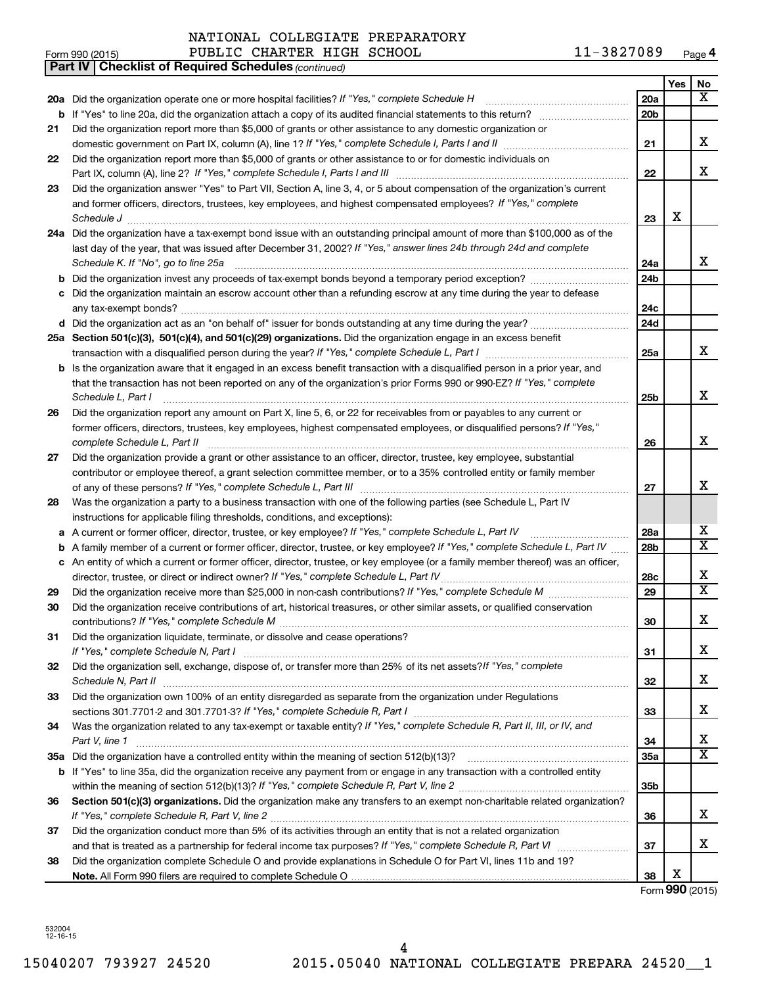|    | PUBLIC CHARTER HIGH SCHOOL<br>Form 990 (2015)                                                                                                                                                                                           | 11-3827089             |     | Page 4                  |
|----|-----------------------------------------------------------------------------------------------------------------------------------------------------------------------------------------------------------------------------------------|------------------------|-----|-------------------------|
|    | <b>Checklist of Required Schedules (continued)</b><br><b>Part IV I</b>                                                                                                                                                                  |                        |     |                         |
|    |                                                                                                                                                                                                                                         |                        | Yes | No                      |
|    | 20a Did the organization operate one or more hospital facilities? If "Yes," complete Schedule H                                                                                                                                         | 20a                    |     | x                       |
|    | <b>b</b> If "Yes" to line 20a, did the organization attach a copy of its audited financial statements to this return?                                                                                                                   | 20 <sub>b</sub>        |     |                         |
| 21 | Did the organization report more than \$5,000 of grants or other assistance to any domestic organization or                                                                                                                             |                        |     |                         |
|    |                                                                                                                                                                                                                                         | 21                     |     | х                       |
| 22 | Did the organization report more than \$5,000 of grants or other assistance to or for domestic individuals on                                                                                                                           |                        |     |                         |
|    | Part IX, column (A), line 2? If "Yes," complete Schedule I, Parts I and III [11]] [11]] [11] [11] [11] [11] [1                                                                                                                          | 22                     |     | x                       |
| 23 | Did the organization answer "Yes" to Part VII, Section A, line 3, 4, or 5 about compensation of the organization's current                                                                                                              |                        |     |                         |
|    | and former officers, directors, trustees, key employees, and highest compensated employees? If "Yes," complete                                                                                                                          |                        |     |                         |
|    | Schedule J                                                                                                                                                                                                                              | 23                     | х   |                         |
|    | 24a Did the organization have a tax-exempt bond issue with an outstanding principal amount of more than \$100,000 as of the                                                                                                             |                        |     |                         |
|    | last day of the year, that was issued after December 31, 2002? If "Yes," answer lines 24b through 24d and complete                                                                                                                      |                        |     |                         |
|    | Schedule K. If "No", go to line 25a                                                                                                                                                                                                     | 24a                    |     | x                       |
|    | <b>b</b> Did the organization invest any proceeds of tax-exempt bonds beyond a temporary period exception?                                                                                                                              | 24b                    |     |                         |
| с  | Did the organization maintain an escrow account other than a refunding escrow at any time during the year to defease                                                                                                                    |                        |     |                         |
|    |                                                                                                                                                                                                                                         | 24c                    |     |                         |
|    |                                                                                                                                                                                                                                         | 24d                    |     |                         |
|    | 25a Section 501(c)(3), 501(c)(4), and 501(c)(29) organizations. Did the organization engage in an excess benefit                                                                                                                        |                        |     |                         |
|    |                                                                                                                                                                                                                                         | 25a                    |     | x                       |
|    | <b>b</b> Is the organization aware that it engaged in an excess benefit transaction with a disqualified person in a prior year, and                                                                                                     |                        |     |                         |
|    | that the transaction has not been reported on any of the organization's prior Forms 990 or 990-EZ? If "Yes," complete                                                                                                                   |                        |     |                         |
|    | Schedule L, Part I                                                                                                                                                                                                                      | 25b                    |     | x                       |
| 26 | Did the organization report any amount on Part X, line 5, 6, or 22 for receivables from or payables to any current or                                                                                                                   |                        |     |                         |
|    | former officers, directors, trustees, key employees, highest compensated employees, or disqualified persons? If "Yes,"                                                                                                                  |                        |     |                         |
|    | complete Schedule L, Part II                                                                                                                                                                                                            | 26                     |     | x                       |
| 27 | Did the organization provide a grant or other assistance to an officer, director, trustee, key employee, substantial                                                                                                                    |                        |     |                         |
|    | contributor or employee thereof, a grant selection committee member, or to a 35% controlled entity or family member                                                                                                                     |                        |     | x                       |
|    |                                                                                                                                                                                                                                         | 27                     |     |                         |
| 28 | Was the organization a party to a business transaction with one of the following parties (see Schedule L, Part IV                                                                                                                       |                        |     |                         |
|    | instructions for applicable filing thresholds, conditions, and exceptions):                                                                                                                                                             |                        |     | х                       |
|    | a A current or former officer, director, trustee, or key employee? If "Yes," complete Schedule L, Part IV<br>A family member of a current or former officer, director, trustee, or key employee? If "Yes," complete Schedule L, Part IV | 28a<br>28 <sub>b</sub> |     | X                       |
| b  | c An entity of which a current or former officer, director, trustee, or key employee (or a family member thereof) was an officer,                                                                                                       |                        |     |                         |
|    | director, trustee, or direct or indirect owner? If "Yes," complete Schedule L, Part IV.                                                                                                                                                 | 28c                    |     | х                       |
| 29 |                                                                                                                                                                                                                                         | 29                     |     | $\overline{\textbf{X}}$ |
|    | Did the organization receive contributions of art, historical treasures, or other similar assets, or qualified conservation                                                                                                             |                        |     |                         |
|    |                                                                                                                                                                                                                                         | 30                     |     | х                       |
| 31 | Did the organization liquidate, terminate, or dissolve and cease operations?                                                                                                                                                            |                        |     |                         |
|    |                                                                                                                                                                                                                                         | 31                     |     | х                       |
| 32 | Did the organization sell, exchange, dispose of, or transfer more than 25% of its net assets? If "Yes," complete                                                                                                                        |                        |     |                         |
|    |                                                                                                                                                                                                                                         | 32                     |     | х                       |
| 33 | Did the organization own 100% of an entity disregarded as separate from the organization under Regulations                                                                                                                              |                        |     |                         |
|    |                                                                                                                                                                                                                                         | 33                     |     | х                       |
| 34 | Was the organization related to any tax-exempt or taxable entity? If "Yes," complete Schedule R, Part II, III, or IV, and                                                                                                               |                        |     |                         |
|    | Part V, line 1                                                                                                                                                                                                                          | 34                     |     | х                       |
|    |                                                                                                                                                                                                                                         | 35a                    |     | X                       |
|    | b If "Yes" to line 35a, did the organization receive any payment from or engage in any transaction with a controlled entity                                                                                                             |                        |     |                         |
|    |                                                                                                                                                                                                                                         | 35 <sub>b</sub>        |     |                         |
| 36 | Section 501(c)(3) organizations. Did the organization make any transfers to an exempt non-charitable related organization?                                                                                                              |                        |     |                         |
|    |                                                                                                                                                                                                                                         | 36                     |     | x                       |
| 37 | Did the organization conduct more than 5% of its activities through an entity that is not a related organization                                                                                                                        |                        |     |                         |
|    |                                                                                                                                                                                                                                         | 37                     |     | х                       |
| 38 | Did the organization complete Schedule O and provide explanations in Schedule O for Part VI, lines 11b and 19?                                                                                                                          |                        |     |                         |
|    |                                                                                                                                                                                                                                         | 38                     | х   |                         |
|    |                                                                                                                                                                                                                                         |                        |     | Form 990 (2015)         |

532004 12-16-15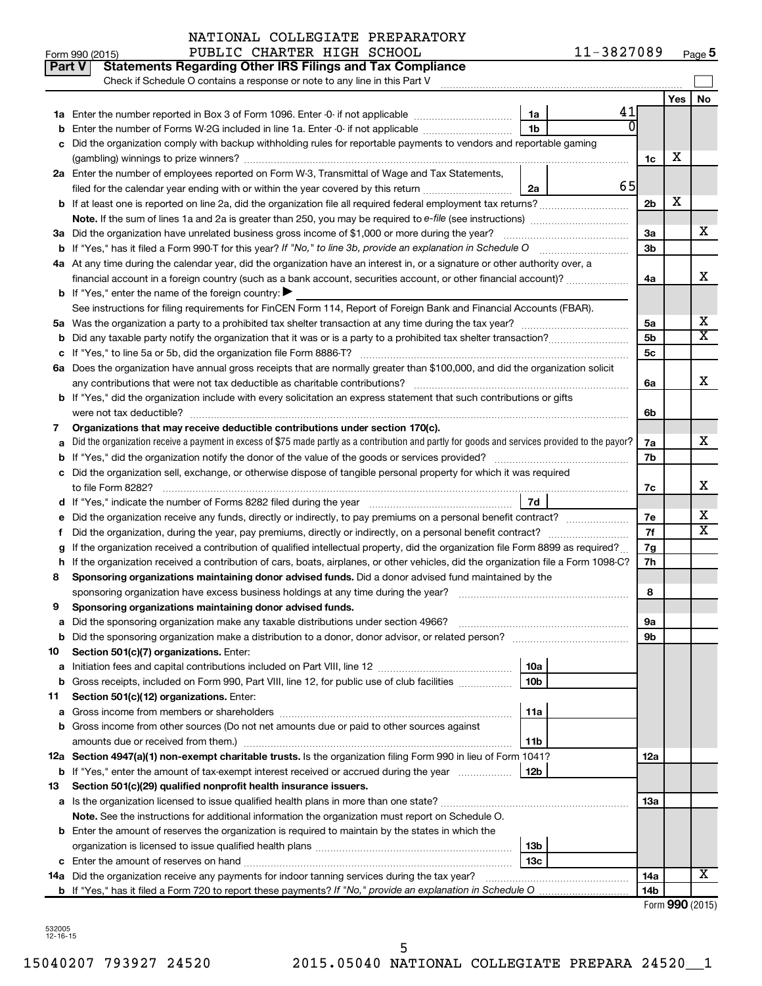|         | Part V<br><b>Statements Regarding Other IRS Filings and Tax Compliance</b><br>Check if Schedule O contains a response or note to any line in this Part V |                 |     |           |
|---------|----------------------------------------------------------------------------------------------------------------------------------------------------------|-----------------|-----|-----------|
|         |                                                                                                                                                          |                 | Yes | <b>No</b> |
|         | 1a                                                                                                                                                       | 41              |     |           |
|         | 1 <sub>b</sub><br>Enter the number of Forms W-2G included in line 1a. Enter -0- if not applicable                                                        |                 |     |           |
|         | Did the organization comply with backup withholding rules for reportable payments to vendors and reportable gaming                                       |                 |     |           |
|         |                                                                                                                                                          | 1c              | х   |           |
|         | 2a Enter the number of employees reported on Form W-3, Transmittal of Wage and Tax Statements,                                                           |                 |     |           |
|         | filed for the calendar year ending with or within the year covered by this return<br>2a                                                                  | 65              |     |           |
|         |                                                                                                                                                          | 2b              | х   |           |
|         |                                                                                                                                                          |                 |     |           |
|         | 3a Did the organization have unrelated business gross income of \$1,000 or more during the year?                                                         | За              |     | x         |
|         | <b>b</b> If "Yes," has it filed a Form 990-T for this year? If "No," to line 3b, provide an explanation in Schedule O                                    | 3b              |     |           |
|         | 4a At any time during the calendar year, did the organization have an interest in, or a signature or other authority over, a                             |                 |     |           |
|         | financial account in a foreign country (such as a bank account, securities account, or other financial account)?                                         | 4a              |     | x         |
|         | <b>b</b> If "Yes," enter the name of the foreign country: $\blacktriangleright$                                                                          |                 |     |           |
|         | See instructions for filing requirements for FinCEN Form 114, Report of Foreign Bank and Financial Accounts (FBAR).                                      |                 |     |           |
|         |                                                                                                                                                          | 5a              |     | х         |
|         |                                                                                                                                                          | 5b              |     | X         |
|         |                                                                                                                                                          | 5с              |     |           |
|         | 6a Does the organization have annual gross receipts that are normally greater than \$100,000, and did the organization solicit                           |                 |     |           |
|         |                                                                                                                                                          | 6a              |     | X         |
|         | b If "Yes," did the organization include with every solicitation an express statement that such contributions or gifts                                   |                 |     |           |
|         | were not tax deductible?                                                                                                                                 | 6b              |     |           |
| 7       | Organizations that may receive deductible contributions under section 170(c).                                                                            |                 |     |           |
|         | Did the organization receive a payment in excess of \$75 made partly as a contribution and partly for goods and services provided to the payor?          | 7a              |     | X         |
|         |                                                                                                                                                          | 7b              |     |           |
| с       | Did the organization sell, exchange, or otherwise dispose of tangible personal property for which it was required                                        |                 |     |           |
|         |                                                                                                                                                          | 7c              |     | X         |
|         | 7d                                                                                                                                                       |                 |     |           |
|         |                                                                                                                                                          | 7е              |     | х         |
| t       | Did the organization, during the year, pay premiums, directly or indirectly, on a personal benefit contract?                                             | 7f              |     | X         |
|         | If the organization received a contribution of qualified intellectual property, did the organization file Form 8899 as required?                         | 7g              |     |           |
| h       | If the organization received a contribution of cars, boats, airplanes, or other vehicles, did the organization file a Form 1098-C?                       | 7h              |     |           |
| 8       | Sponsoring organizations maintaining donor advised funds. Did a donor advised fund maintained by the                                                     |                 |     |           |
|         |                                                                                                                                                          | 8               |     |           |
| 9       | Sponsoring organizations maintaining donor advised funds.                                                                                                |                 |     |           |
|         |                                                                                                                                                          | υа              |     |           |
|         | <b>b</b> Did the sponsoring organization make a distribution to a donor, donor advisor, or related person?                                               | 9b              |     |           |
| 10<br>а | Section 501(c)(7) organizations. Enter:<br>10a                                                                                                           |                 |     |           |
|         | 10 <sub>b</sub><br>b Gross receipts, included on Form 990, Part VIII, line 12, for public use of club facilities                                         |                 |     |           |
| 11      | Section 501(c)(12) organizations. Enter:                                                                                                                 |                 |     |           |
| а       | 11a                                                                                                                                                      |                 |     |           |
|         | b Gross income from other sources (Do not net amounts due or paid to other sources against                                                               |                 |     |           |
|         | amounts due or received from them.)<br>11b                                                                                                               |                 |     |           |
|         | 12a Section 4947(a)(1) non-exempt charitable trusts. Is the organization filing Form 990 in lieu of Form 1041?                                           | 12a             |     |           |
|         | b If "Yes," enter the amount of tax-exempt interest received or accrued during the year<br>12b                                                           |                 |     |           |
| 13      | Section 501(c)(29) qualified nonprofit health insurance issuers.                                                                                         |                 |     |           |
|         | a Is the organization licensed to issue qualified health plans in more than one state?                                                                   | 13a             |     |           |
|         | Note. See the instructions for additional information the organization must report on Schedule O.                                                        |                 |     |           |
|         | <b>b</b> Enter the amount of reserves the organization is required to maintain by the states in which the                                                |                 |     |           |
|         | 13 <sub>b</sub>                                                                                                                                          |                 |     |           |
|         | 13 <sub>c</sub>                                                                                                                                          |                 |     |           |
|         | 14a Did the organization receive any payments for indoor tanning services during the tax year?                                                           | 14a             |     | x.        |
|         |                                                                                                                                                          | 14 <sub>b</sub> |     |           |
|         |                                                                                                                                                          |                 |     |           |

| Form 990 (2015) |  |
|-----------------|--|
|-----------------|--|

532005 12-16-15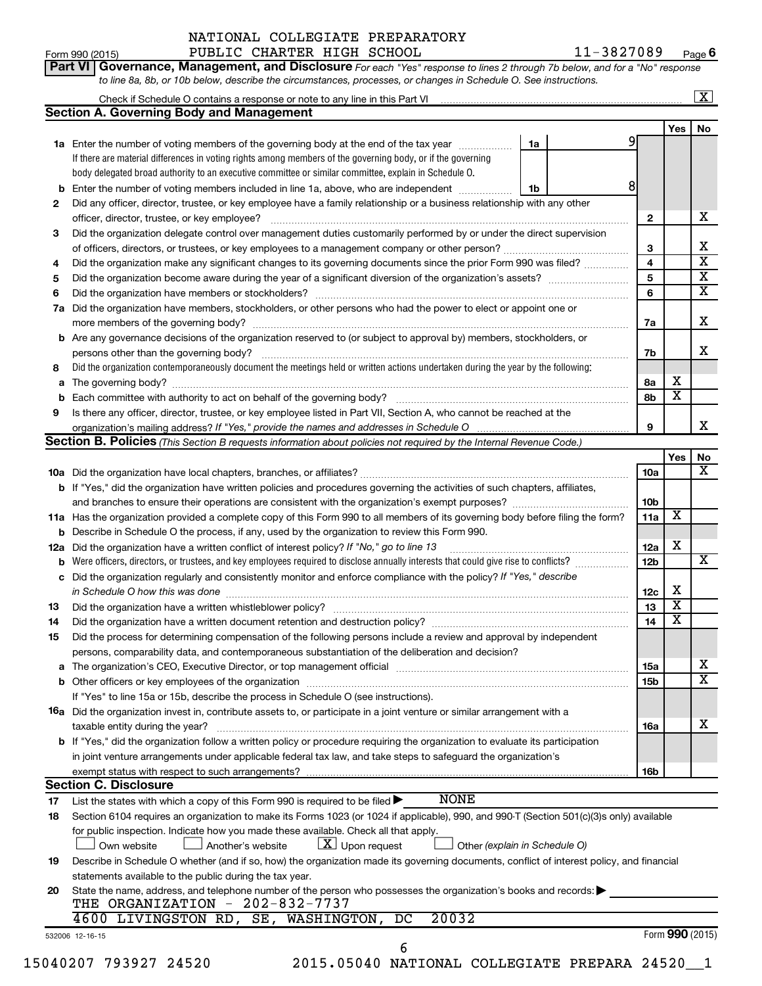|    | to line 8a, 8b, or 10b below, describe the circumstances, processes, or changes in Schedule O. See instructions.                                   |              |                         |                         |
|----|----------------------------------------------------------------------------------------------------------------------------------------------------|--------------|-------------------------|-------------------------|
|    |                                                                                                                                                    |              |                         | $\overline{\mathbf{X}}$ |
|    | <b>Section A. Governing Body and Management</b>                                                                                                    |              |                         |                         |
|    |                                                                                                                                                    |              | Yes                     | No                      |
|    | 1a Enter the number of voting members of the governing body at the end of the tax year<br>1a                                                       |              |                         |                         |
|    | If there are material differences in voting rights among members of the governing body, or if the governing                                        |              |                         |                         |
|    | body delegated broad authority to an executive committee or similar committee, explain in Schedule O.                                              |              |                         |                         |
|    | 8<br><b>b</b> Enter the number of voting members included in line 1a, above, who are independent <i>manumum</i><br>1b                              |              |                         |                         |
| 2  | Did any officer, director, trustee, or key employee have a family relationship or a business relationship with any other                           |              |                         |                         |
|    | officer, director, trustee, or key employee?                                                                                                       | $\mathbf{2}$ |                         | x                       |
| 3  | Did the organization delegate control over management duties customarily performed by or under the direct supervision                              |              |                         |                         |
|    |                                                                                                                                                    | 3            |                         | х                       |
| 4  | Did the organization make any significant changes to its governing documents since the prior Form 990 was filed?                                   | 4            |                         | $\overline{\textbf{x}}$ |
| 5  |                                                                                                                                                    | 5            |                         | $\overline{\mathbf{x}}$ |
| 6  |                                                                                                                                                    | 6            |                         | $\overline{\mathbf{X}}$ |
|    | 7a Did the organization have members, stockholders, or other persons who had the power to elect or appoint one or                                  |              |                         |                         |
|    |                                                                                                                                                    | 7a           |                         | х                       |
|    | <b>b</b> Are any governance decisions of the organization reserved to (or subject to approval by) members, stockholders, or                        |              |                         |                         |
|    | persons other than the governing body?                                                                                                             | 7b           |                         | х                       |
| 8  | Did the organization contemporaneously document the meetings held or written actions undertaken during the year by the following:                  |              |                         |                         |
| a  |                                                                                                                                                    | 8a           | х                       |                         |
|    |                                                                                                                                                    | 8b           | $\overline{\mathbf{x}}$ |                         |
| 9  | Is there any officer, director, trustee, or key employee listed in Part VII, Section A, who cannot be reached at the                               |              |                         |                         |
|    |                                                                                                                                                    | 9            |                         | х                       |
|    | <b>Section B. Policies</b> (This Section B requests information about policies not required by the Internal Revenue Code.)                         |              |                         |                         |
|    |                                                                                                                                                    |              | <b>Yes</b>              | No                      |
|    |                                                                                                                                                    | <b>10a</b>   |                         | X                       |
|    | <b>b</b> If "Yes," did the organization have written policies and procedures governing the activities of such chapters, affiliates,                |              |                         |                         |
|    |                                                                                                                                                    | 10b          |                         |                         |
|    | 11a Has the organization provided a complete copy of this Form 990 to all members of its governing body before filing the form?                    | 11a          | X                       |                         |
|    | <b>b</b> Describe in Schedule O the process, if any, used by the organization to review this Form 990.                                             |              |                         |                         |
|    | 12a Did the organization have a written conflict of interest policy? If "No," go to line 13                                                        | 12a          | х                       |                         |
|    | <b>b</b> Were officers, directors, or trustees, and key employees required to disclose annually interests that could give rise to conflicts?       | 12b          |                         | X                       |
|    | c Did the organization regularly and consistently monitor and enforce compliance with the policy? If "Yes," describe                               |              |                         |                         |
|    | in Schedule O how this was done <b>construction and construction</b> construction of the schedule O how this was done                              | 12c          | х                       |                         |
| 13 |                                                                                                                                                    | 13           | $\overline{\textbf{x}}$ |                         |
| 14 | Did the organization have a written document retention and destruction policy? [11] manufaction manufaction in                                     | 14           | $\overline{\mathbf{X}}$ |                         |
| 15 | Did the process for determining compensation of the following persons include a review and approval by independent                                 |              |                         |                         |
|    | persons, comparability data, and contemporaneous substantiation of the deliberation and decision?                                                  |              |                         |                         |
| a  |                                                                                                                                                    | 15a          |                         | х                       |
|    |                                                                                                                                                    | 15b          |                         | $\overline{\textbf{x}}$ |
|    | If "Yes" to line 15a or 15b, describe the process in Schedule O (see instructions).                                                                |              |                         |                         |
|    | <b>16a</b> Did the organization invest in, contribute assets to, or participate in a joint venture or similar arrangement with a                   |              |                         |                         |
|    | taxable entity during the year?                                                                                                                    | 16a          |                         | х                       |
|    | b If "Yes," did the organization follow a written policy or procedure requiring the organization to evaluate its participation                     |              |                         |                         |
|    | in joint venture arrangements under applicable federal tax law, and take steps to safequard the organization's                                     |              |                         |                         |
|    | exempt status with respect to such arrangements?                                                                                                   | 16b          |                         |                         |
|    | <b>Section C. Disclosure</b>                                                                                                                       |              |                         |                         |
| 17 | <b>NONE</b><br>List the states with which a copy of this Form 990 is required to be filed $\blacktriangleright$                                    |              |                         |                         |
| 18 | Section 6104 requires an organization to make its Forms 1023 (or 1024 if applicable), 990, and 990-T (Section 501(c)(3)s only) available           |              |                         |                         |
|    | for public inspection. Indicate how you made these available. Check all that apply.                                                                |              |                         |                         |
|    | $ \mathbf{X} $ Upon request<br>Own website<br>Another's website<br>Other (explain in Schedule O)                                                   |              |                         |                         |
| 19 | Describe in Schedule O whether (and if so, how) the organization made its governing documents, conflict of interest policy, and financial          |              |                         |                         |
|    | statements available to the public during the tax year.                                                                                            |              |                         |                         |
| 20 | State the name, address, and telephone number of the person who possesses the organization's books and records:<br>THE ORGANIZATION - 202-832-7737 |              |                         |                         |
|    | 20032<br>4600 LIVINGSTON RD, SE, WASHINGTON, DC                                                                                                    |              |                         |                         |
|    |                                                                                                                                                    |              |                         |                         |

532006 12-16-15

15040207 793927 24520 2015.05040 NATIONAL COLLEGIATE PREPARA 24520\_\_1 6

Form (2015) **990**

Form 990 (2015) Page PUBLIC CHARTER HIGH SCHOOL 11-3827089 **6**

|  |  | Part VI   Governance, Management, and Disclosure For each "Yes" response to lines 2 through 7b below, and for a "No" response |  |  |  |
|--|--|-------------------------------------------------------------------------------------------------------------------------------|--|--|--|
|  |  | to line 8a, 8b, or 10b below, describe the circumstances, processes, or changes in Schedule O. See instructions.              |  |  |  |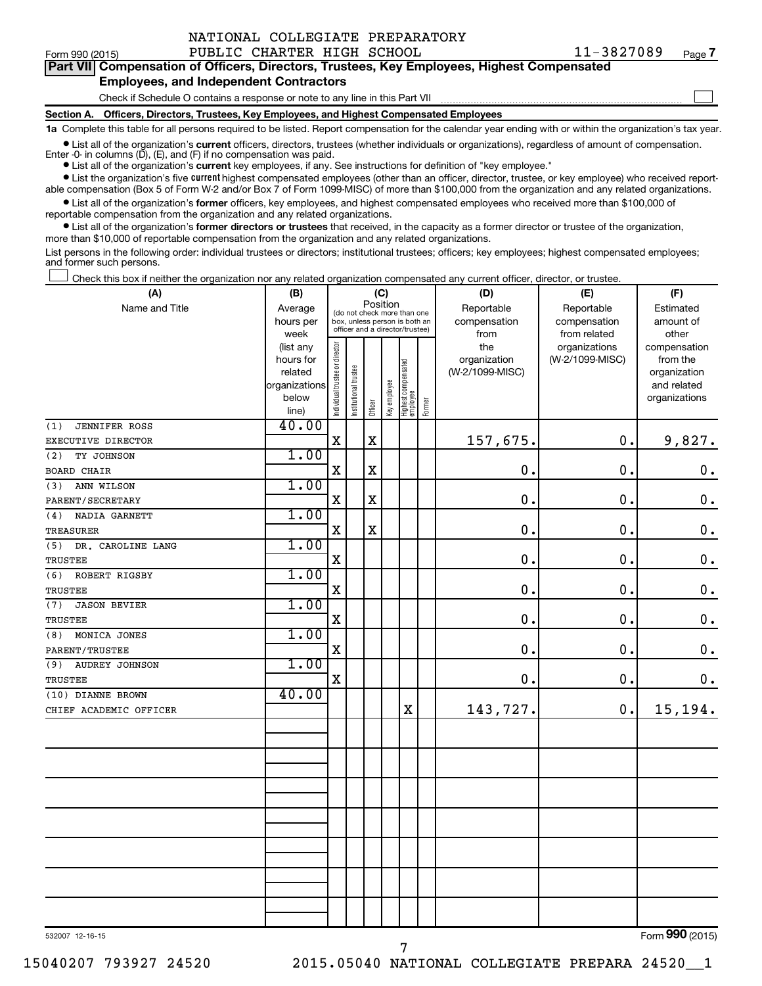| NATIONAL COLLEGIATE PREPARATORY |  |  |  |
|---------------------------------|--|--|--|
|---------------------------------|--|--|--|

Form 990 (2015) Page PUBLIC CHARTER HIGH SCHOOL 11-3827089 **7**

 $\Box$ 

|  |                                               |  |  | Part VII Compensation of Officers, Directors, Trustees, Key Employees, Highest Compensated |  |
|--|-----------------------------------------------|--|--|--------------------------------------------------------------------------------------------|--|
|  | <b>Employees, and Independent Contractors</b> |  |  |                                                                                            |  |

Check if Schedule O contains a response or note to any line in this Part VII

**Section A. Officers, Directors, Trustees, Key Employees, and Highest Compensated Employees**

**1a**  Complete this table for all persons required to be listed. Report compensation for the calendar year ending with or within the organization's tax year.

**•** List all of the organization's current officers, directors, trustees (whether individuals or organizations), regardless of amount of compensation.

**•** List all of the organization's **current** key employees, if any. See instructions for definition of "key employee." Enter -0- in columns  $(D)$ ,  $(E)$ , and  $(F)$  if no compensation was paid.

**•** List the organization's five current highest compensated employees (other than an officer, director, trustee, or key employee) who received reportable compensation (Box 5 of Form W-2 and/or Box 7 of Form 1099-MISC) of more than \$100,000 from the organization and any related organizations.

**•** List all of the organization's former officers, key employees, and highest compensated employees who received more than \$100,000 of reportable compensation from the organization and any related organizations.

**•** List all of the organization's former directors or trustees that received, in the capacity as a former director or trustee of the organization, more than \$10,000 of reportable compensation from the organization and any related organizations.

List persons in the following order: individual trustees or directors; institutional trustees; officers; key employees; highest compensated employees; and former such persons.

Check this box if neither the organization nor any related organization compensated any current officer, director, or trustee.  $\Box$ 

| (A)                          | (B)               | (C)                            |                                                                  |         |              |                                   |        | (D)             | (E)                           | (F)                   |  |  |
|------------------------------|-------------------|--------------------------------|------------------------------------------------------------------|---------|--------------|-----------------------------------|--------|-----------------|-------------------------------|-----------------------|--|--|
| Name and Title               | Average           |                                | Position<br>(do not check more than one                          |         |              |                                   |        | Reportable      | Reportable                    | Estimated             |  |  |
|                              | hours per         |                                | box, unless person is both an<br>officer and a director/trustee) |         |              |                                   |        | compensation    | compensation                  | amount of             |  |  |
|                              | week<br>(list any |                                |                                                                  |         |              |                                   |        | from<br>the     | from related<br>organizations | other<br>compensation |  |  |
|                              | hours for         |                                |                                                                  |         |              |                                   |        | organization    | (W-2/1099-MISC)               | from the              |  |  |
|                              | related           |                                |                                                                  |         |              |                                   |        | (W-2/1099-MISC) |                               | organization          |  |  |
|                              | organizations     |                                |                                                                  |         |              |                                   |        |                 |                               | and related           |  |  |
|                              | below             | Individual trustee or director | Institutional trustee                                            |         | Key employee | Highest compensated<br>  employee |        |                 |                               | organizations         |  |  |
|                              | line)             |                                |                                                                  | Officer |              |                                   | Former |                 |                               |                       |  |  |
| <b>JENNIFER ROSS</b><br>(1)  | 40.00             |                                |                                                                  |         |              |                                   |        |                 |                               |                       |  |  |
| EXECUTIVE DIRECTOR           |                   | $\mathbf X$                    |                                                                  | $\rm X$ |              |                                   |        | 157,675.        | 0.                            | 9,827.                |  |  |
| (2)<br>TY JOHNSON            | 1.00              |                                |                                                                  |         |              |                                   |        |                 |                               |                       |  |  |
| <b>BOARD CHAIR</b>           |                   | $\rm X$                        |                                                                  | $\rm X$ |              |                                   |        | $\mathbf 0$     | 0.                            | $\boldsymbol{0}$ .    |  |  |
| (3)<br>ANN WILSON            | 1.00              |                                |                                                                  |         |              |                                   |        |                 |                               |                       |  |  |
| PARENT/SECRETARY             |                   | X                              |                                                                  | $\rm X$ |              |                                   |        | $\mathbf 0$     | 0.                            | $\mathbf 0$ .         |  |  |
| (4)<br>NADIA GARNETT         | 1.00              |                                |                                                                  |         |              |                                   |        |                 |                               |                       |  |  |
| <b>TREASURER</b>             |                   | $\rm X$                        |                                                                  | X       |              |                                   |        | $\mathbf 0$ .   | 0.                            | $\mathbf 0$ .         |  |  |
| (5)<br>DR. CAROLINE LANG     | 1.00              |                                |                                                                  |         |              |                                   |        |                 |                               |                       |  |  |
| TRUSTEE                      |                   | $\mathbf X$                    |                                                                  |         |              |                                   |        | $\mathbf 0$     | $\mathbf 0$                   | $\mathbf 0$ .         |  |  |
| (6)<br>ROBERT RIGSBY         | 1.00              |                                |                                                                  |         |              |                                   |        |                 |                               |                       |  |  |
| TRUSTEE                      |                   | $\mathbf X$                    |                                                                  |         |              |                                   |        | $\mathbf 0$     | 0.                            | $\mathbf 0$ .         |  |  |
| (7)<br><b>JASON BEVIER</b>   | 1.00              |                                |                                                                  |         |              |                                   |        |                 |                               |                       |  |  |
| <b>TRUSTEE</b>               |                   | $\mathbf X$                    |                                                                  |         |              |                                   |        | $\mathbf 0$     | 0.                            | $\mathbf 0$ .         |  |  |
| MONICA JONES<br>(8)          | 1.00              |                                |                                                                  |         |              |                                   |        |                 |                               |                       |  |  |
| PARENT/TRUSTEE               |                   | $\rm X$                        |                                                                  |         |              |                                   |        | $\mathbf 0$     | 0.                            | $\mathbf 0$ .         |  |  |
| (9)<br><b>AUDREY JOHNSON</b> | 1.00              |                                |                                                                  |         |              |                                   |        |                 |                               |                       |  |  |
| TRUSTEE                      |                   | $\mathbf X$                    |                                                                  |         |              |                                   |        | $\mathbf 0$ .   | 0.                            | $\mathbf 0$ .         |  |  |
| (10) DIANNE BROWN            | 40.00             |                                |                                                                  |         |              |                                   |        |                 |                               |                       |  |  |
| CHIEF ACADEMIC OFFICER       |                   |                                |                                                                  |         |              | X                                 |        | 143,727.        | 0.                            | 15,194.               |  |  |
|                              |                   |                                |                                                                  |         |              |                                   |        |                 |                               |                       |  |  |
|                              |                   |                                |                                                                  |         |              |                                   |        |                 |                               |                       |  |  |
|                              |                   |                                |                                                                  |         |              |                                   |        |                 |                               |                       |  |  |
|                              |                   |                                |                                                                  |         |              |                                   |        |                 |                               |                       |  |  |
|                              |                   |                                |                                                                  |         |              |                                   |        |                 |                               |                       |  |  |
|                              |                   |                                |                                                                  |         |              |                                   |        |                 |                               |                       |  |  |
|                              |                   |                                |                                                                  |         |              |                                   |        |                 |                               |                       |  |  |
|                              |                   |                                |                                                                  |         |              |                                   |        |                 |                               |                       |  |  |
|                              |                   |                                |                                                                  |         |              |                                   |        |                 |                               |                       |  |  |
|                              |                   |                                |                                                                  |         |              |                                   |        |                 |                               |                       |  |  |
|                              |                   |                                |                                                                  |         |              |                                   |        |                 |                               |                       |  |  |
|                              |                   |                                |                                                                  |         |              |                                   |        |                 |                               |                       |  |  |
|                              |                   |                                |                                                                  |         |              |                                   |        |                 |                               |                       |  |  |
|                              |                   |                                |                                                                  |         |              |                                   |        |                 |                               |                       |  |  |
|                              |                   |                                |                                                                  |         |              |                                   |        |                 |                               |                       |  |  |

7

532007 12-16-15

Form (2015) **990**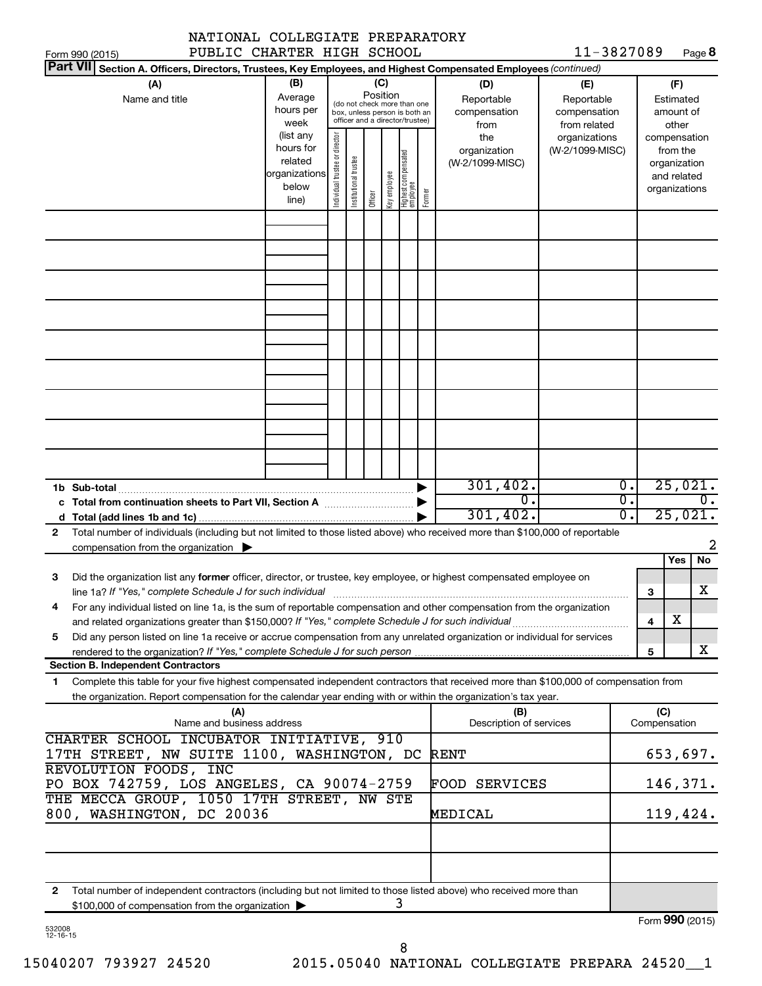|                       | PUBLIC CHARTER HIGH SCHOOL<br>Form 990 (2015)                                                                                                               |                        |                                |                                                                                                 |          |              |                                 |        |                                 | 11-3827089      |                  |     |                          | Page 8           |
|-----------------------|-------------------------------------------------------------------------------------------------------------------------------------------------------------|------------------------|--------------------------------|-------------------------------------------------------------------------------------------------|----------|--------------|---------------------------------|--------|---------------------------------|-----------------|------------------|-----|--------------------------|------------------|
|                       | Part VII Section A. Officers, Directors, Trustees, Key Employees, and Highest Compensated Employees (continued)                                             |                        |                                |                                                                                                 |          |              |                                 |        |                                 |                 |                  |     |                          |                  |
|                       | (A)                                                                                                                                                         | (B)                    |                                |                                                                                                 | (C)      |              |                                 |        | (D)                             | (E)             |                  |     | (F)                      |                  |
|                       | Name and title                                                                                                                                              | Average                |                                |                                                                                                 | Position |              |                                 |        | Reportable                      | Reportable      |                  |     | Estimated                |                  |
|                       |                                                                                                                                                             | hours per              |                                | (do not check more than one<br>box, unless person is both an<br>officer and a director/trustee) |          |              |                                 |        | compensation                    | compensation    |                  |     | amount of                |                  |
|                       |                                                                                                                                                             | week                   |                                |                                                                                                 |          |              |                                 |        | from                            | from related    |                  |     | other                    |                  |
|                       |                                                                                                                                                             | (list any<br>hours for |                                |                                                                                                 |          |              |                                 |        | the                             | organizations   |                  |     | compensation             |                  |
|                       |                                                                                                                                                             | related                |                                |                                                                                                 |          |              |                                 |        | organization<br>(W-2/1099-MISC) | (W-2/1099-MISC) |                  |     | from the<br>organization |                  |
|                       |                                                                                                                                                             | organizations          |                                |                                                                                                 |          |              |                                 |        |                                 |                 |                  |     | and related              |                  |
|                       |                                                                                                                                                             | below                  | Individual trustee or director | Institutional trustee                                                                           |          | key employee | Highest compensated<br>employee |        |                                 |                 |                  |     | organizations            |                  |
|                       |                                                                                                                                                             | line)                  |                                |                                                                                                 | Officer  |              |                                 | Former |                                 |                 |                  |     |                          |                  |
|                       |                                                                                                                                                             |                        |                                |                                                                                                 |          |              |                                 |        |                                 |                 |                  |     |                          |                  |
|                       |                                                                                                                                                             |                        |                                |                                                                                                 |          |              |                                 |        |                                 |                 |                  |     |                          |                  |
|                       |                                                                                                                                                             |                        |                                |                                                                                                 |          |              |                                 |        |                                 |                 |                  |     |                          |                  |
|                       |                                                                                                                                                             |                        |                                |                                                                                                 |          |              |                                 |        |                                 |                 |                  |     |                          |                  |
|                       |                                                                                                                                                             |                        |                                |                                                                                                 |          |              |                                 |        |                                 |                 |                  |     |                          |                  |
|                       |                                                                                                                                                             |                        |                                |                                                                                                 |          |              |                                 |        |                                 |                 |                  |     |                          |                  |
|                       |                                                                                                                                                             |                        |                                |                                                                                                 |          |              |                                 |        |                                 |                 |                  |     |                          |                  |
|                       |                                                                                                                                                             |                        |                                |                                                                                                 |          |              |                                 |        |                                 |                 |                  |     |                          |                  |
|                       |                                                                                                                                                             |                        |                                |                                                                                                 |          |              |                                 |        |                                 |                 |                  |     |                          |                  |
|                       |                                                                                                                                                             |                        |                                |                                                                                                 |          |              |                                 |        |                                 |                 |                  |     |                          |                  |
|                       |                                                                                                                                                             |                        |                                |                                                                                                 |          |              |                                 |        |                                 |                 |                  |     |                          |                  |
|                       |                                                                                                                                                             |                        |                                |                                                                                                 |          |              |                                 |        |                                 |                 |                  |     |                          |                  |
|                       |                                                                                                                                                             |                        |                                |                                                                                                 |          |              |                                 |        |                                 |                 |                  |     |                          |                  |
|                       |                                                                                                                                                             |                        |                                |                                                                                                 |          |              |                                 |        |                                 |                 |                  |     |                          |                  |
|                       |                                                                                                                                                             |                        |                                |                                                                                                 |          |              |                                 |        |                                 |                 |                  |     |                          |                  |
|                       |                                                                                                                                                             |                        |                                |                                                                                                 |          |              |                                 |        |                                 |                 |                  |     |                          |                  |
|                       |                                                                                                                                                             |                        |                                |                                                                                                 |          |              |                                 |        |                                 |                 |                  |     |                          |                  |
|                       | 301, 402.<br>1b Sub-total                                                                                                                                   |                        |                                |                                                                                                 |          |              |                                 |        |                                 |                 | $\overline{0}$ . |     | 25,021.                  |                  |
|                       |                                                                                                                                                             |                        |                                |                                                                                                 |          |              |                                 |        | $\overline{0}$ .                |                 | σ.               |     |                          | $\overline{0}$ . |
|                       |                                                                                                                                                             |                        |                                |                                                                                                 |          |              |                                 |        | 301,402.                        |                 | σ.               |     | 25,021.                  |                  |
| $\mathbf{2}$          | Total number of individuals (including but not limited to those listed above) who received more than \$100,000 of reportable                                |                        |                                |                                                                                                 |          |              |                                 |        |                                 |                 |                  |     |                          |                  |
|                       | compensation from the organization $\blacktriangleright$                                                                                                    |                        |                                |                                                                                                 |          |              |                                 |        |                                 |                 |                  |     |                          | 2                |
|                       |                                                                                                                                                             |                        |                                |                                                                                                 |          |              |                                 |        |                                 |                 |                  |     | Yes                      | No               |
| З                     | Did the organization list any former officer, director, or trustee, key employee, or highest compensated employee on                                        |                        |                                |                                                                                                 |          |              |                                 |        |                                 |                 |                  |     |                          |                  |
|                       | line 1a? If "Yes," complete Schedule J for such individual [11] manufacture manufacture in the set of the set o                                             |                        |                                |                                                                                                 |          |              |                                 |        |                                 |                 |                  | 3   |                          | х                |
| 4                     | For any individual listed on line 1a, is the sum of reportable compensation and other compensation from the organization                                    |                        |                                |                                                                                                 |          |              |                                 |        |                                 |                 |                  |     |                          |                  |
|                       | and related organizations greater than \$150,000? If "Yes," complete Schedule J for such individual                                                         |                        |                                |                                                                                                 |          |              |                                 |        |                                 |                 |                  | 4   | x                        |                  |
| 5                     | Did any person listed on line 1a receive or accrue compensation from any unrelated organization or individual for services                                  |                        |                                |                                                                                                 |          |              |                                 |        |                                 |                 |                  |     |                          | x                |
|                       | rendered to the organization? If "Yes," complete Schedule J for such person manufaction contains and contained<br><b>Section B. Independent Contractors</b> |                        |                                |                                                                                                 |          |              |                                 |        |                                 |                 |                  | 5   |                          |                  |
| 1.                    | Complete this table for your five highest compensated independent contractors that received more than \$100,000 of compensation from                        |                        |                                |                                                                                                 |          |              |                                 |        |                                 |                 |                  |     |                          |                  |
|                       | the organization. Report compensation for the calendar year ending with or within the organization's tax year.                                              |                        |                                |                                                                                                 |          |              |                                 |        |                                 |                 |                  |     |                          |                  |
|                       | (A)                                                                                                                                                         |                        |                                |                                                                                                 |          |              |                                 |        | (B)                             |                 |                  | (C) |                          |                  |
|                       | Name and business address                                                                                                                                   |                        |                                |                                                                                                 |          |              |                                 |        | Description of services         |                 |                  |     | Compensation             |                  |
|                       | CHARTER SCHOOL INCUBATOR INITIATIVE, 910                                                                                                                    |                        |                                |                                                                                                 |          |              |                                 |        |                                 |                 |                  |     |                          |                  |
|                       | 17TH STREET, NW SUITE 1100, WASHINGTON, DC                                                                                                                  |                        |                                |                                                                                                 |          |              |                                 |        | <b>RENT</b>                     |                 |                  |     | 653,697.                 |                  |
| REVOLUTION FOODS, INC |                                                                                                                                                             |                        |                                |                                                                                                 |          |              |                                 |        |                                 |                 |                  |     |                          |                  |
|                       | PO BOX 742759, LOS ANGELES, CA 90074-2759                                                                                                                   |                        |                                |                                                                                                 |          |              |                                 |        | <b>FOOD SERVICES</b>            |                 |                  |     | 146,371.                 |                  |
|                       | THE MECCA GROUP, 1050 17TH STREET, NW STE                                                                                                                   |                        |                                |                                                                                                 |          |              |                                 |        |                                 |                 |                  |     |                          |                  |
|                       | 800, WASHINGTON, DC 20036                                                                                                                                   |                        |                                |                                                                                                 |          |              |                                 |        | MEDICAL                         |                 |                  |     | 119,424.                 |                  |
|                       |                                                                                                                                                             |                        |                                |                                                                                                 |          |              |                                 |        |                                 |                 |                  |     |                          |                  |
|                       |                                                                                                                                                             |                        |                                |                                                                                                 |          |              |                                 |        |                                 |                 |                  |     |                          |                  |
|                       |                                                                                                                                                             |                        |                                |                                                                                                 |          |              |                                 |        |                                 |                 |                  |     |                          |                  |
|                       |                                                                                                                                                             |                        |                                |                                                                                                 |          |              |                                 |        |                                 |                 |                  |     |                          |                  |
| 2                     | Total number of independent contractors (including but not limited to those listed above) who received more than                                            |                        |                                |                                                                                                 |          |              |                                 |        |                                 |                 |                  |     |                          |                  |
|                       | \$100,000 of compensation from the organization                                                                                                             |                        |                                |                                                                                                 |          |              | 3                               |        |                                 |                 |                  |     |                          |                  |

| 532008   |  |
|----------|--|
| 12-16-15 |  |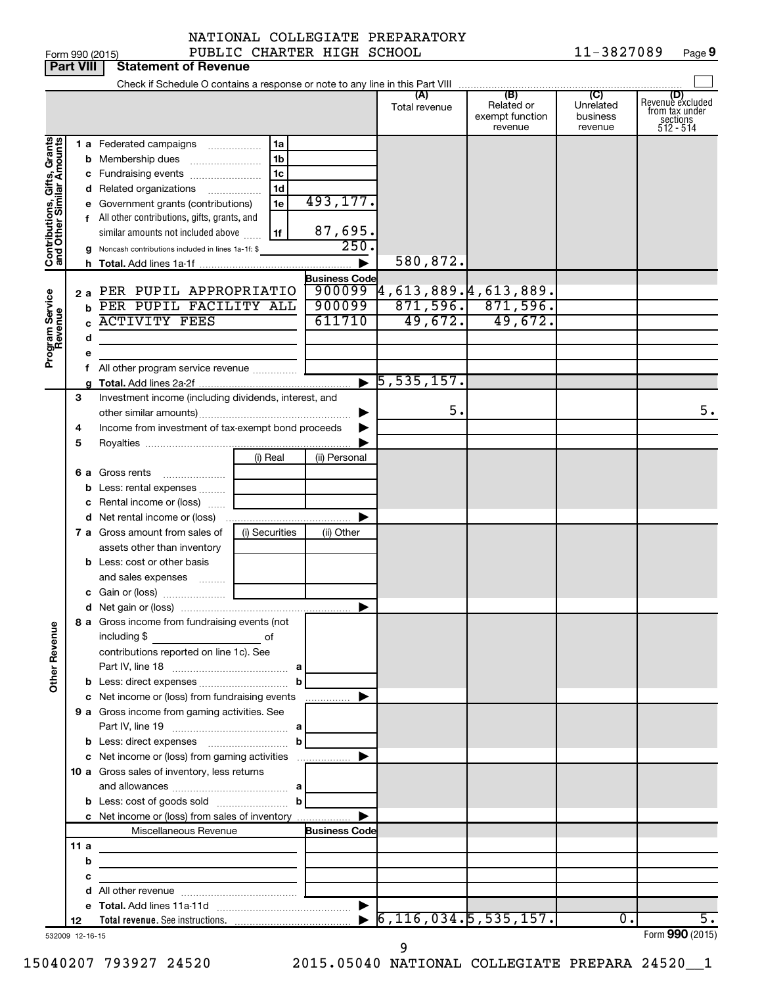| 00 (015) |  |  |
|----------|--|--|

|                                                           | <b>Part VIII</b> | <b>Statement of Revenue</b>                                                                                          |                |                                |                                                   |                                                 |                                         |                                                                    |
|-----------------------------------------------------------|------------------|----------------------------------------------------------------------------------------------------------------------|----------------|--------------------------------|---------------------------------------------------|-------------------------------------------------|-----------------------------------------|--------------------------------------------------------------------|
|                                                           |                  |                                                                                                                      |                |                                |                                                   |                                                 |                                         |                                                                    |
|                                                           |                  |                                                                                                                      |                |                                | (A)<br>Total revenue                              | (B)<br>Related or<br>exempt function<br>revenue | (C)<br>Unrelated<br>business<br>revenue | (D)<br>Revenue excluded<br>from tax under<br>sections<br>512 - 514 |
| Contributions, Gifts, Grants<br>and Other Similar Amounts |                  | <b>1 a</b> Federated campaigns                                                                                       | 1a<br>.        |                                |                                                   |                                                 |                                         |                                                                    |
|                                                           |                  | <b>b</b> Membership dues                                                                                             | 1b             |                                |                                                   |                                                 |                                         |                                                                    |
|                                                           |                  | c Fundraising events                                                                                                 | 1c             |                                |                                                   |                                                 |                                         |                                                                    |
|                                                           |                  | <b>d</b> Related organizations                                                                                       | 1d<br>.        |                                |                                                   |                                                 |                                         |                                                                    |
|                                                           |                  | e Government grants (contributions)                                                                                  | 1e             | 493,177.                       |                                                   |                                                 |                                         |                                                                    |
|                                                           |                  | f All other contributions, gifts, grants, and                                                                        |                |                                |                                                   |                                                 |                                         |                                                                    |
|                                                           |                  | similar amounts not included above                                                                                   | 1f             | 87,695.<br>250.                |                                                   |                                                 |                                         |                                                                    |
|                                                           |                  | g Noncash contributions included in lines 1a-1f: \$                                                                  |                |                                | 580,872.                                          |                                                 |                                         |                                                                    |
|                                                           |                  |                                                                                                                      |                |                                |                                                   |                                                 |                                         |                                                                    |
|                                                           |                  | 2 a PER PUPIL APPROPRIATIO                                                                                           |                | <b>Business Code</b><br>900099 | $\overline{4}$ ,613,889. $\overline{4}$ ,613,889. |                                                 |                                         |                                                                    |
|                                                           | b                | PER PUPIL FACILITY ALL                                                                                               |                | 900099                         |                                                   | $871,596.$ 871,596.                             |                                         |                                                                    |
| Program Service<br>Revenue                                |                  | <b>ACTIVITY FEES</b>                                                                                                 |                | 611710                         | 49,672.                                           | 49,672.                                         |                                         |                                                                    |
|                                                           | d                |                                                                                                                      |                |                                |                                                   |                                                 |                                         |                                                                    |
|                                                           |                  |                                                                                                                      |                |                                |                                                   |                                                 |                                         |                                                                    |
|                                                           |                  | All other program service revenue                                                                                    |                |                                |                                                   |                                                 |                                         |                                                                    |
|                                                           |                  |                                                                                                                      |                | $\blacktriangleright$          | $\overline{5,535,157}$ .                          |                                                 |                                         |                                                                    |
|                                                           | 3                | Investment income (including dividends, interest, and                                                                |                |                                |                                                   |                                                 |                                         |                                                                    |
|                                                           |                  |                                                                                                                      |                |                                | 5.                                                |                                                 |                                         | 5.                                                                 |
|                                                           | 4                | Income from investment of tax-exempt bond proceeds                                                                   |                |                                |                                                   |                                                 |                                         |                                                                    |
|                                                           | 5                |                                                                                                                      |                |                                |                                                   |                                                 |                                         |                                                                    |
|                                                           |                  |                                                                                                                      | (i) Real       | (ii) Personal                  |                                                   |                                                 |                                         |                                                                    |
|                                                           |                  | 6 a Gross rents                                                                                                      |                |                                |                                                   |                                                 |                                         |                                                                    |
|                                                           |                  | <b>b</b> Less: rental expenses                                                                                       |                |                                |                                                   |                                                 |                                         |                                                                    |
|                                                           |                  | c Rental income or (loss)                                                                                            |                |                                |                                                   |                                                 |                                         |                                                                    |
|                                                           |                  |                                                                                                                      |                |                                |                                                   |                                                 |                                         |                                                                    |
|                                                           |                  | 7 a Gross amount from sales of                                                                                       | (i) Securities | (ii) Other                     |                                                   |                                                 |                                         |                                                                    |
|                                                           |                  | assets other than inventory                                                                                          |                |                                |                                                   |                                                 |                                         |                                                                    |
|                                                           |                  | <b>b</b> Less: cost or other basis                                                                                   |                |                                |                                                   |                                                 |                                         |                                                                    |
|                                                           |                  | and sales expenses                                                                                                   |                |                                |                                                   |                                                 |                                         |                                                                    |
|                                                           |                  |                                                                                                                      |                |                                |                                                   |                                                 |                                         |                                                                    |
|                                                           |                  |                                                                                                                      |                | ▶                              |                                                   |                                                 |                                         |                                                                    |
| <b>Other Revenue</b>                                      |                  | 8 a Gross income from fundraising events (not<br>including \$<br><u> 1990 - John Barn Barn, amerikan ba</u>          | of             |                                |                                                   |                                                 |                                         |                                                                    |
|                                                           |                  | contributions reported on line 1c). See                                                                              |                |                                |                                                   |                                                 |                                         |                                                                    |
|                                                           |                  |                                                                                                                      |                |                                |                                                   |                                                 |                                         |                                                                    |
|                                                           |                  |                                                                                                                      | $\mathbf{b}$   |                                |                                                   |                                                 |                                         |                                                                    |
|                                                           |                  | c Net income or (loss) from fundraising events<br>9 a Gross income from gaming activities. See                       |                | .                              |                                                   |                                                 |                                         |                                                                    |
|                                                           |                  |                                                                                                                      |                |                                |                                                   |                                                 |                                         |                                                                    |
|                                                           |                  | <b>b</b> Less: direct expenses <b>manually b</b>                                                                     |                |                                |                                                   |                                                 |                                         |                                                                    |
|                                                           |                  |                                                                                                                      |                |                                |                                                   |                                                 |                                         |                                                                    |
|                                                           |                  | 10 a Gross sales of inventory, less returns                                                                          |                |                                |                                                   |                                                 |                                         |                                                                    |
|                                                           |                  |                                                                                                                      |                |                                |                                                   |                                                 |                                         |                                                                    |
|                                                           |                  |                                                                                                                      |                |                                |                                                   |                                                 |                                         |                                                                    |
|                                                           |                  | c Net income or (loss) from sales of inventory                                                                       |                |                                |                                                   |                                                 |                                         |                                                                    |
|                                                           |                  | Miscellaneous Revenue                                                                                                |                | <b>Business Code</b>           |                                                   |                                                 |                                         |                                                                    |
|                                                           | 11a              |                                                                                                                      |                |                                |                                                   |                                                 |                                         |                                                                    |
|                                                           | b                | <u> 1989 - Johann John Stone, markin film ar yn y breninn y breninn y breninn y breninn y breninn y breninn y br</u> |                |                                |                                                   |                                                 |                                         |                                                                    |
|                                                           | с                | the control of the control of the control of the control of                                                          |                |                                |                                                   |                                                 |                                         |                                                                    |
|                                                           |                  |                                                                                                                      |                |                                |                                                   |                                                 |                                         |                                                                    |
|                                                           |                  |                                                                                                                      |                |                                |                                                   |                                                 |                                         |                                                                    |
|                                                           | 12               |                                                                                                                      |                |                                | $\triangleright$ 6, 116, 034. 5, 535, 157.        |                                                 | $\overline{0}$ .                        | 5.                                                                 |
|                                                           | 532009 12-16-15  |                                                                                                                      |                |                                |                                                   |                                                 |                                         | Form 990 (2015)                                                    |

15040207 793927 24520 2015.05040 NATIONAL COLLEGIATE PREPARA 24520\_\_1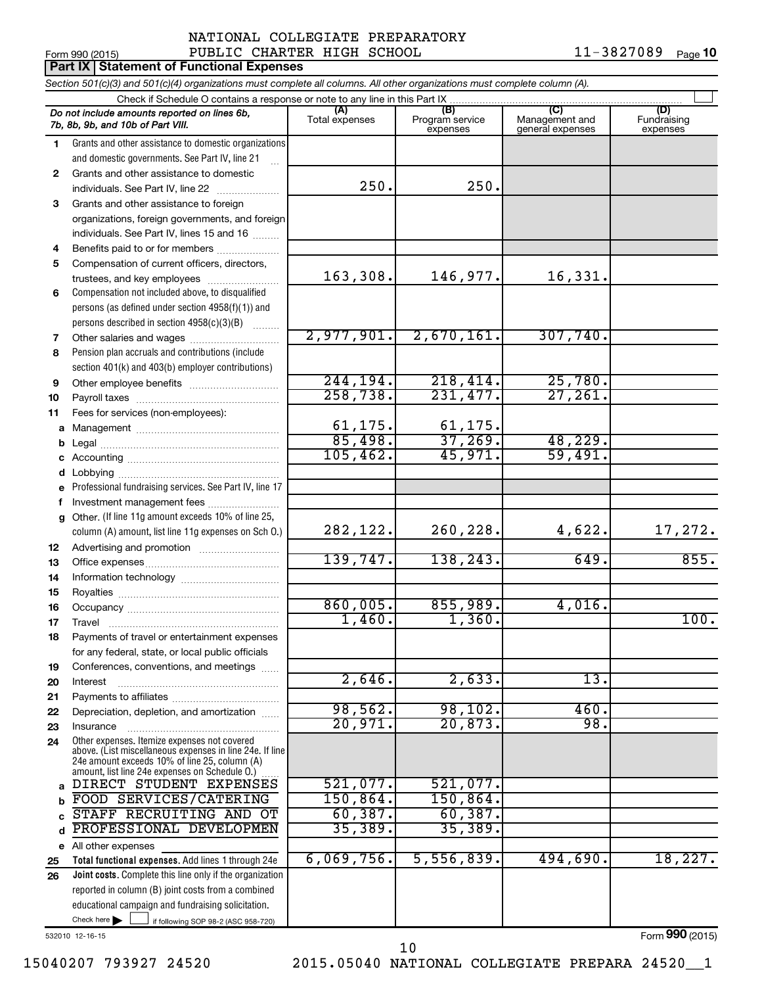#### Form 990 (2015) Page NATIONAL COLLEGIATE PREPARATORY PUBLIC CHARTER HIGH SCHOOL 11-3827089

11-3827089 Page 10

|        | <b>Part IX Statement of Functional Expenses</b>                                                                                                                                                             |                           |                                    |                                           |                                |  |  |  |  |  |  |  |  |
|--------|-------------------------------------------------------------------------------------------------------------------------------------------------------------------------------------------------------------|---------------------------|------------------------------------|-------------------------------------------|--------------------------------|--|--|--|--|--|--|--|--|
|        | Section 501(c)(3) and 501(c)(4) organizations must complete all columns. All other organizations must complete column (A).                                                                                  |                           |                                    |                                           |                                |  |  |  |  |  |  |  |  |
|        | Check if Schedule O contains a response or note to any line in this Part IX                                                                                                                                 |                           |                                    |                                           |                                |  |  |  |  |  |  |  |  |
|        | Do not include amounts reported on lines 6b,<br>7b, 8b, 9b, and 10b of Part VIII.                                                                                                                           | (A)<br>Total expenses     | (B)<br>Program service<br>expenses | (C)<br>Management and<br>general expenses | (D)<br>Fundraising<br>expenses |  |  |  |  |  |  |  |  |
| 1.     | Grants and other assistance to domestic organizations                                                                                                                                                       |                           |                                    |                                           |                                |  |  |  |  |  |  |  |  |
|        | and domestic governments. See Part IV, line 21                                                                                                                                                              |                           |                                    |                                           |                                |  |  |  |  |  |  |  |  |
| 2      | Grants and other assistance to domestic                                                                                                                                                                     |                           |                                    |                                           |                                |  |  |  |  |  |  |  |  |
|        | individuals. See Part IV, line 22                                                                                                                                                                           | 250.                      | 250.                               |                                           |                                |  |  |  |  |  |  |  |  |
| 3      | Grants and other assistance to foreign                                                                                                                                                                      |                           |                                    |                                           |                                |  |  |  |  |  |  |  |  |
|        | organizations, foreign governments, and foreign                                                                                                                                                             |                           |                                    |                                           |                                |  |  |  |  |  |  |  |  |
|        | individuals. See Part IV, lines 15 and 16                                                                                                                                                                   |                           |                                    |                                           |                                |  |  |  |  |  |  |  |  |
| 4      | Benefits paid to or for members                                                                                                                                                                             |                           |                                    |                                           |                                |  |  |  |  |  |  |  |  |
| 5      | Compensation of current officers, directors,                                                                                                                                                                |                           |                                    |                                           |                                |  |  |  |  |  |  |  |  |
|        | trustees, and key employees                                                                                                                                                                                 | 163,308.                  | 146,977.                           | 16,331.                                   |                                |  |  |  |  |  |  |  |  |
| 6      | Compensation not included above, to disqualified                                                                                                                                                            |                           |                                    |                                           |                                |  |  |  |  |  |  |  |  |
|        | persons (as defined under section 4958(f)(1)) and                                                                                                                                                           |                           |                                    |                                           |                                |  |  |  |  |  |  |  |  |
|        | persons described in section 4958(c)(3)(B)                                                                                                                                                                  | 2,977,901.                | 2,670,161.                         | 307,740.                                  |                                |  |  |  |  |  |  |  |  |
| 7<br>8 | Other salaries and wages<br>Pension plan accruals and contributions (include                                                                                                                                |                           |                                    |                                           |                                |  |  |  |  |  |  |  |  |
|        | section 401(k) and 403(b) employer contributions)                                                                                                                                                           |                           |                                    |                                           |                                |  |  |  |  |  |  |  |  |
| 9      | Other employee benefits                                                                                                                                                                                     | 244,194.                  | 218,414.                           | 25,780.                                   |                                |  |  |  |  |  |  |  |  |
| 10     |                                                                                                                                                                                                             | 258,738.                  | 231,477.                           | 27, 261.                                  |                                |  |  |  |  |  |  |  |  |
| 11     | Fees for services (non-employees):                                                                                                                                                                          |                           |                                    |                                           |                                |  |  |  |  |  |  |  |  |
| а      |                                                                                                                                                                                                             |                           |                                    |                                           |                                |  |  |  |  |  |  |  |  |
| b      |                                                                                                                                                                                                             | $\frac{61,175.}{85,498.}$ | $\frac{61,175}{37,269}$            | 48,229.                                   |                                |  |  |  |  |  |  |  |  |
| c      |                                                                                                                                                                                                             | 105,462.                  | 45,971.                            | 59,491.                                   |                                |  |  |  |  |  |  |  |  |
| d      |                                                                                                                                                                                                             |                           |                                    |                                           |                                |  |  |  |  |  |  |  |  |
| е      | Professional fundraising services. See Part IV, line 17                                                                                                                                                     |                           |                                    |                                           |                                |  |  |  |  |  |  |  |  |
| f      | Investment management fees                                                                                                                                                                                  |                           |                                    |                                           |                                |  |  |  |  |  |  |  |  |
| g      | Other. (If line 11g amount exceeds 10% of line 25,                                                                                                                                                          |                           |                                    |                                           |                                |  |  |  |  |  |  |  |  |
|        | column (A) amount, list line 11g expenses on Sch O.)                                                                                                                                                        | 282,122.                  | 260,228.                           | 4,622.                                    | 17,272.                        |  |  |  |  |  |  |  |  |
| 12     |                                                                                                                                                                                                             |                           |                                    |                                           |                                |  |  |  |  |  |  |  |  |
| 13     |                                                                                                                                                                                                             | 139,747.                  | 138,243.                           | 649.                                      | 855.                           |  |  |  |  |  |  |  |  |
| 14     |                                                                                                                                                                                                             |                           |                                    |                                           |                                |  |  |  |  |  |  |  |  |
| 15     |                                                                                                                                                                                                             | 860,005.                  | 855,989.                           | 4,016.                                    |                                |  |  |  |  |  |  |  |  |
| 16     |                                                                                                                                                                                                             | 1,460                     | 1,360.                             |                                           | 100.                           |  |  |  |  |  |  |  |  |
| 17     | Travel                                                                                                                                                                                                      |                           |                                    |                                           |                                |  |  |  |  |  |  |  |  |
| 18     | Payments of travel or entertainment expenses<br>for any federal, state, or local public officials                                                                                                           |                           |                                    |                                           |                                |  |  |  |  |  |  |  |  |
| 19     | Conferences, conventions, and meetings                                                                                                                                                                      |                           |                                    |                                           |                                |  |  |  |  |  |  |  |  |
| 20     | Interest                                                                                                                                                                                                    | 2,646.                    | 2,633.                             | 13.                                       |                                |  |  |  |  |  |  |  |  |
| 21     |                                                                                                                                                                                                             |                           |                                    |                                           |                                |  |  |  |  |  |  |  |  |
| 22     | Depreciation, depletion, and amortization                                                                                                                                                                   | 98,562.                   | 98,102.                            | 460.                                      |                                |  |  |  |  |  |  |  |  |
| 23     | Insurance                                                                                                                                                                                                   | $\overline{20,971}$ .     | 20,873.                            | 98.                                       |                                |  |  |  |  |  |  |  |  |
| 24     | Other expenses. Itemize expenses not covered<br>above. (List miscellaneous expenses in line 24e. If line<br>24e amount exceeds 10% of line 25, column (A)<br>amount, list line 24e expenses on Schedule O.) |                           |                                    |                                           |                                |  |  |  |  |  |  |  |  |
| a      | DIRECT STUDENT EXPENSES                                                                                                                                                                                     | 521,077.                  | 521,077.                           |                                           |                                |  |  |  |  |  |  |  |  |
| b      | FOOD SERVICES/CATERING                                                                                                                                                                                      | 150, 864.                 | 150,864.                           |                                           |                                |  |  |  |  |  |  |  |  |
| C      | STAFF RECRUITING AND OT                                                                                                                                                                                     | 60, 387.                  | 60, 387.                           |                                           |                                |  |  |  |  |  |  |  |  |
| d      | PROFESSIONAL DEVELOPMEN                                                                                                                                                                                     | 35,389.                   | 35,389.                            |                                           |                                |  |  |  |  |  |  |  |  |
|        | e All other expenses                                                                                                                                                                                        |                           |                                    |                                           |                                |  |  |  |  |  |  |  |  |
| 25     | Total functional expenses. Add lines 1 through 24e                                                                                                                                                          | 6,069,756.                | 5,556,839.                         | 494,690.                                  | 18,227.                        |  |  |  |  |  |  |  |  |
| 26     | Joint costs. Complete this line only if the organization                                                                                                                                                    |                           |                                    |                                           |                                |  |  |  |  |  |  |  |  |
|        | reported in column (B) joint costs from a combined<br>educational campaign and fundraising solicitation.                                                                                                    |                           |                                    |                                           |                                |  |  |  |  |  |  |  |  |
|        | Check here $\blacktriangleright$<br>if following SOP 98-2 (ASC 958-720)                                                                                                                                     |                           |                                    |                                           |                                |  |  |  |  |  |  |  |  |
|        |                                                                                                                                                                                                             |                           |                                    |                                           |                                |  |  |  |  |  |  |  |  |

532010 12-16-15

Form (2015) **990**

15040207 793927 24520 2015.05040 NATIONAL COLLEGIATE PREPARA 24520\_\_1 10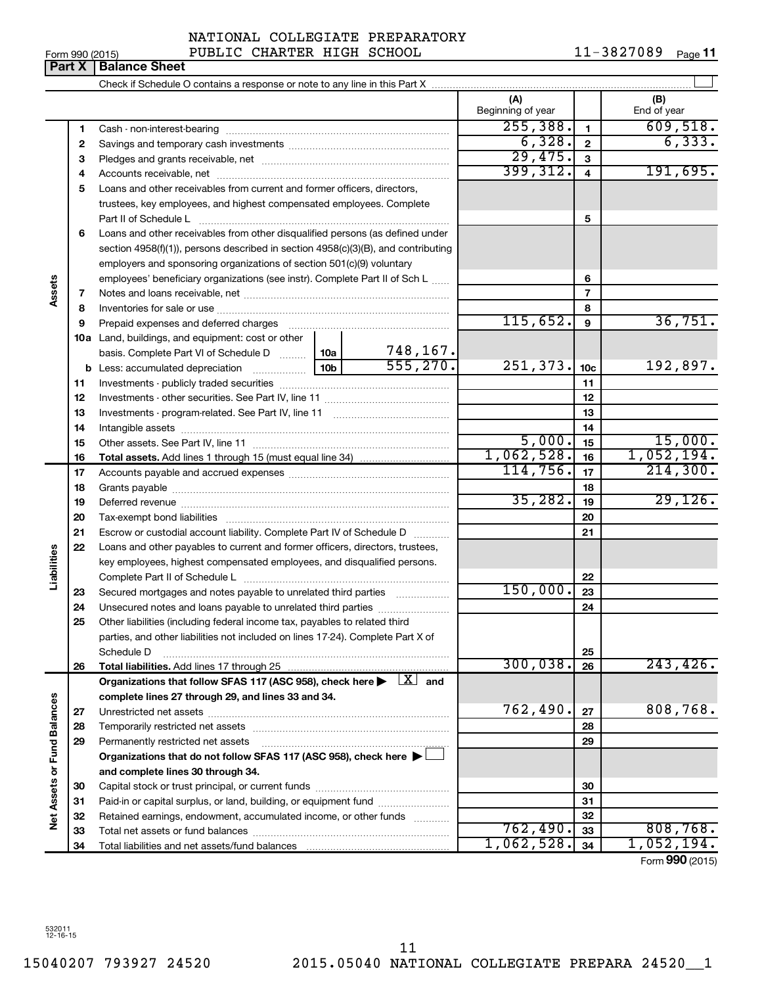532011 12-16-15

15040207 793927 24520 2015.05040 NATIONAL COLLEGIATE PREPARA 24520\_\_1 11

Form 990 (2015) PUBLIC CHARTER HIGH SCHOOL  $11-3827089$  Page 11-3827089 Page 11

|                             | ганл | <b>DalaHVG OHGGL</b>                                                                                                                                       |  |           |                          |                 |                    |
|-----------------------------|------|------------------------------------------------------------------------------------------------------------------------------------------------------------|--|-----------|--------------------------|-----------------|--------------------|
|                             |      |                                                                                                                                                            |  |           |                          |                 |                    |
|                             |      |                                                                                                                                                            |  |           | (A)<br>Beginning of year |                 | (B)<br>End of year |
|                             | 1    |                                                                                                                                                            |  |           | 255, 388.                | $\mathbf{1}$    | 609,518.           |
|                             | 2    |                                                                                                                                                            |  |           | 6,328.                   | $\mathbf{2}$    | 6, 333.            |
|                             | 3    |                                                                                                                                                            |  |           | 29,475.                  | 3               |                    |
|                             | 4    |                                                                                                                                                            |  |           | 399, 312.                | $\overline{4}$  | 191,695.           |
|                             | 5    | Loans and other receivables from current and former officers, directors,                                                                                   |  |           |                          |                 |                    |
|                             |      | trustees, key employees, and highest compensated employees. Complete<br>Part II of Schedule L                                                              |  |           |                          | 5               |                    |
|                             | 6    | Loans and other receivables from other disqualified persons (as defined under                                                                              |  |           |                          |                 |                    |
|                             |      | section 4958(f)(1)), persons described in section 4958(c)(3)(B), and contributing<br>employers and sponsoring organizations of section 501(c)(9) voluntary |  |           |                          |                 |                    |
|                             |      | employees' beneficiary organizations (see instr). Complete Part II of Sch L                                                                                |  |           |                          | 6               |                    |
| Assets                      | 7    |                                                                                                                                                            |  |           |                          | $\overline{7}$  |                    |
|                             | 8    |                                                                                                                                                            |  |           |                          | 8               |                    |
|                             | 9    | Prepaid expenses and deferred charges                                                                                                                      |  | 115,652.  | 9                        | 36,751.         |                    |
|                             |      | 10a Land, buildings, and equipment: cost or other                                                                                                          |  |           |                          |                 |                    |
|                             |      | basis. Complete Part VI of Schedule D  10a                                                                                                                 |  | 748,167.  |                          |                 |                    |
|                             |      |                                                                                                                                                            |  | 555, 270. | 251, 373.                | 10 <sub>c</sub> | 192,897.           |
|                             | 11   |                                                                                                                                                            |  |           |                          | 11              |                    |
|                             | 12   |                                                                                                                                                            |  |           |                          | 12              |                    |
|                             | 13   |                                                                                                                                                            |  |           |                          | 13              |                    |
|                             | 14   |                                                                                                                                                            |  |           |                          | 14              |                    |
|                             | 15   |                                                                                                                                                            |  |           | 5,000.                   | 15              | 15,000.            |
|                             | 16   |                                                                                                                                                            |  |           | 1,062,528.               | 16              | 1,052,194.         |
|                             | 17   |                                                                                                                                                            |  | 114,756.  | 17                       | 214,300.        |                    |
|                             | 18   |                                                                                                                                                            |  | 18        |                          |                 |                    |
|                             | 19   |                                                                                                                                                            |  |           | 35, 282.                 | 19              | 29,126.            |
|                             | 20   |                                                                                                                                                            |  |           |                          | 20              |                    |
|                             | 21   | Escrow or custodial account liability. Complete Part IV of Schedule D                                                                                      |  |           |                          | 21              |                    |
|                             | 22   | Loans and other payables to current and former officers, directors, trustees,                                                                              |  |           |                          |                 |                    |
| Liabilities                 |      | key employees, highest compensated employees, and disqualified persons.                                                                                    |  |           |                          | 22              |                    |
|                             | 23   | Secured mortgages and notes payable to unrelated third parties                                                                                             |  |           | 150,000.                 | 23              |                    |
|                             | 24   | Unsecured notes and loans payable to unrelated third parties                                                                                               |  |           |                          | 24              |                    |
|                             | 25   | Other liabilities (including federal income tax, payables to related third                                                                                 |  |           |                          |                 |                    |
|                             |      | parties, and other liabilities not included on lines 17-24). Complete Part X of                                                                            |  |           |                          |                 |                    |
|                             |      | Schedule D                                                                                                                                                 |  |           |                          | 25              |                    |
|                             | 26   | Total liabilities. Add lines 17 through 25                                                                                                                 |  |           | 300,038.                 | 26              | 243, 426.          |
|                             |      | Organizations that follow SFAS 117 (ASC 958), check here $\blacktriangleright \lfloor X \rfloor$ and                                                       |  |           |                          |                 |                    |
|                             |      | complete lines 27 through 29, and lines 33 and 34.                                                                                                         |  |           |                          |                 |                    |
|                             | 27   |                                                                                                                                                            |  |           | 762,490.                 | 27              | 808,768.           |
|                             | 28   | Temporarily restricted net assets                                                                                                                          |  |           |                          | 28              |                    |
|                             | 29   | Permanently restricted net assets                                                                                                                          |  |           |                          | 29              |                    |
|                             |      | Organizations that do not follow SFAS 117 (ASC 958), check here ▶                                                                                          |  |           |                          |                 |                    |
|                             |      | and complete lines 30 through 34.                                                                                                                          |  |           |                          |                 |                    |
| Net Assets or Fund Balances | 30   |                                                                                                                                                            |  |           |                          | 30              |                    |
|                             | 31   | Paid-in or capital surplus, or land, building, or equipment fund                                                                                           |  |           |                          | 31              |                    |
|                             | 32   | Retained earnings, endowment, accumulated income, or other funds                                                                                           |  |           |                          | 32              |                    |
|                             | 33   |                                                                                                                                                            |  |           | 762,490.                 | 33              | 808,768.           |
|                             | 34   | Total liabilities and net assets/fund balances                                                                                                             |  |           | 1,062,528.               | 34              | 1,052,194.         |
|                             |      |                                                                                                                                                            |  |           |                          |                 | Form 990 (2015)    |

**Part X Balance Sheet**<br>**Part X Balance Sheet**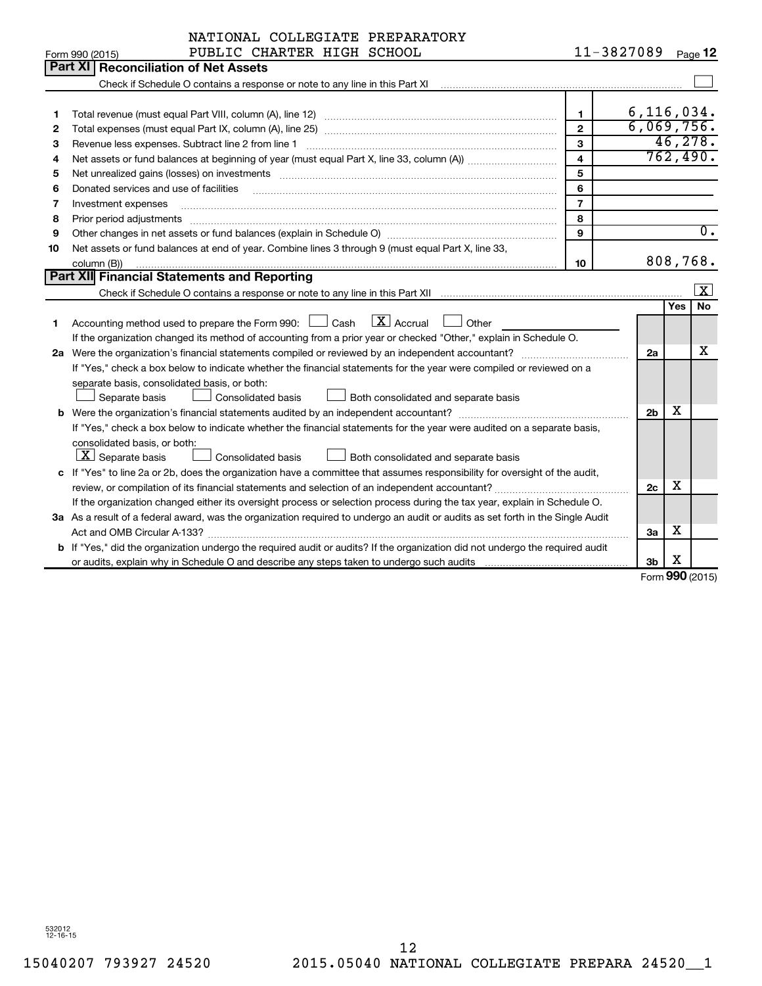|    | NATIONAL COLLEGIATE PREPARATORY                                                                                                                              |                |                |                        |                      |  |  |  |
|----|--------------------------------------------------------------------------------------------------------------------------------------------------------------|----------------|----------------|------------------------|----------------------|--|--|--|
|    | PUBLIC CHARTER HIGH SCHOOL<br>Form 990 (2015)                                                                                                                |                | 11-3827089     |                        | Page 12              |  |  |  |
|    | Part XII<br><b>Reconciliation of Net Assets</b>                                                                                                              |                |                |                        |                      |  |  |  |
|    | Check if Schedule O contains a response or note to any line in this Part XI [11] Check if Schedule O contains a response or note to any line in this Part XI |                |                |                        |                      |  |  |  |
|    |                                                                                                                                                              |                |                |                        |                      |  |  |  |
| 1  |                                                                                                                                                              | $\mathbf{1}$   | 6, 116, 034.   |                        |                      |  |  |  |
| 2  |                                                                                                                                                              | $\overline{2}$ | 6,069,756.     |                        |                      |  |  |  |
| 3  | Revenue less expenses. Subtract line 2 from line 1                                                                                                           | 3              |                |                        | 46, 278.<br>762,490. |  |  |  |
| 4  | $\overline{\mathbf{4}}$                                                                                                                                      |                |                |                        |                      |  |  |  |
| 5  | Net unrealized gains (losses) on investments [111] www.marting.com/marting.com/marting.com/marting.com/marting.                                              | 5              |                |                        |                      |  |  |  |
| 6  | Donated services and use of facilities                                                                                                                       | 6              |                |                        |                      |  |  |  |
| 7  | Investment expenses                                                                                                                                          | $\overline{7}$ |                |                        |                      |  |  |  |
| 8  | Prior period adjustments                                                                                                                                     | 8              |                |                        |                      |  |  |  |
| 9  |                                                                                                                                                              | 9              |                |                        | 0.                   |  |  |  |
| 10 | Net assets or fund balances at end of year. Combine lines 3 through 9 (must equal Part X, line 33,                                                           |                |                |                        |                      |  |  |  |
|    | column (B))                                                                                                                                                  | 10             |                |                        | 808,768.             |  |  |  |
|    | Part XII Financial Statements and Reporting                                                                                                                  |                |                |                        |                      |  |  |  |
|    |                                                                                                                                                              |                |                |                        | $\boxed{\mathbf{X}}$ |  |  |  |
|    |                                                                                                                                                              |                |                | Yes                    | No                   |  |  |  |
| 1  | $\boxed{\text{X}}$ Accrual<br>Accounting method used to prepare the Form 990:<br>l Cash<br>Other                                                             |                |                |                        |                      |  |  |  |
|    | If the organization changed its method of accounting from a prior year or checked "Other," explain in Schedule O.                                            |                |                |                        |                      |  |  |  |
|    |                                                                                                                                                              |                | 2a             |                        | х                    |  |  |  |
|    | If "Yes," check a box below to indicate whether the financial statements for the year were compiled or reviewed on a                                         |                |                |                        |                      |  |  |  |
|    | separate basis, consolidated basis, or both:                                                                                                                 |                |                |                        |                      |  |  |  |
|    | Separate basis<br><b>Consolidated basis</b><br>Both consolidated and separate basis                                                                          |                |                |                        |                      |  |  |  |
|    |                                                                                                                                                              |                | 2 <sub>b</sub> | х                      |                      |  |  |  |
|    | If "Yes," check a box below to indicate whether the financial statements for the year were audited on a separate basis,                                      |                |                |                        |                      |  |  |  |
|    | consolidated basis, or both:                                                                                                                                 |                |                |                        |                      |  |  |  |
|    | $ \mathbf{X} $ Separate basis<br>Consolidated basis<br>Both consolidated and separate basis                                                                  |                |                |                        |                      |  |  |  |
|    | c If "Yes" to line 2a or 2b, does the organization have a committee that assumes responsibility for oversight of the audit,                                  |                |                |                        |                      |  |  |  |
|    |                                                                                                                                                              |                | 2c             | х                      |                      |  |  |  |
|    | If the organization changed either its oversight process or selection process during the tax year, explain in Schedule O.                                    |                |                |                        |                      |  |  |  |
|    | 3a As a result of a federal award, was the organization required to undergo an audit or audits as set forth in the Single Audit                              |                |                |                        |                      |  |  |  |
|    |                                                                                                                                                              |                | За             | х                      |                      |  |  |  |
|    | b If "Yes," did the organization undergo the required audit or audits? If the organization did not undergo the required audit                                |                |                |                        |                      |  |  |  |
|    |                                                                                                                                                              |                | 3b             | х<br>$000 \, \text{m}$ |                      |  |  |  |

Form (2015) **990**

532012 12-16-15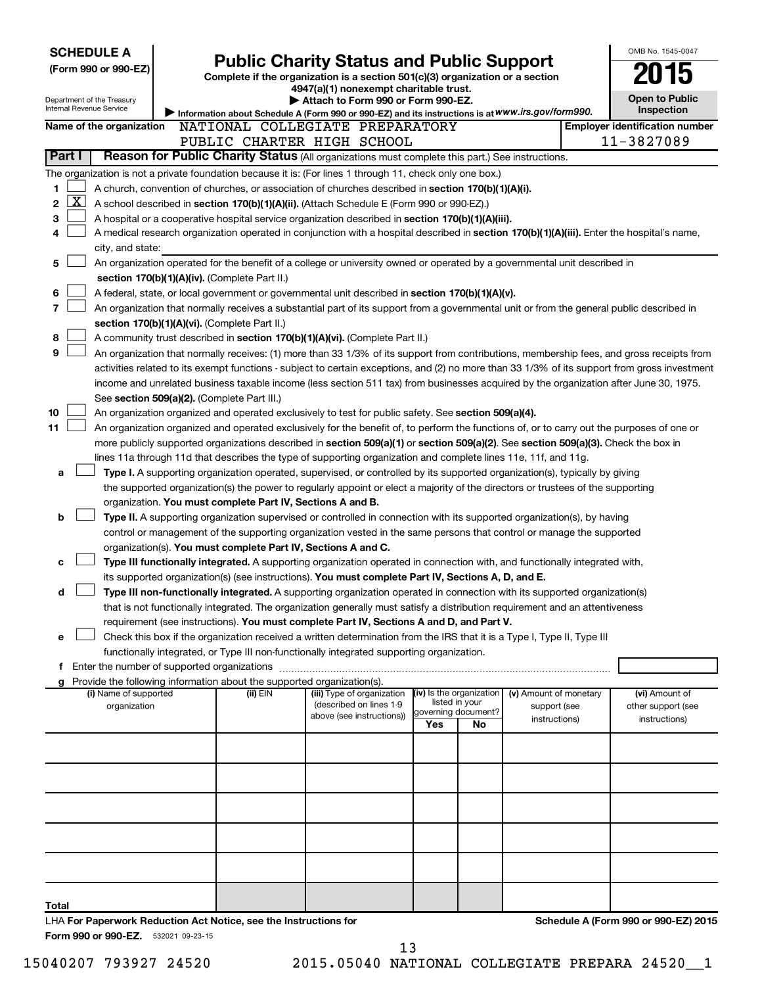| <b>SCHEDULE A</b>                                                |                                             |                                                                          |                                                                                                                                                                                                                          |     |                                       |                        | OMB No. 1545-0047                                                                                                                             |
|------------------------------------------------------------------|---------------------------------------------|--------------------------------------------------------------------------|--------------------------------------------------------------------------------------------------------------------------------------------------------------------------------------------------------------------------|-----|---------------------------------------|------------------------|-----------------------------------------------------------------------------------------------------------------------------------------------|
| (Form 990 or 990-EZ)                                             |                                             |                                                                          | <b>Public Charity Status and Public Support</b>                                                                                                                                                                          |     |                                       |                        |                                                                                                                                               |
|                                                                  |                                             |                                                                          | Complete if the organization is a section 501(c)(3) organization or a section                                                                                                                                            |     |                                       |                        |                                                                                                                                               |
| Department of the Treasury                                       |                                             |                                                                          | 4947(a)(1) nonexempt charitable trust.<br>Attach to Form 990 or Form 990-EZ.                                                                                                                                             |     |                                       |                        | <b>Open to Public</b>                                                                                                                         |
| Internal Revenue Service                                         |                                             |                                                                          | Information about Schedule A (Form 990 or 990-EZ) and its instructions is at WWW.irs.gov/form990.                                                                                                                        |     |                                       |                        | <b>Inspection</b>                                                                                                                             |
| Name of the organization                                         |                                             |                                                                          | NATIONAL COLLEGIATE PREPARATORY                                                                                                                                                                                          |     |                                       |                        | <b>Employer identification number</b>                                                                                                         |
|                                                                  |                                             |                                                                          | PUBLIC CHARTER HIGH SCHOOL                                                                                                                                                                                               |     |                                       |                        | 11-3827089                                                                                                                                    |
| Part I                                                           |                                             |                                                                          | Reason for Public Charity Status (All organizations must complete this part.) See instructions.                                                                                                                          |     |                                       |                        |                                                                                                                                               |
|                                                                  |                                             |                                                                          | The organization is not a private foundation because it is: (For lines 1 through 11, check only one box.)                                                                                                                |     |                                       |                        |                                                                                                                                               |
| 1                                                                |                                             |                                                                          | A church, convention of churches, or association of churches described in section 170(b)(1)(A)(i).                                                                                                                       |     |                                       |                        |                                                                                                                                               |
| <u>x</u><br>2                                                    |                                             |                                                                          | A school described in section 170(b)(1)(A)(ii). (Attach Schedule E (Form 990 or 990-EZ).)                                                                                                                                |     |                                       |                        |                                                                                                                                               |
| 3                                                                |                                             |                                                                          | A hospital or a cooperative hospital service organization described in section 170(b)(1)(A)(iii).                                                                                                                        |     |                                       |                        |                                                                                                                                               |
| 4                                                                |                                             |                                                                          | A medical research organization operated in conjunction with a hospital described in section 170(b)(1)(A)(iii). Enter the hospital's name,                                                                               |     |                                       |                        |                                                                                                                                               |
| city, and state:                                                 |                                             |                                                                          |                                                                                                                                                                                                                          |     |                                       |                        |                                                                                                                                               |
| 5                                                                |                                             |                                                                          | An organization operated for the benefit of a college or university owned or operated by a governmental unit described in                                                                                                |     |                                       |                        |                                                                                                                                               |
|                                                                  |                                             | section 170(b)(1)(A)(iv). (Complete Part II.)                            |                                                                                                                                                                                                                          |     |                                       |                        |                                                                                                                                               |
| 6                                                                |                                             |                                                                          | A federal, state, or local government or governmental unit described in section 170(b)(1)(A)(v).                                                                                                                         |     |                                       |                        |                                                                                                                                               |
| 7                                                                |                                             |                                                                          | An organization that normally receives a substantial part of its support from a governmental unit or from the general public described in                                                                                |     |                                       |                        |                                                                                                                                               |
|                                                                  |                                             | section 170(b)(1)(A)(vi). (Complete Part II.)                            |                                                                                                                                                                                                                          |     |                                       |                        |                                                                                                                                               |
| 8                                                                |                                             |                                                                          | A community trust described in section 170(b)(1)(A)(vi). (Complete Part II.)                                                                                                                                             |     |                                       |                        |                                                                                                                                               |
| 9                                                                |                                             |                                                                          | An organization that normally receives: (1) more than 33 1/3% of its support from contributions, membership fees, and gross receipts from                                                                                |     |                                       |                        |                                                                                                                                               |
|                                                                  |                                             |                                                                          |                                                                                                                                                                                                                          |     |                                       |                        | activities related to its exempt functions - subject to certain exceptions, and (2) no more than 33 1/3% of its support from gross investment |
|                                                                  |                                             |                                                                          | income and unrelated business taxable income (less section 511 tax) from businesses acquired by the organization after June 30, 1975.                                                                                    |     |                                       |                        |                                                                                                                                               |
|                                                                  | See section 509(a)(2). (Complete Part III.) |                                                                          |                                                                                                                                                                                                                          |     |                                       |                        |                                                                                                                                               |
| 10                                                               |                                             |                                                                          | An organization organized and operated exclusively to test for public safety. See section 509(a)(4).                                                                                                                     |     |                                       |                        |                                                                                                                                               |
| 11                                                               |                                             |                                                                          | An organization organized and operated exclusively for the benefit of, to perform the functions of, or to carry out the purposes of one or                                                                               |     |                                       |                        |                                                                                                                                               |
|                                                                  |                                             |                                                                          | more publicly supported organizations described in section 509(a)(1) or section 509(a)(2). See section 509(a)(3). Check the box in                                                                                       |     |                                       |                        |                                                                                                                                               |
|                                                                  |                                             |                                                                          | lines 11a through 11d that describes the type of supporting organization and complete lines 11e, 11f, and 11g.                                                                                                           |     |                                       |                        |                                                                                                                                               |
| a                                                                |                                             |                                                                          | <b>Type I.</b> A supporting organization operated, supervised, or controlled by its supported organization(s), typically by giving                                                                                       |     |                                       |                        |                                                                                                                                               |
|                                                                  |                                             |                                                                          | the supported organization(s) the power to regularly appoint or elect a majority of the directors or trustees of the supporting                                                                                          |     |                                       |                        |                                                                                                                                               |
|                                                                  |                                             | organization. You must complete Part IV, Sections A and B.               |                                                                                                                                                                                                                          |     |                                       |                        |                                                                                                                                               |
| b                                                                |                                             |                                                                          | <b>Type II.</b> A supporting organization supervised or controlled in connection with its supported organization(s), by having                                                                                           |     |                                       |                        |                                                                                                                                               |
|                                                                  |                                             |                                                                          | control or management of the supporting organization vested in the same persons that control or manage the supported                                                                                                     |     |                                       |                        |                                                                                                                                               |
|                                                                  |                                             | organization(s). You must complete Part IV, Sections A and C.            |                                                                                                                                                                                                                          |     |                                       |                        |                                                                                                                                               |
| c                                                                |                                             |                                                                          | Type III functionally integrated. A supporting organization operated in connection with, and functionally integrated with,                                                                                               |     |                                       |                        |                                                                                                                                               |
|                                                                  |                                             |                                                                          | its supported organization(s) (see instructions). You must complete Part IV, Sections A, D, and E.                                                                                                                       |     |                                       |                        |                                                                                                                                               |
| d                                                                |                                             |                                                                          | Type III non-functionally integrated. A supporting organization operated in connection with its supported organization(s)                                                                                                |     |                                       |                        |                                                                                                                                               |
|                                                                  |                                             |                                                                          | that is not functionally integrated. The organization generally must satisfy a distribution requirement and an attentiveness<br>requirement (see instructions). You must complete Part IV, Sections A and D, and Part V. |     |                                       |                        |                                                                                                                                               |
| е                                                                |                                             |                                                                          | Check this box if the organization received a written determination from the IRS that it is a Type I, Type II, Type III                                                                                                  |     |                                       |                        |                                                                                                                                               |
|                                                                  |                                             |                                                                          | functionally integrated, or Type III non-functionally integrated supporting organization.                                                                                                                                |     |                                       |                        |                                                                                                                                               |
| f.                                                               |                                             |                                                                          |                                                                                                                                                                                                                          |     |                                       |                        |                                                                                                                                               |
|                                                                  |                                             | g Provide the following information about the supported organization(s). |                                                                                                                                                                                                                          |     |                                       |                        |                                                                                                                                               |
| (i) Name of supported                                            |                                             | (ii) EIN                                                                 | (iii) Type of organization                                                                                                                                                                                               |     | (iv) Is the organization              | (v) Amount of monetary | (vi) Amount of                                                                                                                                |
| organization                                                     |                                             |                                                                          | (described on lines 1-9                                                                                                                                                                                                  |     | listed in your<br>governing document? | support (see           | other support (see                                                                                                                            |
|                                                                  |                                             |                                                                          | above (see instructions))                                                                                                                                                                                                | Yes | No                                    | instructions)          | instructions)                                                                                                                                 |
|                                                                  |                                             |                                                                          |                                                                                                                                                                                                                          |     |                                       |                        |                                                                                                                                               |
|                                                                  |                                             |                                                                          |                                                                                                                                                                                                                          |     |                                       |                        |                                                                                                                                               |
|                                                                  |                                             |                                                                          |                                                                                                                                                                                                                          |     |                                       |                        |                                                                                                                                               |
|                                                                  |                                             |                                                                          |                                                                                                                                                                                                                          |     |                                       |                        |                                                                                                                                               |
|                                                                  |                                             |                                                                          |                                                                                                                                                                                                                          |     |                                       |                        |                                                                                                                                               |
|                                                                  |                                             |                                                                          |                                                                                                                                                                                                                          |     |                                       |                        |                                                                                                                                               |
|                                                                  |                                             |                                                                          |                                                                                                                                                                                                                          |     |                                       |                        |                                                                                                                                               |
|                                                                  |                                             |                                                                          |                                                                                                                                                                                                                          |     |                                       |                        |                                                                                                                                               |
|                                                                  |                                             |                                                                          |                                                                                                                                                                                                                          |     |                                       |                        |                                                                                                                                               |
|                                                                  |                                             |                                                                          |                                                                                                                                                                                                                          |     |                                       |                        |                                                                                                                                               |
|                                                                  |                                             |                                                                          |                                                                                                                                                                                                                          |     |                                       |                        |                                                                                                                                               |
| Total                                                            |                                             |                                                                          |                                                                                                                                                                                                                          |     |                                       |                        |                                                                                                                                               |
| LHA For Paperwork Reduction Act Notice, see the Instructions for |                                             |                                                                          |                                                                                                                                                                                                                          |     |                                       |                        | Schedule A (Form 990 or 990-EZ) 2015                                                                                                          |
| Form 990 or 990-EZ. 532021 09-23-15                              |                                             |                                                                          |                                                                                                                                                                                                                          |     |                                       |                        |                                                                                                                                               |

15040207 793927 24520 2015.05040 NATIONAL COLLEGIATE PREPARA 24520\_\_1 13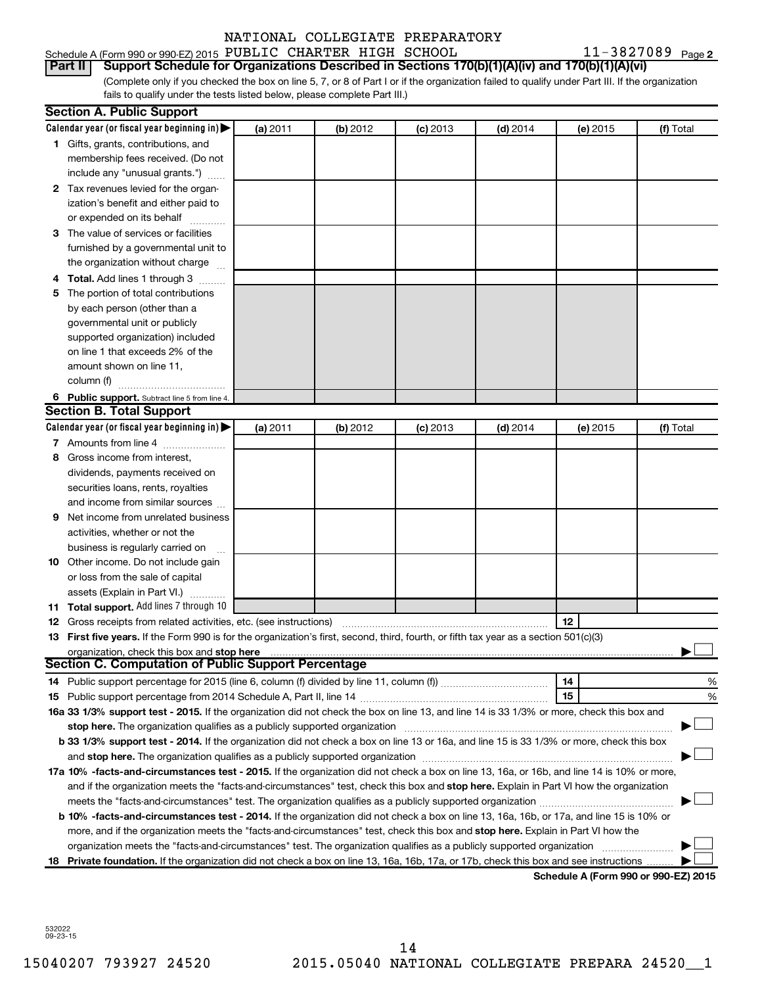Schedule A (Form 990 or 990-EZ) 2015 PUBLIC CHARTER HIGH SCHOOL  $11-3827089$  Page **Part II Support Schedule for Organizations Described in Sections 170(b)(1)(A)(iv) and 170(b)(1)(A)(vi)**

11-3827089 Page 2

(Complete only if you checked the box on line 5, 7, or 8 of Part I or if the organization failed to qualify under Part III. If the organization fails to qualify under the tests listed below, please complete Part III.)

|   | <b>Section A. Public Support</b>                                                                                                                                                                                                                                                      |          |          |            |            |                                      |           |  |  |  |  |
|---|---------------------------------------------------------------------------------------------------------------------------------------------------------------------------------------------------------------------------------------------------------------------------------------|----------|----------|------------|------------|--------------------------------------|-----------|--|--|--|--|
|   | Calendar year (or fiscal year beginning in) $\blacktriangleright$                                                                                                                                                                                                                     | (a) 2011 | (b) 2012 | $(c)$ 2013 | $(d)$ 2014 | (e) 2015                             | (f) Total |  |  |  |  |
|   | 1 Gifts, grants, contributions, and                                                                                                                                                                                                                                                   |          |          |            |            |                                      |           |  |  |  |  |
|   | membership fees received. (Do not                                                                                                                                                                                                                                                     |          |          |            |            |                                      |           |  |  |  |  |
|   | include any "unusual grants.")                                                                                                                                                                                                                                                        |          |          |            |            |                                      |           |  |  |  |  |
|   | 2 Tax revenues levied for the organ-                                                                                                                                                                                                                                                  |          |          |            |            |                                      |           |  |  |  |  |
|   | ization's benefit and either paid to                                                                                                                                                                                                                                                  |          |          |            |            |                                      |           |  |  |  |  |
|   | or expended on its behalf                                                                                                                                                                                                                                                             |          |          |            |            |                                      |           |  |  |  |  |
|   | 3 The value of services or facilities                                                                                                                                                                                                                                                 |          |          |            |            |                                      |           |  |  |  |  |
|   | furnished by a governmental unit to                                                                                                                                                                                                                                                   |          |          |            |            |                                      |           |  |  |  |  |
|   | the organization without charge                                                                                                                                                                                                                                                       |          |          |            |            |                                      |           |  |  |  |  |
|   | 4 Total. Add lines 1 through 3                                                                                                                                                                                                                                                        |          |          |            |            |                                      |           |  |  |  |  |
|   | 5 The portion of total contributions                                                                                                                                                                                                                                                  |          |          |            |            |                                      |           |  |  |  |  |
|   | by each person (other than a                                                                                                                                                                                                                                                          |          |          |            |            |                                      |           |  |  |  |  |
|   | governmental unit or publicly                                                                                                                                                                                                                                                         |          |          |            |            |                                      |           |  |  |  |  |
|   | supported organization) included                                                                                                                                                                                                                                                      |          |          |            |            |                                      |           |  |  |  |  |
|   | on line 1 that exceeds 2% of the                                                                                                                                                                                                                                                      |          |          |            |            |                                      |           |  |  |  |  |
|   | amount shown on line 11,                                                                                                                                                                                                                                                              |          |          |            |            |                                      |           |  |  |  |  |
|   | column (f)                                                                                                                                                                                                                                                                            |          |          |            |            |                                      |           |  |  |  |  |
|   | 6 Public support. Subtract line 5 from line 4.                                                                                                                                                                                                                                        |          |          |            |            |                                      |           |  |  |  |  |
|   | <b>Section B. Total Support</b>                                                                                                                                                                                                                                                       |          |          |            |            |                                      |           |  |  |  |  |
|   | Calendar year (or fiscal year beginning in) $\blacktriangleright$                                                                                                                                                                                                                     | (a) 2011 | (b) 2012 | $(c)$ 2013 | $(d)$ 2014 | (e) 2015                             | (f) Total |  |  |  |  |
|   | 7 Amounts from line 4                                                                                                                                                                                                                                                                 |          |          |            |            |                                      |           |  |  |  |  |
| 8 | Gross income from interest,                                                                                                                                                                                                                                                           |          |          |            |            |                                      |           |  |  |  |  |
|   | dividends, payments received on                                                                                                                                                                                                                                                       |          |          |            |            |                                      |           |  |  |  |  |
|   | securities loans, rents, royalties                                                                                                                                                                                                                                                    |          |          |            |            |                                      |           |  |  |  |  |
|   | and income from similar sources                                                                                                                                                                                                                                                       |          |          |            |            |                                      |           |  |  |  |  |
|   | <b>9</b> Net income from unrelated business                                                                                                                                                                                                                                           |          |          |            |            |                                      |           |  |  |  |  |
|   | activities, whether or not the                                                                                                                                                                                                                                                        |          |          |            |            |                                      |           |  |  |  |  |
|   | business is regularly carried on                                                                                                                                                                                                                                                      |          |          |            |            |                                      |           |  |  |  |  |
|   | 10 Other income. Do not include gain                                                                                                                                                                                                                                                  |          |          |            |            |                                      |           |  |  |  |  |
|   | or loss from the sale of capital                                                                                                                                                                                                                                                      |          |          |            |            |                                      |           |  |  |  |  |
|   | assets (Explain in Part VI.)<br>11 Total support. Add lines 7 through 10                                                                                                                                                                                                              |          |          |            |            |                                      |           |  |  |  |  |
|   |                                                                                                                                                                                                                                                                                       |          |          |            |            | 12                                   |           |  |  |  |  |
|   | <b>12</b> Gross receipts from related activities, etc. (see instructions)<br>13 First five years. If the Form 990 is for the organization's first, second, third, fourth, or fifth tax year as a section 501(c)(3)                                                                    |          |          |            |            |                                      |           |  |  |  |  |
|   | organization, check this box and stop here                                                                                                                                                                                                                                            |          |          |            |            |                                      |           |  |  |  |  |
|   | <b>Section C. Computation of Public Support Percentage</b>                                                                                                                                                                                                                            |          |          |            |            |                                      |           |  |  |  |  |
|   |                                                                                                                                                                                                                                                                                       |          |          |            |            | 14                                   | %         |  |  |  |  |
|   |                                                                                                                                                                                                                                                                                       |          |          |            |            | 15                                   | %         |  |  |  |  |
|   | 16a 33 1/3% support test - 2015. If the organization did not check the box on line 13, and line 14 is 33 1/3% or more, check this box and                                                                                                                                             |          |          |            |            |                                      |           |  |  |  |  |
|   | stop here. The organization qualifies as a publicly supported organization                                                                                                                                                                                                            |          |          |            |            |                                      |           |  |  |  |  |
|   | b 33 1/3% support test - 2014. If the organization did not check a box on line 13 or 16a, and line 15 is 33 1/3% or more, check this box                                                                                                                                              |          |          |            |            |                                      |           |  |  |  |  |
|   |                                                                                                                                                                                                                                                                                       |          |          |            |            |                                      |           |  |  |  |  |
|   |                                                                                                                                                                                                                                                                                       |          |          |            |            |                                      |           |  |  |  |  |
|   | 17a 10% -facts-and-circumstances test - 2015. If the organization did not check a box on line 13, 16a, or 16b, and line 14 is 10% or more,<br>and if the organization meets the "facts-and-circumstances" test, check this box and stop here. Explain in Part VI how the organization |          |          |            |            |                                      |           |  |  |  |  |
|   |                                                                                                                                                                                                                                                                                       |          |          |            |            |                                      |           |  |  |  |  |
|   | <b>b 10%</b> -facts-and-circumstances test - 2014. If the organization did not check a box on line 13, 16a, 16b, or 17a, and line 15 is 10% or                                                                                                                                        |          |          |            |            |                                      |           |  |  |  |  |
|   | more, and if the organization meets the "facts-and-circumstances" test, check this box and <b>stop here.</b> Explain in Part VI how the                                                                                                                                               |          |          |            |            |                                      |           |  |  |  |  |
|   | organization meets the "facts-and-circumstances" test. The organization qualifies as a publicly supported organization                                                                                                                                                                |          |          |            |            |                                      |           |  |  |  |  |
|   | 18 Private foundation. If the organization did not check a box on line 13, 16a, 16b, 17a, or 17b, check this box and see instructions.                                                                                                                                                |          |          |            |            |                                      |           |  |  |  |  |
|   |                                                                                                                                                                                                                                                                                       |          |          |            |            | Schedule A (Form 990 or 990-EZ) 2015 |           |  |  |  |  |

532022 09-23-15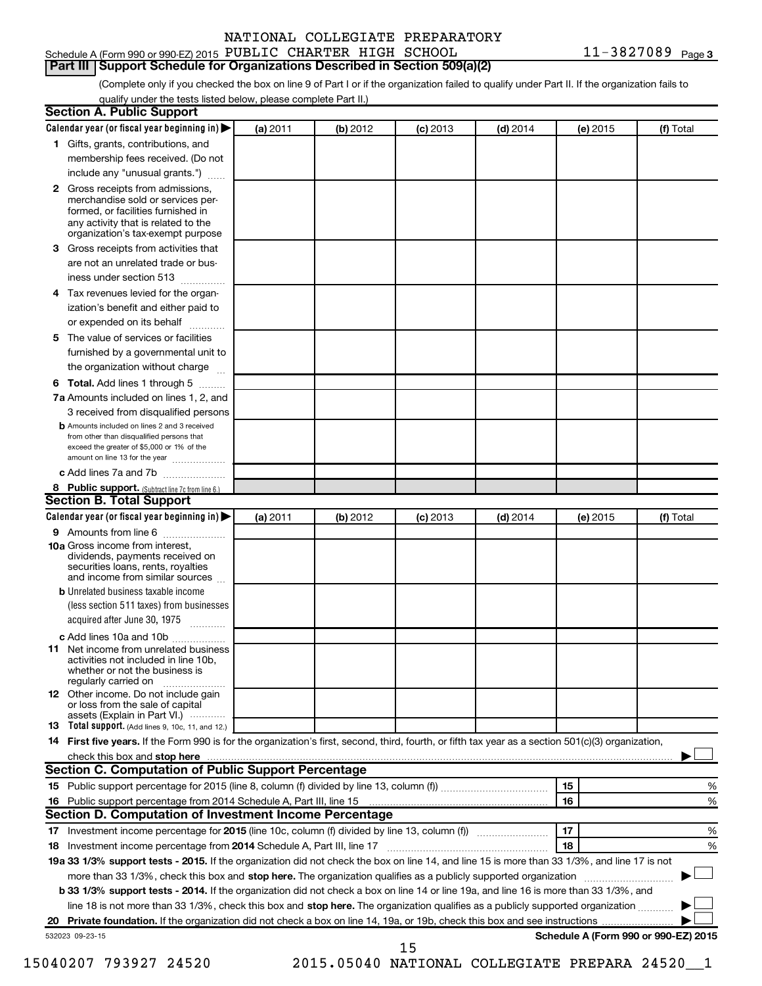#### **Part III Support Schedule for Organizations Described in Section 509(a)(2)**

(Complete only if you checked the box on line 9 of Part I or if the organization failed to qualify under Part II. If the organization fails to qualify under the tests listed below, please complete Part II.)

|    | <b>Section A. Public Support</b>                                                                                                                                                                |          |          |            |            |          |                                      |
|----|-------------------------------------------------------------------------------------------------------------------------------------------------------------------------------------------------|----------|----------|------------|------------|----------|--------------------------------------|
|    | Calendar year (or fiscal year beginning in)                                                                                                                                                     | (a) 2011 | (b) 2012 | $(c)$ 2013 | $(d)$ 2014 | (e) 2015 | (f) Total                            |
|    | 1 Gifts, grants, contributions, and                                                                                                                                                             |          |          |            |            |          |                                      |
|    | membership fees received. (Do not                                                                                                                                                               |          |          |            |            |          |                                      |
|    | include any "unusual grants.")                                                                                                                                                                  |          |          |            |            |          |                                      |
|    | <b>2</b> Gross receipts from admissions,<br>merchandise sold or services per-<br>formed, or facilities furnished in<br>any activity that is related to the<br>organization's tax-exempt purpose |          |          |            |            |          |                                      |
|    | 3 Gross receipts from activities that                                                                                                                                                           |          |          |            |            |          |                                      |
|    | are not an unrelated trade or bus-                                                                                                                                                              |          |          |            |            |          |                                      |
|    | iness under section 513                                                                                                                                                                         |          |          |            |            |          |                                      |
|    | 4 Tax revenues levied for the organ-                                                                                                                                                            |          |          |            |            |          |                                      |
|    | ization's benefit and either paid to                                                                                                                                                            |          |          |            |            |          |                                      |
|    | or expended on its behalf                                                                                                                                                                       |          |          |            |            |          |                                      |
|    | 5 The value of services or facilities                                                                                                                                                           |          |          |            |            |          |                                      |
|    | furnished by a governmental unit to                                                                                                                                                             |          |          |            |            |          |                                      |
|    | the organization without charge                                                                                                                                                                 |          |          |            |            |          |                                      |
|    | <b>6 Total.</b> Add lines 1 through 5                                                                                                                                                           |          |          |            |            |          |                                      |
|    | 7a Amounts included on lines 1, 2, and                                                                                                                                                          |          |          |            |            |          |                                      |
|    | 3 received from disqualified persons                                                                                                                                                            |          |          |            |            |          |                                      |
|    | <b>b</b> Amounts included on lines 2 and 3 received<br>from other than disqualified persons that<br>exceed the greater of \$5,000 or 1% of the<br>amount on line 13 for the year                |          |          |            |            |          |                                      |
|    | c Add lines 7a and 7b                                                                                                                                                                           |          |          |            |            |          |                                      |
|    | 8 Public support. (Subtract line 7c from line 6.)                                                                                                                                               |          |          |            |            |          |                                      |
|    | <b>Section B. Total Support</b>                                                                                                                                                                 |          |          |            |            |          |                                      |
|    | Calendar year (or fiscal year beginning in)                                                                                                                                                     | (a) 2011 | (b) 2012 | $(c)$ 2013 | $(d)$ 2014 | (e) 2015 | (f) Total                            |
|    | 9 Amounts from line 6                                                                                                                                                                           |          |          |            |            |          |                                      |
|    | <b>10a</b> Gross income from interest,<br>dividends, payments received on<br>securities loans, rents, royalties<br>and income from similar sources                                              |          |          |            |            |          |                                      |
|    | <b>b</b> Unrelated business taxable income                                                                                                                                                      |          |          |            |            |          |                                      |
|    | (less section 511 taxes) from businesses                                                                                                                                                        |          |          |            |            |          |                                      |
|    | acquired after June 30, 1975                                                                                                                                                                    |          |          |            |            |          |                                      |
|    | c Add lines 10a and 10b                                                                                                                                                                         |          |          |            |            |          |                                      |
|    | <b>11</b> Net income from unrelated business<br>activities not included in line 10b.<br>whether or not the business is<br>regularly carried on                                                  |          |          |            |            |          |                                      |
|    | 12 Other income. Do not include gain<br>or loss from the sale of capital<br>assets (Explain in Part VI.)                                                                                        |          |          |            |            |          |                                      |
|    | <b>13</b> Total support. (Add lines 9, 10c, 11, and 12.)                                                                                                                                        |          |          |            |            |          |                                      |
|    | 14 First five years. If the Form 990 is for the organization's first, second, third, fourth, or fifth tax year as a section 501(c)(3) organization,                                             |          |          |            |            |          |                                      |
|    |                                                                                                                                                                                                 |          |          |            |            |          |                                      |
|    | Section C. Computation of Public Support Percentage                                                                                                                                             |          |          |            |            |          |                                      |
|    |                                                                                                                                                                                                 |          |          |            |            | 15       | %                                    |
|    | Section D. Computation of Investment Income Percentage                                                                                                                                          |          |          |            |            | 16       | %                                    |
|    | 17 Investment income percentage for 2015 (line 10c, column (f) divided by line 13, column (f))                                                                                                  |          |          |            |            | 17       | %                                    |
|    | 18 Investment income percentage from 2014 Schedule A, Part III, line 17                                                                                                                         |          |          |            |            | 18       | %                                    |
|    | 19a 33 1/3% support tests - 2015. If the organization did not check the box on line 14, and line 15 is more than 33 1/3%, and line 17 is not                                                    |          |          |            |            |          |                                      |
|    | more than 33 1/3%, check this box and stop here. The organization qualifies as a publicly supported organization                                                                                |          |          |            |            |          |                                      |
|    | b 33 1/3% support tests - 2014. If the organization did not check a box on line 14 or line 19a, and line 16 is more than 33 1/3%, and                                                           |          |          |            |            |          |                                      |
|    | line 18 is not more than 33 1/3%, check this box and stop here. The organization qualifies as a publicly supported organization                                                                 |          |          |            |            |          |                                      |
| 20 |                                                                                                                                                                                                 |          |          |            |            |          |                                      |
|    | 532023 09-23-15                                                                                                                                                                                 |          |          |            |            |          | Schedule A (Form 990 or 990-EZ) 2015 |
|    |                                                                                                                                                                                                 |          |          | 15         |            |          |                                      |

15040207 793927 24520 2015.05040 NATIONAL COLLEGIATE PREPARA 24520\_\_1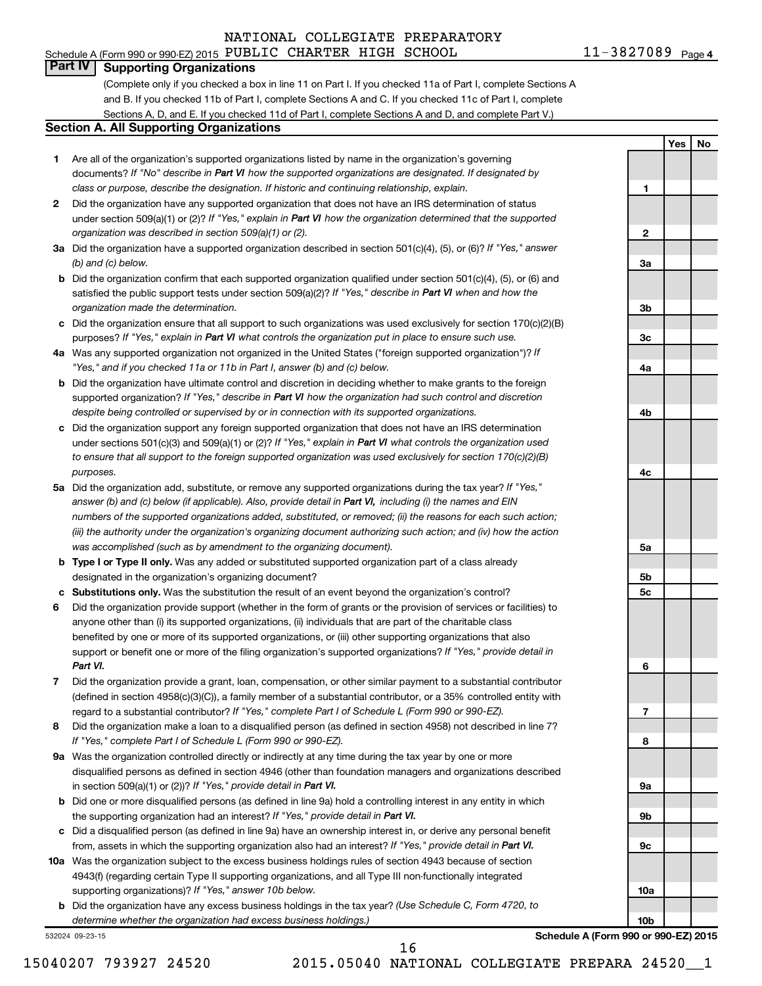**1**

**2**

**3a**

**3b**

**3c**

**4a**

**4b**

**4c**

**5a**

**5b 5c**

**6**

**7**

**8**

**9a**

**9b**

**9c**

**10a**

**10b**

**Yes No**

### **Part IV Supporting Organizations**

(Complete only if you checked a box in line 11 on Part I. If you checked 11a of Part I, complete Sections A and B. If you checked 11b of Part I, complete Sections A and C. If you checked 11c of Part I, complete Sections A, D, and E. If you checked 11d of Part I, complete Sections A and D, and complete Part V.)

#### **Section A. All Supporting Organizations**

- **1** Are all of the organization's supported organizations listed by name in the organization's governing documents? If "No" describe in Part VI how the supported organizations are designated. If designated by *class or purpose, describe the designation. If historic and continuing relationship, explain.*
- **2** Did the organization have any supported organization that does not have an IRS determination of status under section 509(a)(1) or (2)? If "Yes," explain in Part VI how the organization determined that the supported *organization was described in section 509(a)(1) or (2).*
- **3a** Did the organization have a supported organization described in section 501(c)(4), (5), or (6)? If "Yes," answer *(b) and (c) below.*
- **b** Did the organization confirm that each supported organization qualified under section 501(c)(4), (5), or (6) and satisfied the public support tests under section 509(a)(2)? If "Yes," describe in Part VI when and how the *organization made the determination.*
- **c** Did the organization ensure that all support to such organizations was used exclusively for section 170(c)(2)(B) purposes? If "Yes," explain in Part VI what controls the organization put in place to ensure such use.
- **4 a** *If* Was any supported organization not organized in the United States ("foreign supported organization")? *"Yes," and if you checked 11a or 11b in Part I, answer (b) and (c) below.*
- **b** Did the organization have ultimate control and discretion in deciding whether to make grants to the foreign supported organization? If "Yes," describe in Part VI how the organization had such control and discretion *despite being controlled or supervised by or in connection with its supported organizations.*
- **c** Did the organization support any foreign supported organization that does not have an IRS determination under sections 501(c)(3) and 509(a)(1) or (2)? If "Yes," explain in Part VI what controls the organization used *to ensure that all support to the foreign supported organization was used exclusively for section 170(c)(2)(B) purposes.*
- **5a** Did the organization add, substitute, or remove any supported organizations during the tax year? If "Yes," answer (b) and (c) below (if applicable). Also, provide detail in Part VI, including (i) the names and EIN *numbers of the supported organizations added, substituted, or removed; (ii) the reasons for each such action; (iii) the authority under the organization's organizing document authorizing such action; and (iv) how the action was accomplished (such as by amendment to the organizing document).*
- **b** Type I or Type II only. Was any added or substituted supported organization part of a class already designated in the organization's organizing document?
- **c Substitutions only.**  Was the substitution the result of an event beyond the organization's control?
- **6** Did the organization provide support (whether in the form of grants or the provision of services or facilities) to support or benefit one or more of the filing organization's supported organizations? If "Yes," provide detail in anyone other than (i) its supported organizations, (ii) individuals that are part of the charitable class benefited by one or more of its supported organizations, or (iii) other supporting organizations that also *Part VI.*
- **7** Did the organization provide a grant, loan, compensation, or other similar payment to a substantial contributor regard to a substantial contributor? If "Yes," complete Part I of Schedule L (Form 990 or 990-EZ). (defined in section 4958(c)(3)(C)), a family member of a substantial contributor, or a 35% controlled entity with
- **8** Did the organization make a loan to a disqualified person (as defined in section 4958) not described in line 7? *If "Yes," complete Part I of Schedule L (Form 990 or 990-EZ).*
- **9 a** Was the organization controlled directly or indirectly at any time during the tax year by one or more in section 509(a)(1) or (2))? If "Yes," provide detail in Part VI. disqualified persons as defined in section 4946 (other than foundation managers and organizations described
- **b** Did one or more disqualified persons (as defined in line 9a) hold a controlling interest in any entity in which the supporting organization had an interest? If "Yes," provide detail in Part VI.
- **c** Did a disqualified person (as defined in line 9a) have an ownership interest in, or derive any personal benefit from, assets in which the supporting organization also had an interest? If "Yes," provide detail in Part VI.
- **10 a** Was the organization subject to the excess business holdings rules of section 4943 because of section supporting organizations)? If "Yes," answer 10b below. 4943(f) (regarding certain Type II supporting organizations, and all Type III non-functionally integrated
	- **b** Did the organization have any excess business holdings in the tax year? (Use Schedule C, Form 4720, to *determine whether the organization had excess business holdings.)*

532024 09-23-15

**Schedule A (Form 990 or 990-EZ) 2015**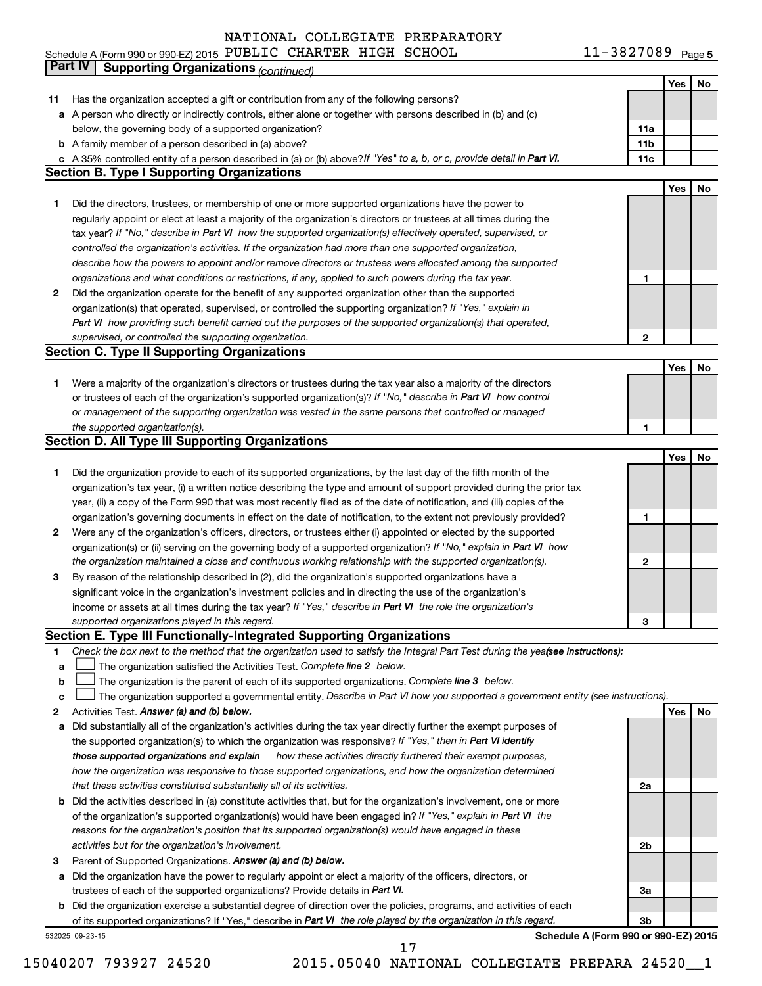11-3827089 Page 5 Schedule A (Form 990 or 990-EZ) 2015 Page PUBLIC CHARTER HIGH SCHOOL 11-3827089

|             | Part IV<br><b>Supporting Organizations (continued)</b>                                                                          |                 |     |    |
|-------------|---------------------------------------------------------------------------------------------------------------------------------|-----------------|-----|----|
|             |                                                                                                                                 |                 | Yes | No |
| 11          | Has the organization accepted a gift or contribution from any of the following persons?                                         |                 |     |    |
|             | a A person who directly or indirectly controls, either alone or together with persons described in (b) and (c)                  |                 |     |    |
|             | below, the governing body of a supported organization?                                                                          | 11a             |     |    |
|             | <b>b</b> A family member of a person described in (a) above?                                                                    | 11 <sub>b</sub> |     |    |
|             | c A 35% controlled entity of a person described in (a) or (b) above? If "Yes" to a, b, or c, provide detail in Part VI.         | 11c             |     |    |
|             | <b>Section B. Type I Supporting Organizations</b>                                                                               |                 |     |    |
|             |                                                                                                                                 |                 | Yes | No |
| 1           | Did the directors, trustees, or membership of one or more supported organizations have the power to                             |                 |     |    |
|             | regularly appoint or elect at least a majority of the organization's directors or trustees at all times during the              |                 |     |    |
|             | tax year? If "No," describe in Part VI how the supported organization(s) effectively operated, supervised, or                   |                 |     |    |
|             | controlled the organization's activities. If the organization had more than one supported organization,                         |                 |     |    |
|             | describe how the powers to appoint and/or remove directors or trustees were allocated among the supported                       |                 |     |    |
|             |                                                                                                                                 | 1               |     |    |
|             | organizations and what conditions or restrictions, if any, applied to such powers during the tax year.                          |                 |     |    |
| 2           | Did the organization operate for the benefit of any supported organization other than the supported                             |                 |     |    |
|             | organization(s) that operated, supervised, or controlled the supporting organization? If "Yes," explain in                      |                 |     |    |
|             | Part VI how providing such benefit carried out the purposes of the supported organization(s) that operated,                     |                 |     |    |
|             | supervised, or controlled the supporting organization.                                                                          | 2               |     |    |
|             | <b>Section C. Type II Supporting Organizations</b>                                                                              |                 |     |    |
|             |                                                                                                                                 |                 | Yes | No |
| 1           | Were a majority of the organization's directors or trustees during the tax year also a majority of the directors                |                 |     |    |
|             | or trustees of each of the organization's supported organization(s)? If "No," describe in Part VI how control                   |                 |     |    |
|             | or management of the supporting organization was vested in the same persons that controlled or managed                          |                 |     |    |
|             | the supported organization(s).                                                                                                  | 1               |     |    |
|             | <b>Section D. All Type III Supporting Organizations</b>                                                                         |                 |     |    |
|             |                                                                                                                                 |                 | Yes | No |
| 1           | Did the organization provide to each of its supported organizations, by the last day of the fifth month of the                  |                 |     |    |
|             | organization's tax year, (i) a written notice describing the type and amount of support provided during the prior tax           |                 |     |    |
|             | year, (ii) a copy of the Form 990 that was most recently filed as of the date of notification, and (iii) copies of the          |                 |     |    |
|             | organization's governing documents in effect on the date of notification, to the extent not previously provided?                | 1               |     |    |
| 2           | Were any of the organization's officers, directors, or trustees either (i) appointed or elected by the supported                |                 |     |    |
|             | organization(s) or (ii) serving on the governing body of a supported organization? If "No," explain in Part VI how              |                 |     |    |
|             | the organization maintained a close and continuous working relationship with the supported organization(s).                     | 2               |     |    |
| 3           | By reason of the relationship described in (2), did the organization's supported organizations have a                           |                 |     |    |
|             | significant voice in the organization's investment policies and in directing the use of the organization's                      |                 |     |    |
|             | income or assets at all times during the tax year? If "Yes," describe in Part VI the role the organization's                    |                 |     |    |
|             | supported organizations played in this regard.                                                                                  | з               |     |    |
|             | Section E. Type III Functionally-Integrated Supporting Organizations                                                            |                 |     |    |
| 1           | Check the box next to the method that the organization used to satisfy the Integral Part Test during the yeafsee instructions): |                 |     |    |
| a           | The organization satisfied the Activities Test. Complete line 2 below.                                                          |                 |     |    |
| $\mathbf b$ | The organization is the parent of each of its supported organizations. Complete line 3 below.                                   |                 |     |    |
| c           | The organization supported a governmental entity. Describe in Part VI how you supported a government entity (see instructions). |                 |     |    |
| 2           | Activities Test. Answer (a) and (b) below.                                                                                      |                 | Yes | No |
| а           | Did substantially all of the organization's activities during the tax year directly further the exempt purposes of              |                 |     |    |
|             | the supported organization(s) to which the organization was responsive? If "Yes," then in Part VI identify                      |                 |     |    |
|             | how these activities directly furthered their exempt purposes,<br>those supported organizations and explain                     |                 |     |    |
|             | how the organization was responsive to those supported organizations, and how the organization determined                       |                 |     |    |
|             | that these activities constituted substantially all of its activities.                                                          | 2a              |     |    |
|             | b Did the activities described in (a) constitute activities that, but for the organization's involvement, one or more           |                 |     |    |
|             | of the organization's supported organization(s) would have been engaged in? If "Yes," explain in Part VI the                    |                 |     |    |
|             | reasons for the organization's position that its supported organization(s) would have engaged in these                          |                 |     |    |
|             | activities but for the organization's involvement.                                                                              | 2b              |     |    |
| З           | Parent of Supported Organizations. Answer (a) and (b) below.                                                                    |                 |     |    |
| а           | Did the organization have the power to regularly appoint or elect a majority of the officers, directors, or                     |                 |     |    |
|             | trustees of each of the supported organizations? Provide details in Part VI.                                                    | За              |     |    |
|             | <b>b</b> Did the organization exercise a substantial degree of direction over the policies, programs, and activities of each    |                 |     |    |
|             | of its supported organizations? If "Yes," describe in Part VI the role played by the organization in this regard.               | 3b              |     |    |
|             | Schedule A (Form 990 or 990-EZ) 2015<br>532025 09-23-15                                                                         |                 |     |    |

15040207 793927 24520 2015.05040 NATIONAL COLLEGIATE PREPARA 24520\_\_1 17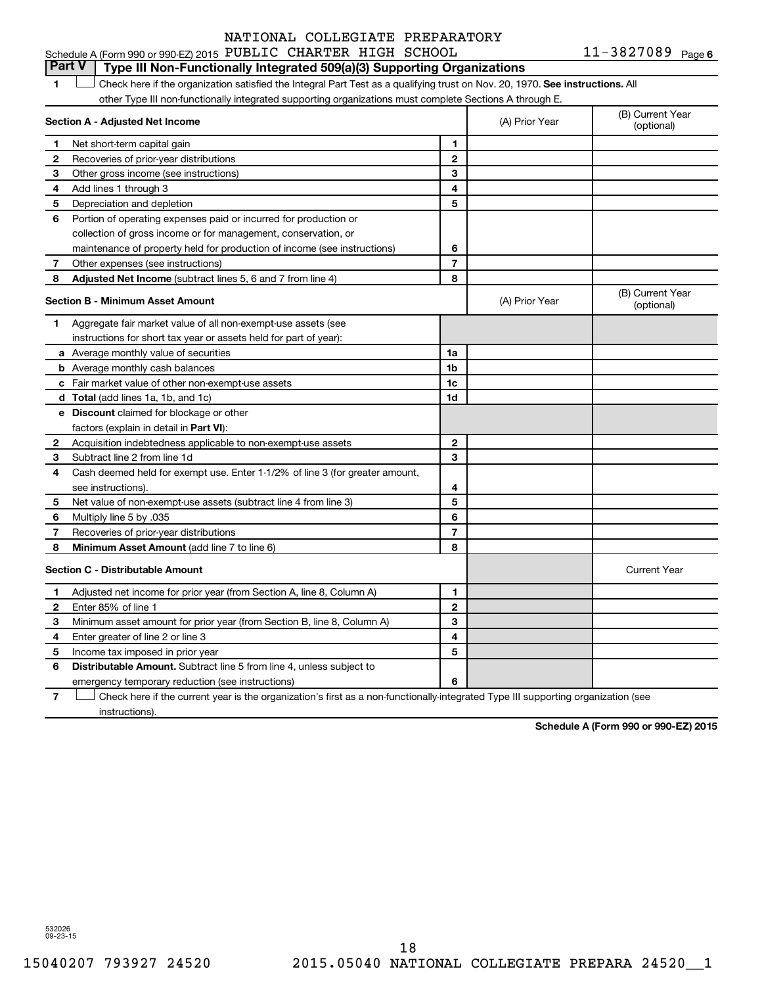11-3827089 Page 6 Schedule A (Form 990 or 990-EZ) 2015 PUBLIC CHARTER HIGH SCHOOL  $11-3827089$  Page

#### **Part V Type III Non-Functionally Integrated 509(a)(3) Supporting Organizations**

1 **Letter on Reck here if the organization satisfied the Integral Part Test as a qualifying trust on Nov. 20, 1970. See instructions. All** other Type III non-functionally integrated supporting organizations must complete Sections A through E.

|                | Section A - Adjusted Net Income                                              |                | (A) Prior Year | (B) Current Year<br>(optional) |
|----------------|------------------------------------------------------------------------------|----------------|----------------|--------------------------------|
| 1              | Net short-term capital gain                                                  | 1              |                |                                |
| $\mathbf{2}$   | Recoveries of prior-year distributions                                       | $\mathbf{2}$   |                |                                |
| 3              | Other gross income (see instructions)                                        | 3              |                |                                |
| 4              | Add lines 1 through 3                                                        | 4              |                |                                |
| 5              | Depreciation and depletion                                                   | 5              |                |                                |
| 6              | Portion of operating expenses paid or incurred for production or             |                |                |                                |
|                | collection of gross income or for management, conservation, or               |                |                |                                |
|                | maintenance of property held for production of income (see instructions)     | 6              |                |                                |
| 7              | Other expenses (see instructions)                                            | $\overline{7}$ |                |                                |
| 8              | <b>Adjusted Net Income</b> (subtract lines 5, 6 and 7 from line 4)           | 8              |                |                                |
|                | <b>Section B - Minimum Asset Amount</b>                                      |                | (A) Prior Year | (B) Current Year<br>(optional) |
| 1              | Aggregate fair market value of all non-exempt-use assets (see                |                |                |                                |
|                | instructions for short tax year or assets held for part of year):            |                |                |                                |
|                | a Average monthly value of securities                                        | 1a             |                |                                |
|                | <b>b</b> Average monthly cash balances                                       | 1b             |                |                                |
|                | c Fair market value of other non-exempt-use assets                           | 1c             |                |                                |
|                | d Total (add lines 1a, 1b, and 1c)                                           | 1d             |                |                                |
|                | e Discount claimed for blockage or other                                     |                |                |                                |
|                | factors (explain in detail in Part VI):                                      |                |                |                                |
| 2              | Acquisition indebtedness applicable to non-exempt-use assets                 | $\mathbf{2}$   |                |                                |
| З              | Subtract line 2 from line 1d                                                 | 3              |                |                                |
| 4              | Cash deemed held for exempt use. Enter 1-1/2% of line 3 (for greater amount, |                |                |                                |
|                | see instructions).                                                           | 4              |                |                                |
| 5              | Net value of non-exempt-use assets (subtract line 4 from line 3)             | 5              |                |                                |
| 6              | Multiply line 5 by .035                                                      | 6              |                |                                |
| $\overline{7}$ | Recoveries of prior-year distributions                                       | $\overline{7}$ |                |                                |
| 8              | Minimum Asset Amount (add line 7 to line 6)                                  | 8              |                |                                |
|                | <b>Section C - Distributable Amount</b>                                      |                |                | <b>Current Year</b>            |
| 1              | Adjusted net income for prior year (from Section A, line 8, Column A)        | 1              |                |                                |
| $\mathbf{2}$   | Enter 85% of line 1                                                          | $\mathbf{2}$   |                |                                |
| З              | Minimum asset amount for prior year (from Section B, line 8, Column A)       | 3              |                |                                |
| 4              | Enter greater of line 2 or line 3                                            | 4              |                |                                |
| 5              | Income tax imposed in prior year                                             | 5              |                |                                |
| 6              | <b>Distributable Amount.</b> Subtract line 5 from line 4, unless subject to  |                |                |                                |
|                | emergency temporary reduction (see instructions)                             | 6              |                |                                |
|                |                                                                              |                |                |                                |

**7** Check here if the current year is the organization's first as a non-functionally-integrated Type III supporting organization (see † instructions).

**Schedule A (Form 990 or 990-EZ) 2015**

532026 09-23-15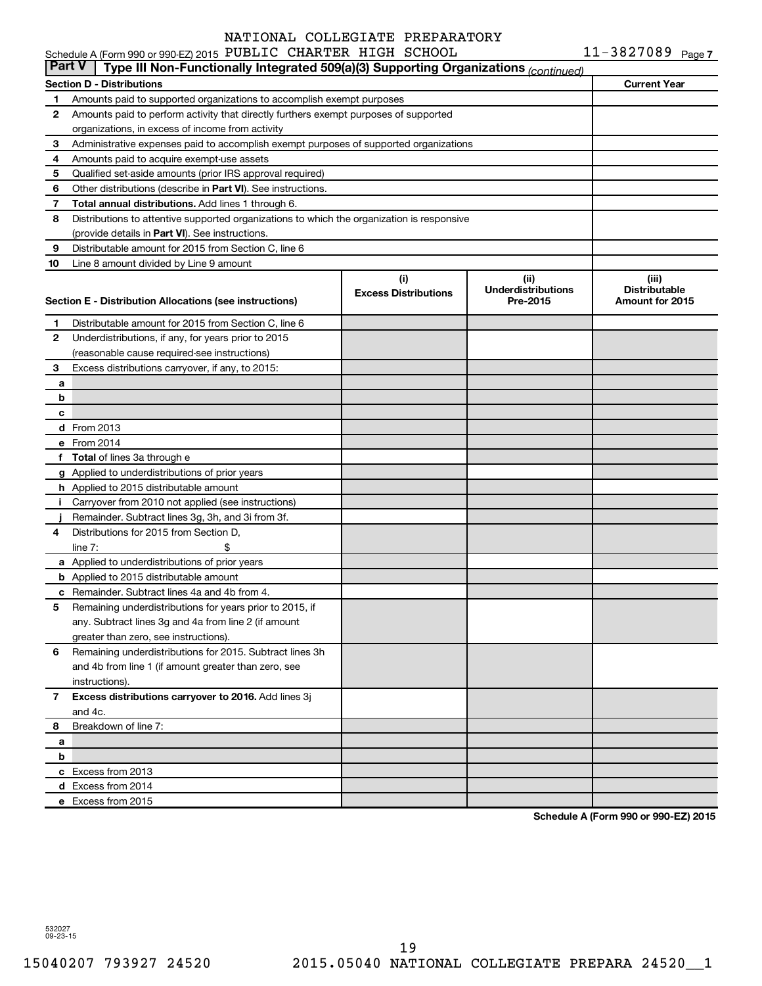|               | Schedule A (Form 990 or 990-EZ) 2015 PUBLIC CHARTER HIGH SCHOOL                            |                             |                           | $11 - 3827089$ Page 7 |
|---------------|--------------------------------------------------------------------------------------------|-----------------------------|---------------------------|-----------------------|
| <b>Part V</b> | Type III Non-Functionally Integrated 509(a)(3) Supporting Organizations (continued)        |                             |                           |                       |
|               | Section D - Distributions                                                                  |                             |                           | <b>Current Year</b>   |
| 1             | Amounts paid to supported organizations to accomplish exempt purposes                      |                             |                           |                       |
| 2             | Amounts paid to perform activity that directly furthers exempt purposes of supported       |                             |                           |                       |
|               | organizations, in excess of income from activity                                           |                             |                           |                       |
| 3             | Administrative expenses paid to accomplish exempt purposes of supported organizations      |                             |                           |                       |
| 4             | Amounts paid to acquire exempt-use assets                                                  |                             |                           |                       |
| 5             | Qualified set-aside amounts (prior IRS approval required)                                  |                             |                           |                       |
| 6             | Other distributions (describe in Part VI). See instructions.                               |                             |                           |                       |
| 7             | Total annual distributions. Add lines 1 through 6.                                         |                             |                           |                       |
| 8             | Distributions to attentive supported organizations to which the organization is responsive |                             |                           |                       |
|               | (provide details in Part VI). See instructions.                                            |                             |                           |                       |
| 9             | Distributable amount for 2015 from Section C, line 6                                       |                             |                           |                       |
| 10            | Line 8 amount divided by Line 9 amount                                                     |                             |                           |                       |
|               |                                                                                            | (i)                         | (ii)                      | (iii)                 |
|               |                                                                                            | <b>Excess Distributions</b> | <b>Underdistributions</b> | <b>Distributable</b>  |
|               | Section E - Distribution Allocations (see instructions)                                    |                             | Pre-2015                  | Amount for 2015       |
| 1             | Distributable amount for 2015 from Section C, line 6                                       |                             |                           |                       |
| 2             | Underdistributions, if any, for years prior to 2015                                        |                             |                           |                       |
|               | (reasonable cause required-see instructions)                                               |                             |                           |                       |
| 3             | Excess distributions carryover, if any, to 2015:                                           |                             |                           |                       |
| а             |                                                                                            |                             |                           |                       |
| b             |                                                                                            |                             |                           |                       |
| c             |                                                                                            |                             |                           |                       |
|               | d From 2013                                                                                |                             |                           |                       |
|               | e From 2014                                                                                |                             |                           |                       |
|               |                                                                                            |                             |                           |                       |
|               | f Total of lines 3a through e                                                              |                             |                           |                       |
|               | g Applied to underdistributions of prior years                                             |                             |                           |                       |
|               | h Applied to 2015 distributable amount                                                     |                             |                           |                       |
| Ť.            | Carryover from 2010 not applied (see instructions)                                         |                             |                           |                       |
|               | Remainder. Subtract lines 3g, 3h, and 3i from 3f.                                          |                             |                           |                       |
| 4             | Distributions for 2015 from Section D,                                                     |                             |                           |                       |
|               | line $7:$                                                                                  |                             |                           |                       |
|               | a Applied to underdistributions of prior years                                             |                             |                           |                       |
|               | <b>b</b> Applied to 2015 distributable amount                                              |                             |                           |                       |
|               | c Remainder. Subtract lines 4a and 4b from 4.                                              |                             |                           |                       |
|               | 5 Remaining underdistributions for years prior to 2015, if                                 |                             |                           |                       |
|               | any. Subtract lines 3q and 4a from line 2 (if amount                                       |                             |                           |                       |
|               | greater than zero, see instructions).                                                      |                             |                           |                       |
| 6             | Remaining underdistributions for 2015. Subtract lines 3h                                   |                             |                           |                       |
|               | and 4b from line 1 (if amount greater than zero, see                                       |                             |                           |                       |
|               | instructions).                                                                             |                             |                           |                       |
| 7             | Excess distributions carryover to 2016. Add lines 3j                                       |                             |                           |                       |
|               | and 4c.                                                                                    |                             |                           |                       |
| 8             | Breakdown of line 7:                                                                       |                             |                           |                       |
| а             |                                                                                            |                             |                           |                       |
| b             |                                                                                            |                             |                           |                       |
|               | c Excess from 2013                                                                         |                             |                           |                       |
|               | d Excess from 2014                                                                         |                             |                           |                       |
|               | e Excess from 2015                                                                         |                             |                           |                       |

**Schedule A (Form 990 or 990-EZ) 2015**

532027 09-23-15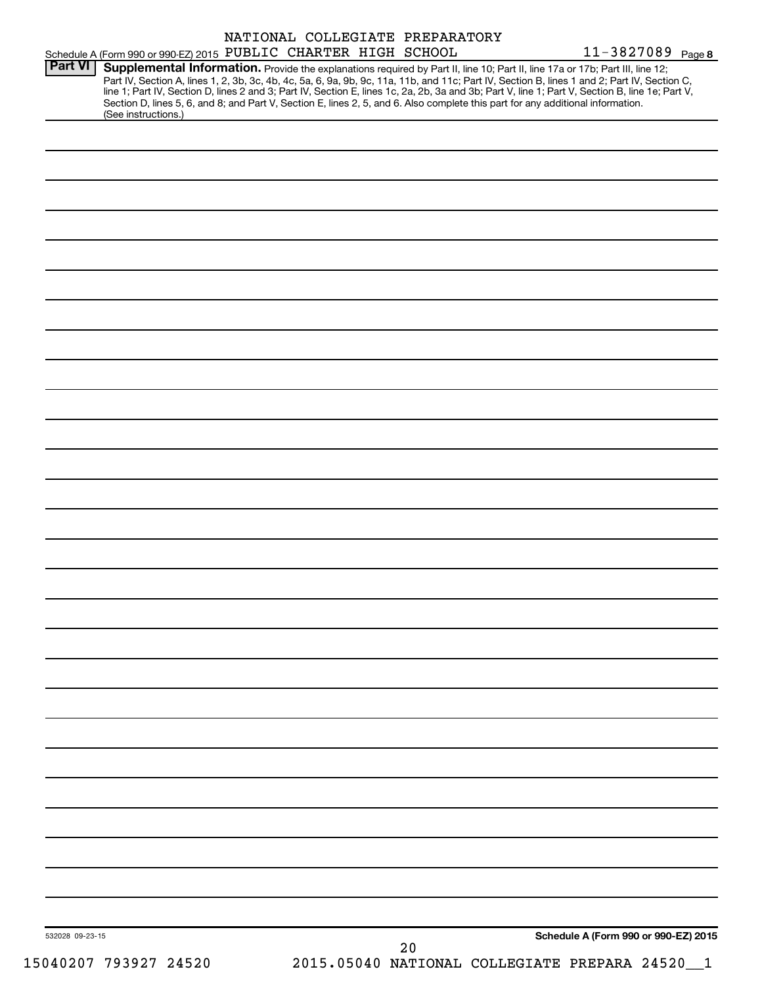|                | Schedule A (Form 990 or 990-EZ) 2015 PUBLIC CHARTER HIGH SCHOOL |  | NATIONAL COLLEGIATE PREPARATORY                                                                                                 | 11-3827089 Page 8                                                                                                                                                                                                                                                                                                                                                                                                                |
|----------------|-----------------------------------------------------------------|--|---------------------------------------------------------------------------------------------------------------------------------|----------------------------------------------------------------------------------------------------------------------------------------------------------------------------------------------------------------------------------------------------------------------------------------------------------------------------------------------------------------------------------------------------------------------------------|
| <b>Part VI</b> | (See instructions.)                                             |  | Section D, lines 5, 6, and 8; and Part V, Section E, lines 2, 5, and 6. Also complete this part for any additional information. | Supplemental Information. Provide the explanations required by Part II, line 10; Part II, line 17a or 17b; Part III, line 12;<br>Part IV, Section A, lines 1, 2, 3b, 3c, 4b, 4c, 5a, 6, 9a, 9b, 9c, 11a, 11b, and 11c; Part IV, Section B, lines 1 and 2; Part IV, Section C,<br>line 1; Part IV, Section D, lines 2 and 3; Part IV, Section E, lines 1c, 2a, 2b, 3a and 3b; Part V, line 1; Part V, Section B, line 1e; Part V, |
|                |                                                                 |  |                                                                                                                                 |                                                                                                                                                                                                                                                                                                                                                                                                                                  |
|                |                                                                 |  |                                                                                                                                 |                                                                                                                                                                                                                                                                                                                                                                                                                                  |
|                |                                                                 |  |                                                                                                                                 |                                                                                                                                                                                                                                                                                                                                                                                                                                  |
|                |                                                                 |  |                                                                                                                                 |                                                                                                                                                                                                                                                                                                                                                                                                                                  |
|                |                                                                 |  |                                                                                                                                 |                                                                                                                                                                                                                                                                                                                                                                                                                                  |
|                |                                                                 |  |                                                                                                                                 |                                                                                                                                                                                                                                                                                                                                                                                                                                  |
|                |                                                                 |  |                                                                                                                                 |                                                                                                                                                                                                                                                                                                                                                                                                                                  |
|                |                                                                 |  |                                                                                                                                 |                                                                                                                                                                                                                                                                                                                                                                                                                                  |
|                |                                                                 |  |                                                                                                                                 |                                                                                                                                                                                                                                                                                                                                                                                                                                  |
|                |                                                                 |  |                                                                                                                                 |                                                                                                                                                                                                                                                                                                                                                                                                                                  |
|                |                                                                 |  |                                                                                                                                 |                                                                                                                                                                                                                                                                                                                                                                                                                                  |
|                |                                                                 |  |                                                                                                                                 |                                                                                                                                                                                                                                                                                                                                                                                                                                  |
|                |                                                                 |  |                                                                                                                                 |                                                                                                                                                                                                                                                                                                                                                                                                                                  |
|                |                                                                 |  |                                                                                                                                 |                                                                                                                                                                                                                                                                                                                                                                                                                                  |
|                |                                                                 |  |                                                                                                                                 |                                                                                                                                                                                                                                                                                                                                                                                                                                  |
|                |                                                                 |  |                                                                                                                                 |                                                                                                                                                                                                                                                                                                                                                                                                                                  |
|                |                                                                 |  |                                                                                                                                 |                                                                                                                                                                                                                                                                                                                                                                                                                                  |
|                |                                                                 |  |                                                                                                                                 |                                                                                                                                                                                                                                                                                                                                                                                                                                  |
|                |                                                                 |  |                                                                                                                                 |                                                                                                                                                                                                                                                                                                                                                                                                                                  |
|                |                                                                 |  |                                                                                                                                 |                                                                                                                                                                                                                                                                                                                                                                                                                                  |
|                |                                                                 |  |                                                                                                                                 |                                                                                                                                                                                                                                                                                                                                                                                                                                  |
|                |                                                                 |  |                                                                                                                                 |                                                                                                                                                                                                                                                                                                                                                                                                                                  |
|                |                                                                 |  |                                                                                                                                 |                                                                                                                                                                                                                                                                                                                                                                                                                                  |
|                |                                                                 |  |                                                                                                                                 |                                                                                                                                                                                                                                                                                                                                                                                                                                  |
|                |                                                                 |  |                                                                                                                                 |                                                                                                                                                                                                                                                                                                                                                                                                                                  |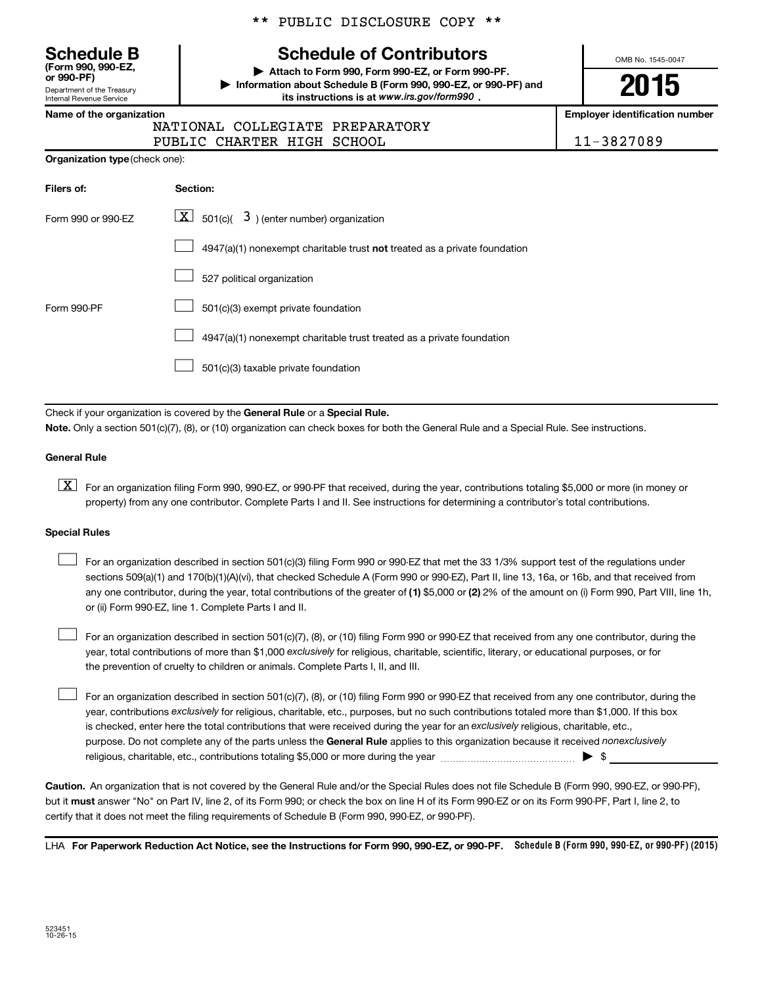**(Form 990, 990-EZ,**

Department of the Treasury Internal Revenue Service

#### \*\* PUBLIC DISCLOSURE COPY \*\*

### **Schedule B Schedule of Contributors**

**or 990-PF) | Attach to Form 990, Form 990-EZ, or Form 990-PF. | Information about Schedule B (Form 990, 990-EZ, or 990-PF) and** its instructions is at www.irs.gov/form990.

OMB No. 1545-0047

**2015**

**Name of the organization Employer identification number**

| NATIONAL COLLEGIATE PREPARATORY |            |
|---------------------------------|------------|
| PUBLIC CHARTER HIGH SCHOOL      | 11-3827089 |

| <b>Organization type</b> (check one): |
|---------------------------------------|
|                                       |

| Filers of:         | Section:                                                                  |
|--------------------|---------------------------------------------------------------------------|
| Form 990 or 990-EZ | $\boxed{\textbf{X}}$ 501(c)( 3) (enter number) organization               |
|                    | 4947(a)(1) nonexempt charitable trust not treated as a private foundation |
|                    | 527 political organization                                                |
| Form 990-PF        | 501(c)(3) exempt private foundation                                       |
|                    | 4947(a)(1) nonexempt charitable trust treated as a private foundation     |
|                    | 501(c)(3) taxable private foundation                                      |

Check if your organization is covered by the General Rule or a Special Rule.

**Note.**  Only a section 501(c)(7), (8), or (10) organization can check boxes for both the General Rule and a Special Rule. See instructions.

#### **General Rule**

**K** For an organization filing Form 990, 990-EZ, or 990-PF that received, during the year, contributions totaling \$5,000 or more (in money or property) from any one contributor. Complete Parts I and II. See instructions for determining a contributor's total contributions.

#### **Special Rules**

 $\Box$ 

any one contributor, during the year, total contributions of the greater of **(1)** \$5,000 or **(2)** 2% of the amount on (i) Form 990, Part VIII, line 1h, For an organization described in section 501(c)(3) filing Form 990 or 990-EZ that met the 33 1/3% support test of the regulations under sections 509(a)(1) and 170(b)(1)(A)(vi), that checked Schedule A (Form 990 or 990-EZ), Part II, line 13, 16a, or 16b, and that received from or (ii) Form 990-EZ, line 1. Complete Parts I and II.  $\Box$ 

year, total contributions of more than \$1,000 *exclusively* for religious, charitable, scientific, literary, or educational purposes, or for For an organization described in section 501(c)(7), (8), or (10) filing Form 990 or 990-EZ that received from any one contributor, during the the prevention of cruelty to children or animals. Complete Parts I, II, and III.  $\Box$ 

purpose. Do not complete any of the parts unless the General Rule applies to this organization because it received nonexclusively year, contributions exclusively for religious, charitable, etc., purposes, but no such contributions totaled more than \$1,000. If this box is checked, enter here the total contributions that were received during the year for an exclusively religious, charitable, etc., For an organization described in section 501(c)(7), (8), or (10) filing Form 990 or 990-EZ that received from any one contributor, during the religious, charitable, etc., contributions totaling \$5,000 or more during the year  $\ldots$  $\ldots$  $\ldots$  $\ldots$  $\ldots$  $\ldots$ 

**Caution.** An organization that is not covered by the General Rule and/or the Special Rules does not file Schedule B (Form 990, 990-EZ, or 990-PF),  **must** but it answer "No" on Part IV, line 2, of its Form 990; or check the box on line H of its Form 990-EZ or on its Form 990-PF, Part I, line 2, to certify that it does not meet the filing requirements of Schedule B (Form 990, 990-EZ, or 990-PF).

LHA For Paperwork Reduction Act Notice, see the Instructions for Form 990, 990-EZ, or 990-PF. Schedule B (Form 990, 990-EZ, or 990-PF) (2015)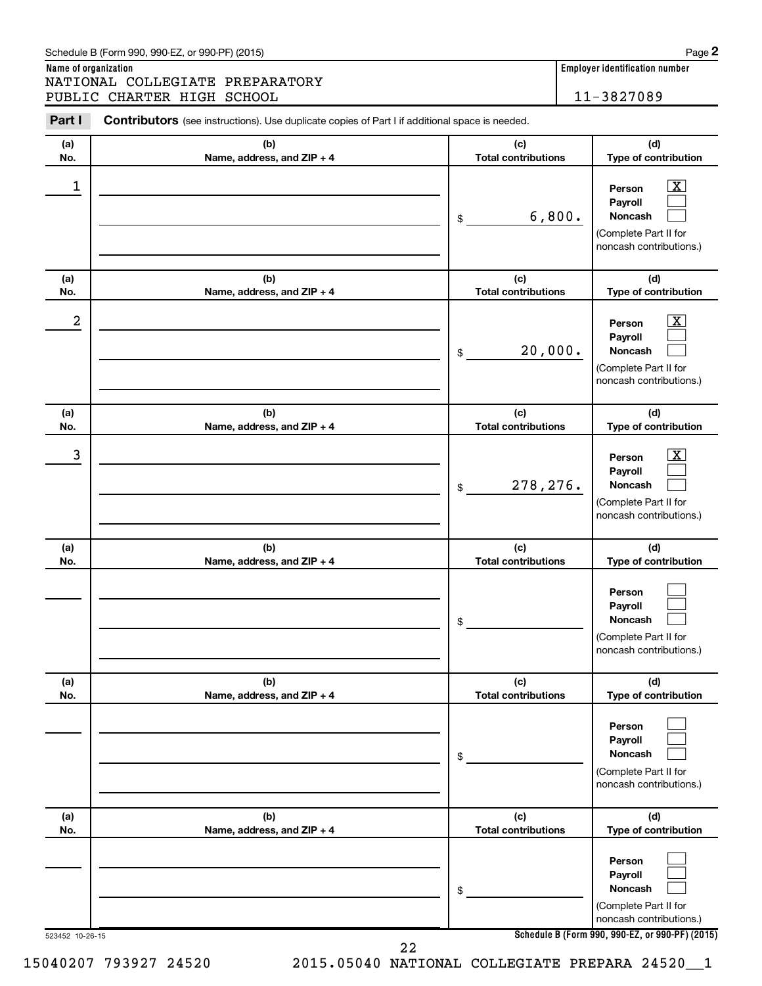**Name of organization Employer identification number** NATIONAL COLLEGIATE PREPARATORY PUBLIC CHARTER HIGH SCHOOL | 11-3827089

| Part I           | Contributors (see instructions). Use duplicate copies of Part I if additional space is needed. |                                   |                                                                                                                    |
|------------------|------------------------------------------------------------------------------------------------|-----------------------------------|--------------------------------------------------------------------------------------------------------------------|
| (a)<br>No.       | (b)<br>Name, address, and ZIP + 4                                                              | (c)<br><b>Total contributions</b> | (d)<br>Type of contribution                                                                                        |
| 1                |                                                                                                | 6,800.<br>\$                      | $\overline{\mathbf{X}}$<br>Person<br>Payroll<br><b>Noncash</b><br>(Complete Part II for<br>noncash contributions.) |
| (a)<br>No.       | (b)<br>Name, address, and ZIP + 4                                                              | (c)<br><b>Total contributions</b> | (d)<br>Type of contribution                                                                                        |
| $\boldsymbol{2}$ |                                                                                                | 20,000.<br>\$                     | $\overline{\mathbf{X}}$<br>Person<br>Payroll<br><b>Noncash</b><br>(Complete Part II for<br>noncash contributions.) |
| (a)<br>No.       | (b)<br>Name, address, and ZIP + 4                                                              | (c)<br><b>Total contributions</b> | (d)<br>Type of contribution                                                                                        |
| 3                |                                                                                                | 278, 276.<br>\$                   | $\overline{\text{X}}$<br>Person<br>Payroll<br><b>Noncash</b><br>(Complete Part II for<br>noncash contributions.)   |
| (a)<br>No.       | (b)<br>Name, address, and ZIP + 4                                                              | (c)<br><b>Total contributions</b> | (d)<br>Type of contribution                                                                                        |
|                  |                                                                                                | \$                                | Person<br>Payroll<br><b>Noncash</b><br>(Complete Part II for<br>noncash contributions.)                            |
| (a)<br>No.       | (b)<br>Name, address, and ZIP + 4                                                              | (c)<br><b>Total contributions</b> | (d)<br>Type of contribution                                                                                        |
|                  |                                                                                                | \$                                | Person<br>Payroll<br><b>Noncash</b><br>(Complete Part II for<br>noncash contributions.)                            |
| (a)<br>No.       | (b)<br>Name, address, and ZIP + 4                                                              | (c)<br><b>Total contributions</b> | (d)<br>Type of contribution                                                                                        |
|                  |                                                                                                | \$                                | Person<br>Payroll<br><b>Noncash</b><br>(Complete Part II for<br>noncash contributions.)                            |
| 523452 10-26-15  | 22                                                                                             |                                   | Schedule B (Form 990, 990-EZ, or 990-PF) (2015)                                                                    |

15040207 793927 24520 2015.05040 NATIONAL COLLEGIATE PREPARA 24520\_\_1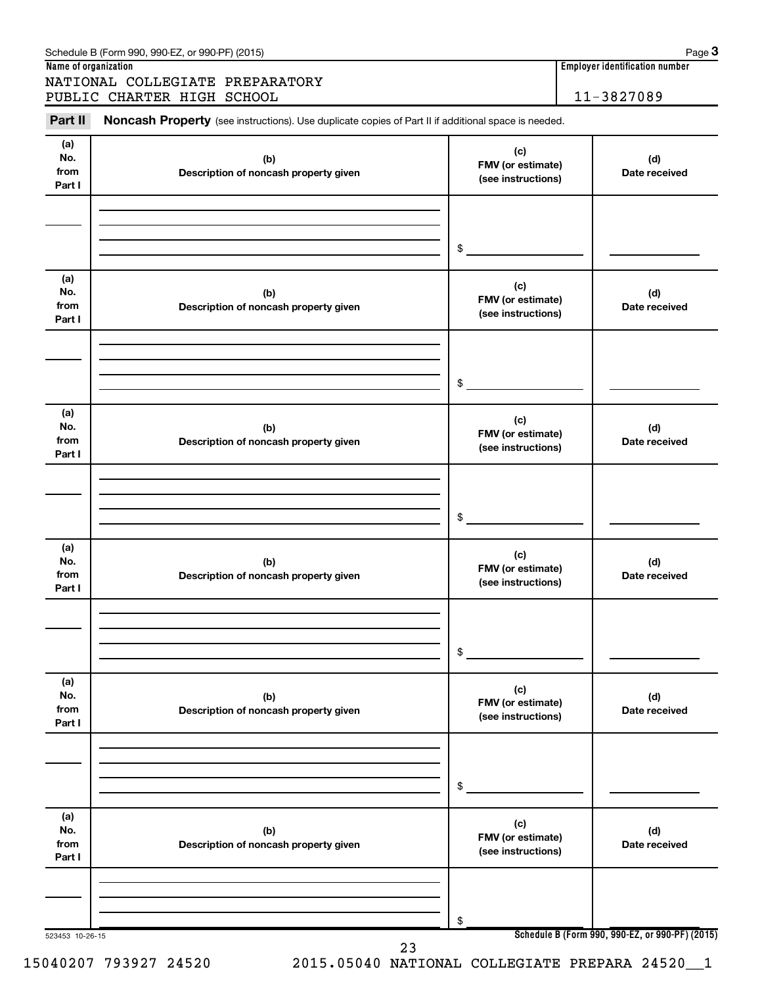| Schedule B (Form 990, 990-EZ, or 990-PF) (2015) | Page |
|-------------------------------------------------|------|
|                                                 |      |

**Name of organization Employer identification number**

NATIONAL COLLEGIATE PREPARATORY PUBLIC CHARTER HIGH SCHOOL 11-3827089

Part II Noncash Property (see instructions). Use duplicate copies of Part II if additional space is needed.

| (a)<br>No.<br>from<br>Part I | (b)<br>Description of noncash property given | (c)<br>FMV (or estimate)<br>(see instructions) | (d)<br>Date received                            |
|------------------------------|----------------------------------------------|------------------------------------------------|-------------------------------------------------|
|                              |                                              | $\mathfrak{S}$                                 |                                                 |
| (a)<br>No.<br>from<br>Part I | (b)<br>Description of noncash property given | (c)<br>FMV (or estimate)<br>(see instructions) | (d)<br>Date received                            |
|                              |                                              | $\frac{1}{2}$                                  |                                                 |
| (a)<br>No.<br>from<br>Part I | (b)<br>Description of noncash property given | (c)<br>FMV (or estimate)<br>(see instructions) | (d)<br>Date received                            |
|                              |                                              | $\frac{1}{2}$                                  |                                                 |
| (a)<br>No.<br>from<br>Part I | (b)<br>Description of noncash property given | (c)<br>FMV (or estimate)<br>(see instructions) | (d)<br>Date received                            |
|                              |                                              | $\frac{1}{2}$                                  |                                                 |
| (a)<br>No.<br>from<br>Part I | (b)<br>Description of noncash property given | (c)<br>FMV (or estimate)<br>(see instructions) | (d)<br>Date received                            |
|                              |                                              | \$                                             |                                                 |
| (a)<br>No.<br>from<br>Part I | (b)<br>Description of noncash property given | (c)<br>FMV (or estimate)<br>(see instructions) | (d)<br>Date received                            |
|                              |                                              | \$                                             |                                                 |
| 523453 10-26-15              |                                              |                                                | Schedule B (Form 990, 990-EZ, or 990-PF) (2015) |

#### 15040207 793927 24520 2015.05040 NATIONAL COLLEGIATE PREPARA 24520\_\_1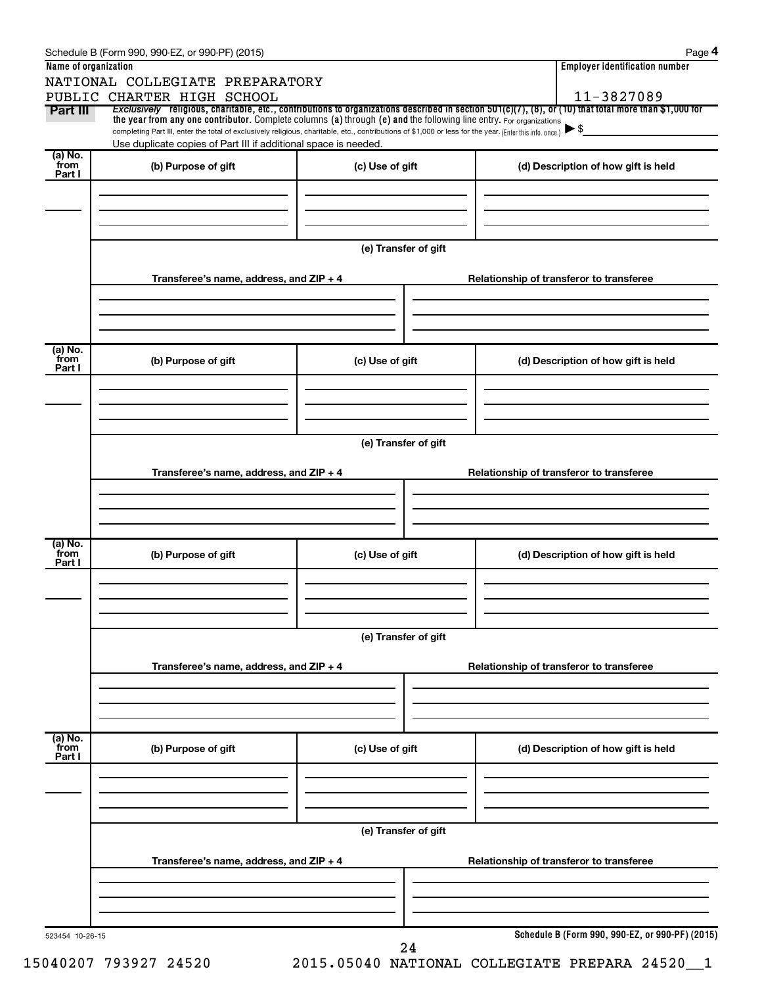|                      | Schedule B (Form 990, 990-EZ, or 990-PF) (2015)                                                                                                                                                                             |                      | Page 4                                                                                                                                                                 |  |  |  |  |  |
|----------------------|-----------------------------------------------------------------------------------------------------------------------------------------------------------------------------------------------------------------------------|----------------------|------------------------------------------------------------------------------------------------------------------------------------------------------------------------|--|--|--|--|--|
| Name of organization |                                                                                                                                                                                                                             |                      | <b>Employer identification number</b>                                                                                                                                  |  |  |  |  |  |
|                      | NATIONAL COLLEGIATE PREPARATORY                                                                                                                                                                                             |                      |                                                                                                                                                                        |  |  |  |  |  |
| Part III             | PUBLIC CHARTER HIGH SCHOOL                                                                                                                                                                                                  |                      | 11-3827089<br>Exclusively religious, charitable, etc., contributions to organizations described in section $501(c)(7)$ , (8), or (10) that total more than \$1,000 for |  |  |  |  |  |
|                      | the year from any one contributor. Complete columns (a) through (e) and the following line entry. For organizations                                                                                                         |                      | $\blacktriangleright$ \$                                                                                                                                               |  |  |  |  |  |
|                      | completing Part III, enter the total of exclusively religious, charitable, etc., contributions of \$1,000 or less for the year. (Enter this info. once.)<br>Use duplicate copies of Part III if additional space is needed. |                      |                                                                                                                                                                        |  |  |  |  |  |
| (a) No.<br>from      |                                                                                                                                                                                                                             |                      |                                                                                                                                                                        |  |  |  |  |  |
| Part I               | (b) Purpose of gift                                                                                                                                                                                                         | (c) Use of gift      | (d) Description of how gift is held                                                                                                                                    |  |  |  |  |  |
|                      |                                                                                                                                                                                                                             |                      |                                                                                                                                                                        |  |  |  |  |  |
|                      |                                                                                                                                                                                                                             |                      |                                                                                                                                                                        |  |  |  |  |  |
|                      |                                                                                                                                                                                                                             |                      |                                                                                                                                                                        |  |  |  |  |  |
|                      |                                                                                                                                                                                                                             | (e) Transfer of gift |                                                                                                                                                                        |  |  |  |  |  |
|                      |                                                                                                                                                                                                                             |                      |                                                                                                                                                                        |  |  |  |  |  |
|                      | Transferee's name, address, and ZIP + 4                                                                                                                                                                                     |                      | Relationship of transferor to transferee                                                                                                                               |  |  |  |  |  |
|                      |                                                                                                                                                                                                                             |                      |                                                                                                                                                                        |  |  |  |  |  |
|                      |                                                                                                                                                                                                                             |                      |                                                                                                                                                                        |  |  |  |  |  |
|                      |                                                                                                                                                                                                                             |                      |                                                                                                                                                                        |  |  |  |  |  |
| (a) No.<br>from      | (b) Purpose of gift                                                                                                                                                                                                         | (c) Use of gift      | (d) Description of how gift is held                                                                                                                                    |  |  |  |  |  |
| Part I               |                                                                                                                                                                                                                             |                      |                                                                                                                                                                        |  |  |  |  |  |
|                      |                                                                                                                                                                                                                             |                      |                                                                                                                                                                        |  |  |  |  |  |
|                      |                                                                                                                                                                                                                             |                      |                                                                                                                                                                        |  |  |  |  |  |
|                      |                                                                                                                                                                                                                             |                      |                                                                                                                                                                        |  |  |  |  |  |
|                      | (e) Transfer of gift                                                                                                                                                                                                        |                      |                                                                                                                                                                        |  |  |  |  |  |
|                      |                                                                                                                                                                                                                             |                      |                                                                                                                                                                        |  |  |  |  |  |
|                      | Transferee's name, address, and ZIP + 4                                                                                                                                                                                     |                      | Relationship of transferor to transferee                                                                                                                               |  |  |  |  |  |
|                      |                                                                                                                                                                                                                             |                      |                                                                                                                                                                        |  |  |  |  |  |
|                      |                                                                                                                                                                                                                             |                      |                                                                                                                                                                        |  |  |  |  |  |
|                      |                                                                                                                                                                                                                             |                      |                                                                                                                                                                        |  |  |  |  |  |
| (a) No.<br>from      | (b) Purpose of gift                                                                                                                                                                                                         | (c) Use of gift      | (d) Description of how gift is held                                                                                                                                    |  |  |  |  |  |
| Part I               |                                                                                                                                                                                                                             |                      |                                                                                                                                                                        |  |  |  |  |  |
|                      |                                                                                                                                                                                                                             |                      |                                                                                                                                                                        |  |  |  |  |  |
|                      |                                                                                                                                                                                                                             |                      |                                                                                                                                                                        |  |  |  |  |  |
|                      |                                                                                                                                                                                                                             |                      |                                                                                                                                                                        |  |  |  |  |  |
|                      |                                                                                                                                                                                                                             | (e) Transfer of gift |                                                                                                                                                                        |  |  |  |  |  |
|                      | Transferee's name, address, and ZIP + 4                                                                                                                                                                                     |                      | Relationship of transferor to transferee                                                                                                                               |  |  |  |  |  |
|                      |                                                                                                                                                                                                                             |                      |                                                                                                                                                                        |  |  |  |  |  |
|                      |                                                                                                                                                                                                                             |                      |                                                                                                                                                                        |  |  |  |  |  |
|                      |                                                                                                                                                                                                                             |                      |                                                                                                                                                                        |  |  |  |  |  |
| (a) No.<br>from      |                                                                                                                                                                                                                             |                      |                                                                                                                                                                        |  |  |  |  |  |
| Part I               | (b) Purpose of gift                                                                                                                                                                                                         | (c) Use of gift      | (d) Description of how gift is held                                                                                                                                    |  |  |  |  |  |
|                      |                                                                                                                                                                                                                             |                      |                                                                                                                                                                        |  |  |  |  |  |
|                      |                                                                                                                                                                                                                             |                      |                                                                                                                                                                        |  |  |  |  |  |
|                      |                                                                                                                                                                                                                             |                      |                                                                                                                                                                        |  |  |  |  |  |
|                      |                                                                                                                                                                                                                             | (e) Transfer of gift |                                                                                                                                                                        |  |  |  |  |  |
|                      |                                                                                                                                                                                                                             |                      |                                                                                                                                                                        |  |  |  |  |  |
|                      | Transferee's name, address, and ZIP + 4                                                                                                                                                                                     |                      | Relationship of transferor to transferee                                                                                                                               |  |  |  |  |  |
|                      |                                                                                                                                                                                                                             |                      |                                                                                                                                                                        |  |  |  |  |  |
|                      |                                                                                                                                                                                                                             |                      |                                                                                                                                                                        |  |  |  |  |  |
|                      |                                                                                                                                                                                                                             |                      |                                                                                                                                                                        |  |  |  |  |  |
| 523454 10-26-15      |                                                                                                                                                                                                                             |                      | Schedule B (Form 990, 990-EZ, or 990-PF) (2015)                                                                                                                        |  |  |  |  |  |
|                      |                                                                                                                                                                                                                             | 24                   |                                                                                                                                                                        |  |  |  |  |  |

15040207 793927 24520 2015.05040 NATIONAL COLLEGIATE PREPARA 24520\_\_1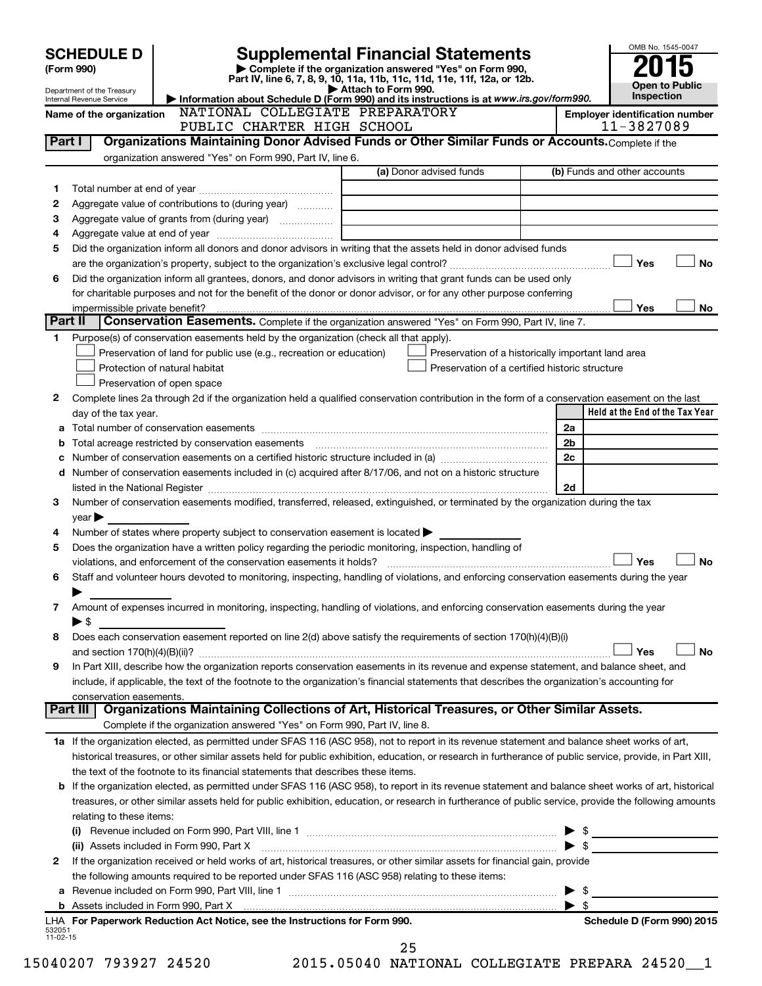|                    | <b>SCHEDULE D</b>                                      |                                                                                                                                                            | <b>Supplemental Financial Statements</b>                                                                                             |                                       | OMB No. 1545-0047               |           |
|--------------------|--------------------------------------------------------|------------------------------------------------------------------------------------------------------------------------------------------------------------|--------------------------------------------------------------------------------------------------------------------------------------|---------------------------------------|---------------------------------|-----------|
|                    | (Form 990)                                             |                                                                                                                                                            | Complete if the organization answered "Yes" on Form 990,<br>Part IV, line 6, 7, 8, 9, 10, 11a, 11b, 11c, 11d, 11e, 11f, 12a, or 12b. |                                       | <b>Open to Public</b>           |           |
|                    | Department of the Treasury<br>Internal Revenue Service |                                                                                                                                                            | Attach to Form 990.<br>Information about Schedule D (Form 990) and its instructions is at www.irs.gov/form990.                       |                                       | <b>Inspection</b>               |           |
|                    | Name of the organization                               | NATIONAL COLLEGIATE PREPARATORY                                                                                                                            |                                                                                                                                      | <b>Employer identification number</b> |                                 |           |
|                    |                                                        | PUBLIC CHARTER HIGH SCHOOL                                                                                                                                 |                                                                                                                                      |                                       | 11-3827089                      |           |
| Part I             |                                                        | Organizations Maintaining Donor Advised Funds or Other Similar Funds or Accounts. Complete if the                                                          |                                                                                                                                      |                                       |                                 |           |
|                    |                                                        | organization answered "Yes" on Form 990, Part IV, line 6.                                                                                                  |                                                                                                                                      |                                       |                                 |           |
|                    |                                                        |                                                                                                                                                            | (a) Donor advised funds                                                                                                              | (b) Funds and other accounts          |                                 |           |
| 1                  |                                                        |                                                                                                                                                            |                                                                                                                                      |                                       |                                 |           |
| 2<br>З             |                                                        | Aggregate value of contributions to (during year)                                                                                                          |                                                                                                                                      |                                       |                                 |           |
| 4                  |                                                        |                                                                                                                                                            |                                                                                                                                      |                                       |                                 |           |
| 5                  |                                                        | Did the organization inform all donors and donor advisors in writing that the assets held in donor advised funds                                           |                                                                                                                                      |                                       |                                 |           |
|                    |                                                        |                                                                                                                                                            |                                                                                                                                      |                                       | Yes                             | <b>No</b> |
| 6                  |                                                        | Did the organization inform all grantees, donors, and donor advisors in writing that grant funds can be used only                                          |                                                                                                                                      |                                       |                                 |           |
|                    |                                                        | for charitable purposes and not for the benefit of the donor or donor advisor, or for any other purpose conferring                                         |                                                                                                                                      |                                       |                                 |           |
|                    | impermissible private benefit?                         |                                                                                                                                                            |                                                                                                                                      |                                       | Yes                             | No        |
| Part II            |                                                        | Conservation Easements. Complete if the organization answered "Yes" on Form 990, Part IV, line 7.                                                          |                                                                                                                                      |                                       |                                 |           |
| 1.                 |                                                        | Purpose(s) of conservation easements held by the organization (check all that apply).                                                                      |                                                                                                                                      |                                       |                                 |           |
|                    |                                                        | Preservation of land for public use (e.g., recreation or education)<br>Protection of natural habitat                                                       | Preservation of a historically important land area<br>Preservation of a certified historic structure                                 |                                       |                                 |           |
|                    |                                                        | Preservation of open space                                                                                                                                 |                                                                                                                                      |                                       |                                 |           |
| 2                  |                                                        | Complete lines 2a through 2d if the organization held a qualified conservation contribution in the form of a conservation easement on the last             |                                                                                                                                      |                                       |                                 |           |
|                    | day of the tax year.                                   |                                                                                                                                                            |                                                                                                                                      |                                       | Held at the End of the Tax Year |           |
| а                  |                                                        |                                                                                                                                                            |                                                                                                                                      | 2a                                    |                                 |           |
| b                  |                                                        |                                                                                                                                                            |                                                                                                                                      | 2 <sub>b</sub>                        |                                 |           |
| с                  |                                                        | Number of conservation easements on a certified historic structure included in (a) manufacture included in (a)                                             |                                                                                                                                      | 2c                                    |                                 |           |
| d                  |                                                        | Number of conservation easements included in (c) acquired after 8/17/06, and not on a historic structure                                                   |                                                                                                                                      |                                       |                                 |           |
|                    |                                                        |                                                                                                                                                            |                                                                                                                                      | 2d                                    |                                 |           |
| 3                  |                                                        | Number of conservation easements modified, transferred, released, extinguished, or terminated by the organization during the tax                           |                                                                                                                                      |                                       |                                 |           |
| 4                  | $\vee$ ear $\blacktriangleright$                       | Number of states where property subject to conservation easement is located $\blacktriangleright$                                                          |                                                                                                                                      |                                       |                                 |           |
| 5                  |                                                        | Does the organization have a written policy regarding the periodic monitoring, inspection, handling of                                                     |                                                                                                                                      |                                       |                                 |           |
|                    |                                                        | violations, and enforcement of the conservation easements it holds?                                                                                        |                                                                                                                                      |                                       | Yes                             | <b>No</b> |
| 6                  |                                                        | Staff and volunteer hours devoted to monitoring, inspecting, handling of violations, and enforcing conservation easements during the year                  |                                                                                                                                      |                                       |                                 |           |
|                    |                                                        |                                                                                                                                                            |                                                                                                                                      |                                       |                                 |           |
| 7                  |                                                        | Amount of expenses incurred in monitoring, inspecting, handling of violations, and enforcing conservation easements during the year                        |                                                                                                                                      |                                       |                                 |           |
|                    | $\blacktriangleright$ \$                               |                                                                                                                                                            |                                                                                                                                      |                                       |                                 |           |
| 8                  |                                                        | Does each conservation easement reported on line 2(d) above satisfy the requirements of section 170(h)(4)(B)(i)                                            |                                                                                                                                      |                                       |                                 |           |
|                    |                                                        |                                                                                                                                                            |                                                                                                                                      |                                       | Yes                             | No        |
| 9                  |                                                        | In Part XIII, describe how the organization reports conservation easements in its revenue and expense statement, and balance sheet, and                    |                                                                                                                                      |                                       |                                 |           |
|                    | conservation easements.                                | include, if applicable, the text of the footnote to the organization's financial statements that describes the organization's accounting for               |                                                                                                                                      |                                       |                                 |           |
|                    | Part III                                               | Organizations Maintaining Collections of Art, Historical Treasures, or Other Similar Assets.                                                               |                                                                                                                                      |                                       |                                 |           |
|                    |                                                        | Complete if the organization answered "Yes" on Form 990, Part IV, line 8.                                                                                  |                                                                                                                                      |                                       |                                 |           |
|                    |                                                        | 1a If the organization elected, as permitted under SFAS 116 (ASC 958), not to report in its revenue statement and balance sheet works of art,              |                                                                                                                                      |                                       |                                 |           |
|                    |                                                        | historical treasures, or other similar assets held for public exhibition, education, or research in furtherance of public service, provide, in Part XIII,  |                                                                                                                                      |                                       |                                 |           |
|                    |                                                        | the text of the footnote to its financial statements that describes these items.                                                                           |                                                                                                                                      |                                       |                                 |           |
|                    |                                                        | <b>b</b> If the organization elected, as permitted under SFAS 116 (ASC 958), to report in its revenue statement and balance sheet works of art, historical |                                                                                                                                      |                                       |                                 |           |
|                    |                                                        | treasures, or other similar assets held for public exhibition, education, or research in furtherance of public service, provide the following amounts      |                                                                                                                                      |                                       |                                 |           |
|                    | relating to these items:                               |                                                                                                                                                            |                                                                                                                                      |                                       |                                 |           |
|                    |                                                        |                                                                                                                                                            |                                                                                                                                      | \$<br>▶                               |                                 |           |
|                    |                                                        | (ii) Assets included in Form 990, Part X [11] Marson Marson Marson Marson Marson Marson Marson Marson Marson M                                             |                                                                                                                                      | $\blacktriangleright$ \$              |                                 |           |
| 2                  |                                                        | If the organization received or held works of art, historical treasures, or other similar assets for financial gain, provide                               |                                                                                                                                      |                                       |                                 |           |
|                    |                                                        | the following amounts required to be reported under SFAS 116 (ASC 958) relating to these items:                                                            |                                                                                                                                      | \$                                    |                                 |           |
|                    |                                                        |                                                                                                                                                            |                                                                                                                                      | ▶<br>$\blacktriangleright$ s          |                                 |           |
|                    |                                                        | LHA For Paperwork Reduction Act Notice, see the Instructions for Form 990.                                                                                 |                                                                                                                                      |                                       | Schedule D (Form 990) 2015      |           |
| 532051<br>11-02-15 |                                                        |                                                                                                                                                            |                                                                                                                                      |                                       |                                 |           |
|                    |                                                        |                                                                                                                                                            | 25                                                                                                                                   |                                       |                                 |           |

15040207 793927 24520 2015.05040 NATIONAL COLLEGIATE PREPARA 24520\_\_1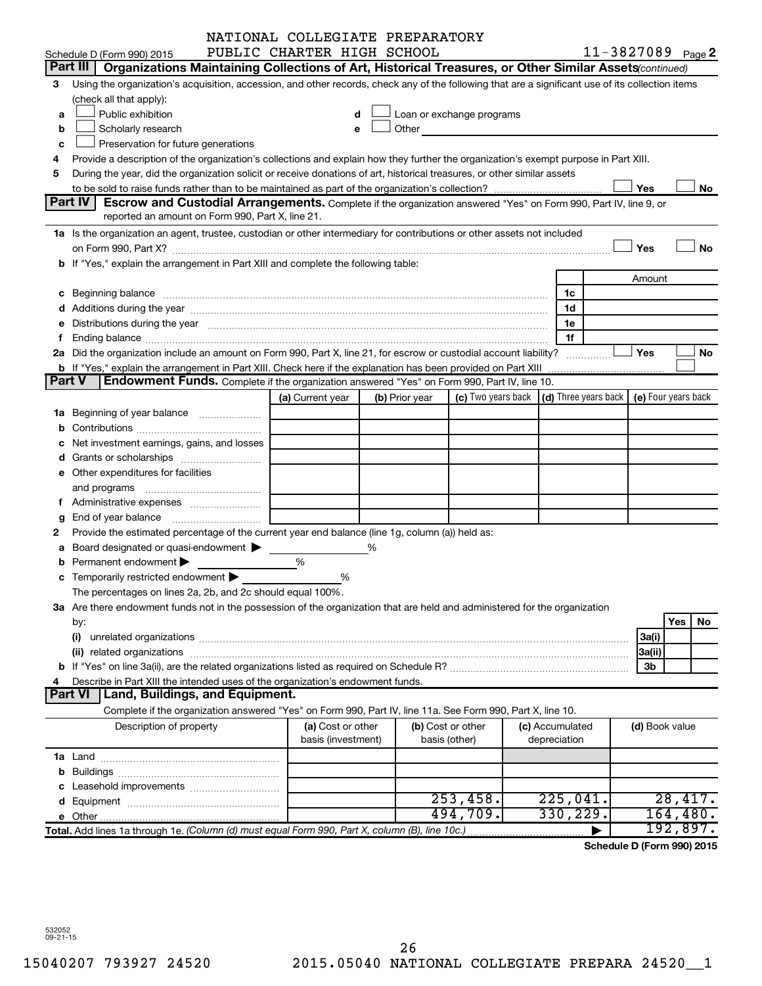|   |                                                                                                                                                                                                                                | NATIONAL COLLEGIATE PREPARATORY         |   |                |                                                 |                                 |                     |            |
|---|--------------------------------------------------------------------------------------------------------------------------------------------------------------------------------------------------------------------------------|-----------------------------------------|---|----------------|-------------------------------------------------|---------------------------------|---------------------|------------|
|   | Schedule D (Form 990) 2015                                                                                                                                                                                                     | PUBLIC CHARTER HIGH SCHOOL              |   |                |                                                 |                                 | 11-3827089 Page 2   |            |
|   | Part III   Organizations Maintaining Collections of Art, Historical Treasures, or Other Similar Assets (continued)                                                                                                             |                                         |   |                |                                                 |                                 |                     |            |
| 3 | Using the organization's acquisition, accession, and other records, check any of the following that are a significant use of its collection items                                                                              |                                         |   |                |                                                 |                                 |                     |            |
|   | (check all that apply):                                                                                                                                                                                                        |                                         |   |                |                                                 |                                 |                     |            |
| a | Public exhibition                                                                                                                                                                                                              |                                         |   |                | Loan or exchange programs                       |                                 |                     |            |
| b | Scholarly research                                                                                                                                                                                                             |                                         |   |                | Other <b>Communication Communication</b>        |                                 |                     |            |
| c | Preservation for future generations                                                                                                                                                                                            |                                         |   |                |                                                 |                                 |                     |            |
|   | Provide a description of the organization's collections and explain how they further the organization's exempt purpose in Part XIII.                                                                                           |                                         |   |                |                                                 |                                 |                     |            |
| 5 | During the year, did the organization solicit or receive donations of art, historical treasures, or other similar assets                                                                                                       |                                         |   |                |                                                 |                                 |                     |            |
|   |                                                                                                                                                                                                                                |                                         |   |                |                                                 |                                 | Yes                 | No         |
|   | <b>Part IV</b><br><b>Escrow and Custodial Arrangements.</b> Complete if the organization answered "Yes" on Form 990, Part IV, line 9, or                                                                                       |                                         |   |                |                                                 |                                 |                     |            |
|   | reported an amount on Form 990, Part X, line 21.                                                                                                                                                                               |                                         |   |                |                                                 |                                 |                     |            |
|   | 1a Is the organization an agent, trustee, custodian or other intermediary for contributions or other assets not included                                                                                                       |                                         |   |                |                                                 |                                 |                     |            |
|   |                                                                                                                                                                                                                                |                                         |   |                |                                                 |                                 | Yes                 | No         |
|   | b If "Yes," explain the arrangement in Part XIII and complete the following table:                                                                                                                                             |                                         |   |                |                                                 |                                 |                     |            |
|   |                                                                                                                                                                                                                                |                                         |   |                |                                                 |                                 | Amount              |            |
|   |                                                                                                                                                                                                                                |                                         |   |                |                                                 | 1c                              |                     |            |
|   |                                                                                                                                                                                                                                |                                         |   |                |                                                 | 1d                              |                     |            |
|   | e Distributions during the year manufactured and contain an account of the year manufactured and the year manufactured and the year manufactured and the year manufactured and the year manufactured and the year manufactured |                                         |   |                |                                                 | 1е                              |                     |            |
|   |                                                                                                                                                                                                                                |                                         |   |                |                                                 | 1f                              |                     |            |
|   | 2a Did the organization include an amount on Form 990, Part X, line 21, for escrow or custodial account liability?                                                                                                             |                                         |   |                |                                                 |                                 | Yes                 | No         |
|   |                                                                                                                                                                                                                                |                                         |   |                |                                                 |                                 |                     |            |
|   | <b>Endowment Funds.</b> Complete if the organization answered "Yes" on Form 990, Part IV, line 10.<br>Part V                                                                                                                   |                                         |   |                |                                                 |                                 |                     |            |
|   |                                                                                                                                                                                                                                | (a) Current year                        |   | (b) Prior year | (c) Two years back $ $ (d) Three years back $ $ |                                 | (e) Four years back |            |
|   |                                                                                                                                                                                                                                |                                         |   |                |                                                 |                                 |                     |            |
|   |                                                                                                                                                                                                                                |                                         |   |                |                                                 |                                 |                     |            |
|   | Net investment earnings, gains, and losses                                                                                                                                                                                     |                                         |   |                |                                                 |                                 |                     |            |
|   |                                                                                                                                                                                                                                |                                         |   |                |                                                 |                                 |                     |            |
|   | e Other expenditures for facilities                                                                                                                                                                                            |                                         |   |                |                                                 |                                 |                     |            |
|   |                                                                                                                                                                                                                                |                                         |   |                |                                                 |                                 |                     |            |
|   |                                                                                                                                                                                                                                |                                         |   |                |                                                 |                                 |                     |            |
| g |                                                                                                                                                                                                                                |                                         |   |                |                                                 |                                 |                     |            |
|   | Provide the estimated percentage of the current year end balance (line 1g, column (a)) held as:                                                                                                                                |                                         |   |                |                                                 |                                 |                     |            |
|   | a Board designated or quasi-endowment >                                                                                                                                                                                        |                                         | % |                |                                                 |                                 |                     |            |
|   | Permanent endowment                                                                                                                                                                                                            | %                                       |   |                |                                                 |                                 |                     |            |
|   | c Temporarily restricted endowment $\blacktriangleright$                                                                                                                                                                       | %                                       |   |                |                                                 |                                 |                     |            |
|   | The percentages on lines 2a, 2b, and 2c should equal 100%.                                                                                                                                                                     |                                         |   |                |                                                 |                                 |                     |            |
|   | 3a Are there endowment funds not in the possession of the organization that are held and administered for the organization                                                                                                     |                                         |   |                |                                                 |                                 |                     |            |
|   | by:                                                                                                                                                                                                                            |                                         |   |                |                                                 |                                 |                     | Yes<br>No. |
|   | (i)                                                                                                                                                                                                                            |                                         |   |                |                                                 |                                 | 3a(i)               |            |
|   |                                                                                                                                                                                                                                |                                         |   |                |                                                 |                                 | 3a(ii)              |            |
|   |                                                                                                                                                                                                                                |                                         |   |                |                                                 |                                 | 3b                  |            |
|   | Describe in Part XIII the intended uses of the organization's endowment funds.                                                                                                                                                 |                                         |   |                |                                                 |                                 |                     |            |
|   | Land, Buildings, and Equipment.<br><b>Part VI</b>                                                                                                                                                                              |                                         |   |                |                                                 |                                 |                     |            |
|   | Complete if the organization answered "Yes" on Form 990, Part IV, line 11a. See Form 990, Part X, line 10.                                                                                                                     |                                         |   |                |                                                 |                                 |                     |            |
|   | Description of property                                                                                                                                                                                                        | (a) Cost or other<br>basis (investment) |   | basis (other)  | (b) Cost or other                               | (c) Accumulated<br>depreciation | (d) Book value      |            |
|   |                                                                                                                                                                                                                                |                                         |   |                |                                                 |                                 |                     |            |
|   |                                                                                                                                                                                                                                |                                         |   |                |                                                 |                                 |                     |            |
|   |                                                                                                                                                                                                                                |                                         |   |                |                                                 |                                 |                     |            |
|   |                                                                                                                                                                                                                                |                                         |   |                | 253,458.                                        | 225,041.                        |                     | 28,417.    |
|   |                                                                                                                                                                                                                                |                                         |   |                | 494,709.                                        | 330, 229.                       |                     | 164,480.   |
|   | Total. Add lines 1a through 1e. (Column (d) must equal Form 990, Part X, column (B), line 10c.)                                                                                                                                |                                         |   |                |                                                 |                                 |                     | 192,897.   |
|   |                                                                                                                                                                                                                                |                                         |   |                |                                                 |                                 |                     |            |

**Schedule D (Form 990) 2015**

532052 09-21-15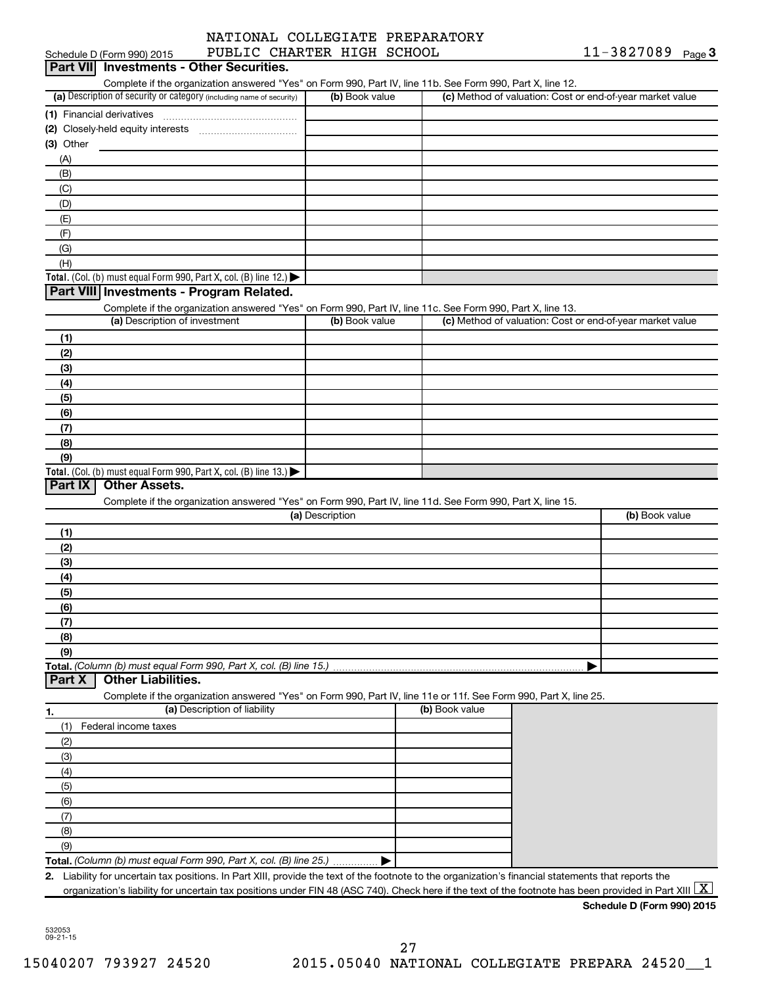|                            | NATIONAL COLLEGIATE PREPARATORY |
|----------------------------|---------------------------------|
| PUBLIC CHARTER HIGH SCHOOL |                                 |

|             | Schedule D (Form 990) 2015                                                                                                                               | PUBLIC CHARTER HIGH SCHOOL |                | $11 - 3827089$ Page 3                                     |  |
|-------------|----------------------------------------------------------------------------------------------------------------------------------------------------------|----------------------------|----------------|-----------------------------------------------------------|--|
| Part VIII   | <b>Investments - Other Securities.</b>                                                                                                                   |                            |                |                                                           |  |
|             | Complete if the organization answered "Yes" on Form 990, Part IV, line 11b. See Form 990, Part X, line 12.                                               |                            |                |                                                           |  |
|             | (a) Description of security or category (including name of security)                                                                                     | (b) Book value             |                | (c) Method of valuation: Cost or end-of-year market value |  |
|             |                                                                                                                                                          |                            |                |                                                           |  |
|             |                                                                                                                                                          |                            |                |                                                           |  |
| $(3)$ Other |                                                                                                                                                          |                            |                |                                                           |  |
| (A)         |                                                                                                                                                          |                            |                |                                                           |  |
| (B)         |                                                                                                                                                          |                            |                |                                                           |  |
| (C)         |                                                                                                                                                          |                            |                |                                                           |  |
| (D)         |                                                                                                                                                          |                            |                |                                                           |  |
| (E)         |                                                                                                                                                          |                            |                |                                                           |  |
| (F)         |                                                                                                                                                          |                            |                |                                                           |  |
| (G)         |                                                                                                                                                          |                            |                |                                                           |  |
| (H)         |                                                                                                                                                          |                            |                |                                                           |  |
|             |                                                                                                                                                          |                            |                |                                                           |  |
|             | Total. (Col. (b) must equal Form 990, Part X, col. (B) line 12.)<br>Part VIII Investments - Program Related.                                             |                            |                |                                                           |  |
|             |                                                                                                                                                          |                            |                |                                                           |  |
|             | Complete if the organization answered "Yes" on Form 990, Part IV, line 11c. See Form 990, Part X, line 13.<br>(a) Description of investment              | (b) Book value             |                | (c) Method of valuation: Cost or end-of-year market value |  |
|             |                                                                                                                                                          |                            |                |                                                           |  |
| (1)         |                                                                                                                                                          |                            |                |                                                           |  |
| (2)         |                                                                                                                                                          |                            |                |                                                           |  |
| (3)         |                                                                                                                                                          |                            |                |                                                           |  |
| (4)         |                                                                                                                                                          |                            |                |                                                           |  |
| (5)         |                                                                                                                                                          |                            |                |                                                           |  |
| (6)         |                                                                                                                                                          |                            |                |                                                           |  |
| (7)         |                                                                                                                                                          |                            |                |                                                           |  |
| (8)         |                                                                                                                                                          |                            |                |                                                           |  |
| (9)         |                                                                                                                                                          |                            |                |                                                           |  |
|             | Total. (Col. (b) must equal Form 990, Part X, col. (B) line 13.)                                                                                         |                            |                |                                                           |  |
| Part IX     | <b>Other Assets.</b>                                                                                                                                     |                            |                |                                                           |  |
|             | Complete if the organization answered "Yes" on Form 990, Part IV, line 11d. See Form 990, Part X, line 15.                                               |                            |                |                                                           |  |
|             |                                                                                                                                                          | (a) Description            |                | (b) Book value                                            |  |
| (1)         |                                                                                                                                                          |                            |                |                                                           |  |
| (2)         |                                                                                                                                                          |                            |                |                                                           |  |
| (3)         |                                                                                                                                                          |                            |                |                                                           |  |
| (4)         |                                                                                                                                                          |                            |                |                                                           |  |
| (5)         |                                                                                                                                                          |                            |                |                                                           |  |
| (6)         |                                                                                                                                                          |                            |                |                                                           |  |
| (7)         |                                                                                                                                                          |                            |                |                                                           |  |
| (8)         |                                                                                                                                                          |                            |                |                                                           |  |
| (9)         |                                                                                                                                                          |                            |                |                                                           |  |
|             | Total. (Column (b) must equal Form 990, Part X, col. (B) line 15.)                                                                                       |                            |                |                                                           |  |
| Part X      | <b>Other Liabilities.</b>                                                                                                                                |                            |                |                                                           |  |
|             | Complete if the organization answered "Yes" on Form 990, Part IV, line 11e or 11f. See Form 990, Part X, line 25.                                        |                            |                |                                                           |  |
| 1.          | (a) Description of liability                                                                                                                             |                            | (b) Book value |                                                           |  |
| (1)         | Federal income taxes                                                                                                                                     |                            |                |                                                           |  |
| (2)         |                                                                                                                                                          |                            |                |                                                           |  |
| (3)         |                                                                                                                                                          |                            |                |                                                           |  |
| (4)         |                                                                                                                                                          |                            |                |                                                           |  |
|             |                                                                                                                                                          |                            |                |                                                           |  |
| (5)         |                                                                                                                                                          |                            |                |                                                           |  |
| (6)         |                                                                                                                                                          |                            |                |                                                           |  |
| (7)         |                                                                                                                                                          |                            |                |                                                           |  |
| (8)         |                                                                                                                                                          |                            |                |                                                           |  |
| (9)         |                                                                                                                                                          |                            |                |                                                           |  |
|             | Total. (Column (b) must equal Form 990, Part X, col. (B) line 25.)                                                                                       |                            |                |                                                           |  |
|             | 2. Liability for uncertain tax positions. In Part XIII, provide the text of the footnote to the organization's financial statements that reports the     |                            |                |                                                           |  |
|             | organization's liability for uncertain tax positions under FIN 48 (ASC 740). Check here if the text of the footnote has been provided in Part XIII $ X $ |                            |                |                                                           |  |
|             |                                                                                                                                                          |                            |                | Schedule D (Form 990) 2015                                |  |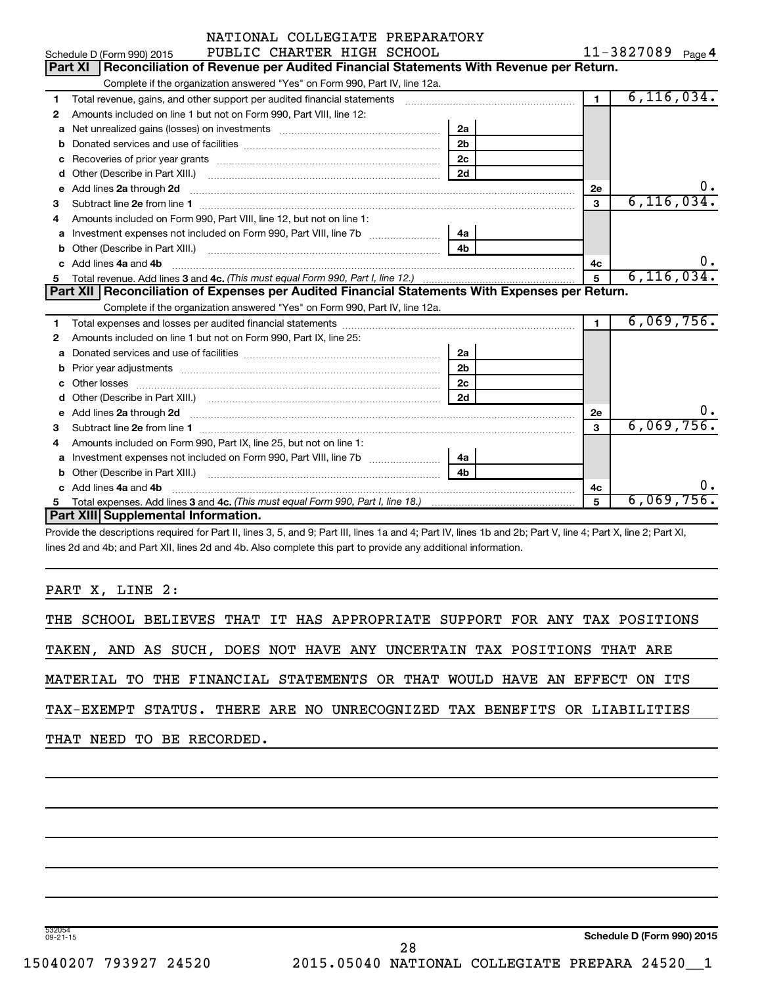|    | NATIONAL COLLEGIATE PREPARATORY                                                                                                                                                                                                     |                |                |                   |
|----|-------------------------------------------------------------------------------------------------------------------------------------------------------------------------------------------------------------------------------------|----------------|----------------|-------------------|
|    | PUBLIC CHARTER HIGH SCHOOL<br>Schedule D (Form 990) 2015                                                                                                                                                                            |                |                | 11-3827089 Page 4 |
|    | Reconciliation of Revenue per Audited Financial Statements With Revenue per Return.<br>Part XI                                                                                                                                      |                |                |                   |
|    | Complete if the organization answered "Yes" on Form 990, Part IV, line 12a.                                                                                                                                                         |                |                |                   |
| 1  | Total revenue, gains, and other support per audited financial statements                                                                                                                                                            |                | 1 <sup>1</sup> | 6, 116, 034.      |
| 2  | Amounts included on line 1 but not on Form 990, Part VIII, line 12:                                                                                                                                                                 |                |                |                   |
| a  | Net unrealized gains (losses) on investments [111] [12] matter and the unrealized gains (losses) on investments                                                                                                                     | 2a             |                |                   |
|    |                                                                                                                                                                                                                                     | 2 <sub>b</sub> |                |                   |
|    |                                                                                                                                                                                                                                     | 2c             |                |                   |
| d  | Other (Describe in Part XIII.) <b>2000</b> 2000 2010 2010 2010 2010 2011 2012 2013 2014 2015 2016 2017 2018 2019 2016 2016 2017 2018 2019 2016 2017 2018 2019 2016 2017 2018 2019 2018 2019 2016 2017 2018 2019 2018 2019 2018 2019 | 2d             |                |                   |
| е  | Add lines 2a through 2d                                                                                                                                                                                                             |                | 2е             |                   |
| 3  |                                                                                                                                                                                                                                     |                | 3              | 6, 116, 034.      |
| 4  | Amounts included on Form 990, Part VIII, line 12, but not on line 1:                                                                                                                                                                |                |                |                   |
| a  |                                                                                                                                                                                                                                     | 4a             |                |                   |
| b  |                                                                                                                                                                                                                                     | 4 <sub>h</sub> |                |                   |
|    | Add lines 4a and 4b                                                                                                                                                                                                                 |                | 4c             | $0$ .             |
|    |                                                                                                                                                                                                                                     |                |                |                   |
| 5. |                                                                                                                                                                                                                                     |                | 5              | 6, 116, 034.      |
|    | Part XII   Reconciliation of Expenses per Audited Financial Statements With Expenses per Return.                                                                                                                                    |                |                |                   |
|    | Complete if the organization answered "Yes" on Form 990, Part IV, line 12a.                                                                                                                                                         |                |                |                   |
| 1  |                                                                                                                                                                                                                                     |                | $\blacksquare$ | 6,069,756.        |
| 2  | Amounts included on line 1 but not on Form 990, Part IX, line 25:                                                                                                                                                                   |                |                |                   |
| a  |                                                                                                                                                                                                                                     | 2a             |                |                   |
| b  |                                                                                                                                                                                                                                     | 2 <sub>b</sub> |                |                   |
|    | Other losses                                                                                                                                                                                                                        | 2 <sub>c</sub> |                |                   |
| d  |                                                                                                                                                                                                                                     | 2d             |                |                   |
| е  | Add lines 2a through 2d <b>contained a contained a contained a contained a</b> contained a contained a contact the set                                                                                                              |                | 2e             |                   |
| з  |                                                                                                                                                                                                                                     |                | 3              | 6,069,756.        |
| 4  | Amounts included on Form 990, Part IX, line 25, but not on line 1:                                                                                                                                                                  |                |                |                   |
| a  |                                                                                                                                                                                                                                     | 4a             |                |                   |
| b  |                                                                                                                                                                                                                                     | 4 <sub>h</sub> |                |                   |
| c  | Add lines 4a and 4b                                                                                                                                                                                                                 |                | 4c             |                   |
|    | Part XIII Supplemental Information.                                                                                                                                                                                                 |                | 5              | 6,069,756.        |

Provide the descriptions required for Part II, lines 3, 5, and 9; Part III, lines 1a and 4; Part IV, lines 1b and 2b; Part V, line 4; Part X, line 2; Part XI, lines 2d and 4b; and Part XII, lines 2d and 4b. Also complete this part to provide any additional information.

#### PART X, LINE 2:

|  |  |                           |  | THE SCHOOL BELIEVES THAT IT HAS APPROPRIATE SUPPORT FOR ANY TAX POSITIONS |  |  |  |  |
|--|--|---------------------------|--|---------------------------------------------------------------------------|--|--|--|--|
|  |  |                           |  | TAKEN, AND AS SUCH, DOES NOT HAVE ANY UNCERTAIN TAX POSITIONS THAT ARE    |  |  |  |  |
|  |  |                           |  | MATERIAL TO THE FINANCIAL STATEMENTS OR THAT WOULD HAVE AN EFFECT ON ITS  |  |  |  |  |
|  |  |                           |  | TAX-EXEMPT STATUS. THERE ARE NO UNRECOGNIZED TAX BENEFITS OR LIABILITIES  |  |  |  |  |
|  |  | THAT NEED TO BE RECORDED. |  |                                                                           |  |  |  |  |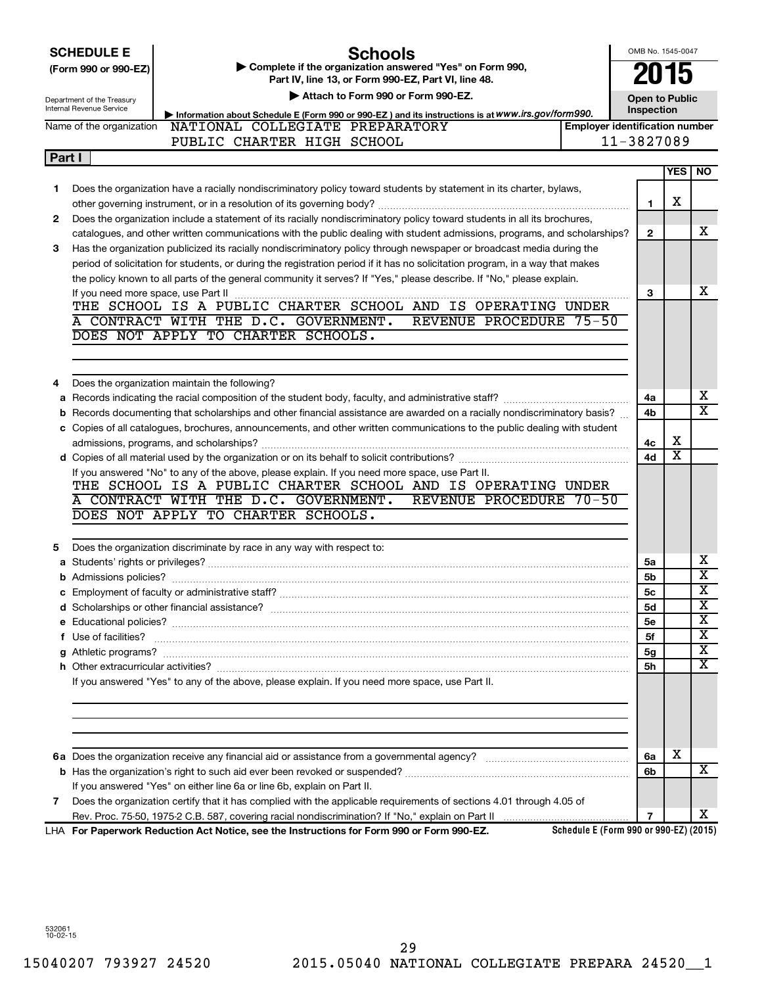|        | <b>SCHEDULE E</b><br>Schools                                                                                                                                                                                                                                  | OMB No. 1545-0047                   |            |                         |
|--------|---------------------------------------------------------------------------------------------------------------------------------------------------------------------------------------------------------------------------------------------------------------|-------------------------------------|------------|-------------------------|
|        | Complete if the organization answered "Yes" on Form 990,<br>(Form 990 or 990-EZ)<br>Part IV, line 13, or Form 990-EZ, Part VI, line 48.                                                                                                                       |                                     | 015        |                         |
|        | Attach to Form 990 or Form 990-EZ.                                                                                                                                                                                                                            |                                     |            |                         |
|        | Department of the Treasury<br>Internal Revenue Service                                                                                                                                                                                                        | <b>Open to Public</b><br>Inspection |            |                         |
|        | Information about Schedule E (Form 990 or 990-EZ) and its instructions is at WWW.irs.gov/form990.<br>Name of the organization<br>NATIONAL COLLEGIATE PREPARATORY<br><b>Employer identification number</b>                                                     |                                     |            |                         |
|        | PUBLIC CHARTER HIGH SCHOOL                                                                                                                                                                                                                                    | 11-3827089                          |            |                         |
| Part I |                                                                                                                                                                                                                                                               |                                     |            |                         |
|        |                                                                                                                                                                                                                                                               |                                     | <b>YES</b> | NO.                     |
| 1      | Does the organization have a racially nondiscriminatory policy toward students by statement in its charter, bylaws,                                                                                                                                           |                                     |            |                         |
|        |                                                                                                                                                                                                                                                               | 1                                   | х          |                         |
| 2      | Does the organization include a statement of its racially nondiscriminatory policy toward students in all its brochures,                                                                                                                                      |                                     |            |                         |
|        | catalogues, and other written communications with the public dealing with student admissions, programs, and scholarships?                                                                                                                                     | $\mathbf{2}$                        |            | x                       |
| 3      | Has the organization publicized its racially nondiscriminatory policy through newspaper or broadcast media during the                                                                                                                                         |                                     |            |                         |
|        | period of solicitation for students, or during the registration period if it has no solicitation program, in a way that makes                                                                                                                                 |                                     |            |                         |
|        | the policy known to all parts of the general community it serves? If "Yes," please describe. If "No," please explain.                                                                                                                                         |                                     |            |                         |
|        |                                                                                                                                                                                                                                                               | з                                   |            | x                       |
|        | THE SCHOOL IS A PUBLIC CHARTER SCHOOL AND IS OPERATING UNDER                                                                                                                                                                                                  |                                     |            |                         |
|        | A CONTRACT WITH THE D.C. GOVERNMENT.<br>REVENUE PROCEDURE 75-50<br>DOES NOT APPLY TO CHARTER SCHOOLS.                                                                                                                                                         |                                     |            |                         |
|        |                                                                                                                                                                                                                                                               |                                     |            |                         |
|        |                                                                                                                                                                                                                                                               |                                     |            |                         |
|        |                                                                                                                                                                                                                                                               |                                     |            |                         |
| 4      | Does the organization maintain the following?                                                                                                                                                                                                                 |                                     |            | х                       |
| а      |                                                                                                                                                                                                                                                               | 4a<br>4b                            |            | x                       |
|        | <b>b</b> Records documenting that scholarships and other financial assistance are awarded on a racially nondiscriminatory basis?<br>c Copies of all catalogues, brochures, announcements, and other written communications to the public dealing with student |                                     |            |                         |
|        |                                                                                                                                                                                                                                                               | 4c                                  | х          |                         |
|        |                                                                                                                                                                                                                                                               | 4d                                  | x          |                         |
|        | If you answered "No" to any of the above, please explain. If you need more space, use Part II.                                                                                                                                                                |                                     |            |                         |
|        | THE SCHOOL IS A PUBLIC CHARTER SCHOOL AND IS OPERATING UNDER                                                                                                                                                                                                  |                                     |            |                         |
|        | A CONTRACT WITH THE D.C. GOVERNMENT.<br>REVENUE PROCEDURE 70-50                                                                                                                                                                                               |                                     |            |                         |
|        | DOES NOT APPLY TO CHARTER SCHOOLS.                                                                                                                                                                                                                            |                                     |            |                         |
|        |                                                                                                                                                                                                                                                               |                                     |            |                         |
| 5      | Does the organization discriminate by race in any way with respect to:                                                                                                                                                                                        |                                     |            |                         |
|        |                                                                                                                                                                                                                                                               | 5a                                  |            | х                       |
|        |                                                                                                                                                                                                                                                               | 5b                                  |            | $\overline{\textbf{x}}$ |
|        |                                                                                                                                                                                                                                                               | 5c                                  |            | $\overline{\text{x}}$   |
|        |                                                                                                                                                                                                                                                               | 5d                                  |            | х                       |
|        |                                                                                                                                                                                                                                                               | <b>5e</b>                           |            | х                       |
|        | f Use of facilities? <b>www.communities.</b> We can be a series of the contract of the contract of the contract of the contract of the contract of the contract of the contract of the contract of the contract of the contract of                            | 5f                                  |            | х                       |
|        |                                                                                                                                                                                                                                                               | 5g                                  |            | х                       |
|        |                                                                                                                                                                                                                                                               | 5h                                  |            | x                       |
|        | If you answered "Yes" to any of the above, please explain. If you need more space, use Part II.                                                                                                                                                               |                                     |            |                         |
|        |                                                                                                                                                                                                                                                               |                                     |            |                         |
|        |                                                                                                                                                                                                                                                               |                                     |            |                         |
|        |                                                                                                                                                                                                                                                               |                                     |            |                         |
|        |                                                                                                                                                                                                                                                               |                                     |            |                         |
|        |                                                                                                                                                                                                                                                               | 6a                                  | x          |                         |
|        |                                                                                                                                                                                                                                                               | 6b                                  |            | x                       |
|        | If you answered "Yes" on either line 6a or line 6b, explain on Part II.                                                                                                                                                                                       |                                     |            |                         |
| 7      | Does the organization certify that it has complied with the applicable requirements of sections 4.01 through 4.05 of                                                                                                                                          |                                     |            |                         |
|        |                                                                                                                                                                                                                                                               | $\overline{7}$                      |            | X.                      |

**For Paperwork Reduction Act Notice, see the Instructions for Form 990 or Form 990-EZ.** LHA

**Schedule E (Form 990 or 990-EZ) (2015)**

532061 10-02-15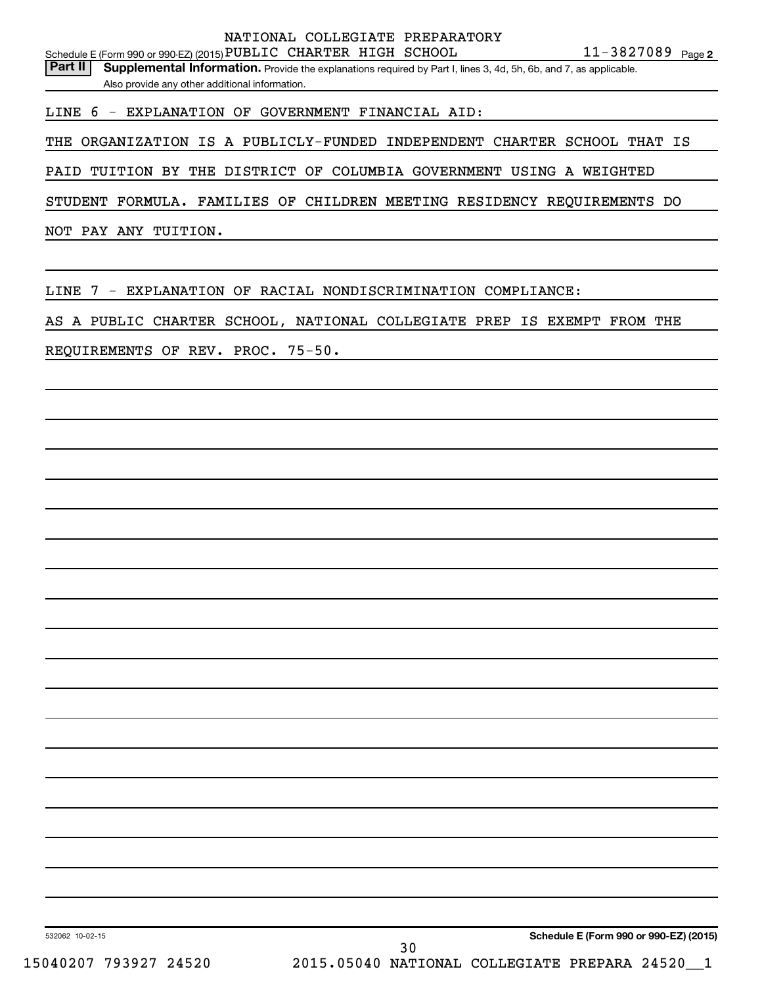Part II | Supplemental Information. Provide the explanations required by Part I, lines 3, 4d, 5h, 6b, and 7, as applicable. Also provide any other additional information.

LINE 6 - EXPLANATION OF GOVERNMENT FINANCIAL AID:

THE ORGANIZATION IS A PUBLICLY-FUNDED INDEPENDENT CHARTER SCHOOL THAT IS

PAID TUITION BY THE DISTRICT OF COLUMBIA GOVERNMENT USING A WEIGHTED

STUDENT FORMULA. FAMILIES OF CHILDREN MEETING RESIDENCY REQUIREMENTS DO

NOT PAY ANY TUITION.

LINE 7 - EXPLANATION OF RACIAL NONDISCRIMINATION COMPLIANCE:

AS A PUBLIC CHARTER SCHOOL, NATIONAL COLLEGIATE PREP IS EXEMPT FROM THE

REQUIREMENTS OF REV. PROC. 75-50.

**Schedule E (Form 990 or 990-EZ) (2015)**

532062 10-02-15

15040207 793927 24520 2015.05040 NATIONAL COLLEGIATE PREPARA 24520\_\_1 30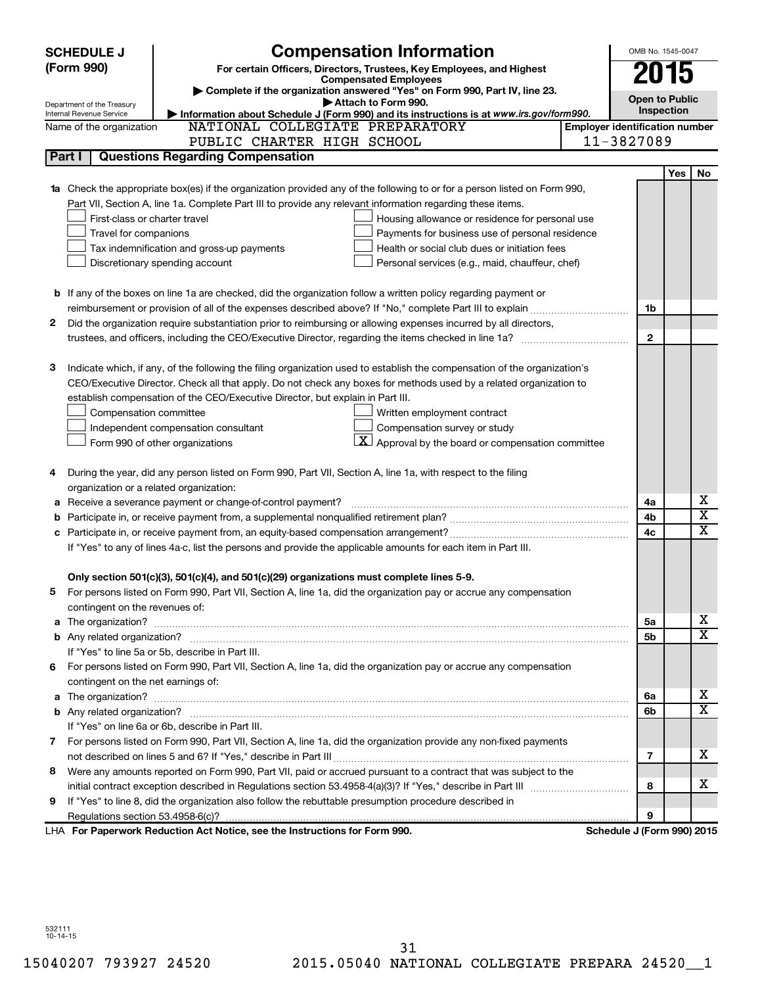|    | <b>SCHEDULE J</b>                                      | <b>Compensation Information</b>                                                                                                                                                                               |                                       | OMB No. 1545-0047          |            |                         |
|----|--------------------------------------------------------|---------------------------------------------------------------------------------------------------------------------------------------------------------------------------------------------------------------|---------------------------------------|----------------------------|------------|-------------------------|
|    | (Form 990)                                             | For certain Officers, Directors, Trustees, Key Employees, and Highest                                                                                                                                         |                                       |                            |            |                         |
|    |                                                        | <b>Compensated Employees</b>                                                                                                                                                                                  |                                       | 2015                       |            |                         |
|    |                                                        | Complete if the organization answered "Yes" on Form 990, Part IV, line 23.<br>Attach to Form 990.                                                                                                             |                                       | <b>Open to Public</b>      |            |                         |
|    | Department of the Treasury<br>Internal Revenue Service | Information about Schedule J (Form 990) and its instructions is at www.irs.gov/form990.                                                                                                                       |                                       | Inspection                 |            |                         |
|    | Name of the organization                               | NATIONAL COLLEGIATE PREPARATORY                                                                                                                                                                               | <b>Employer identification number</b> |                            |            |                         |
|    |                                                        | PUBLIC CHARTER HIGH SCHOOL                                                                                                                                                                                    |                                       | 11-3827089                 |            |                         |
|    | Part I                                                 | <b>Questions Regarding Compensation</b>                                                                                                                                                                       |                                       |                            |            |                         |
|    |                                                        |                                                                                                                                                                                                               |                                       |                            | <b>Yes</b> | No                      |
|    |                                                        | Check the appropriate box(es) if the organization provided any of the following to or for a person listed on Form 990,                                                                                        |                                       |                            |            |                         |
|    |                                                        | Part VII, Section A, line 1a. Complete Part III to provide any relevant information regarding these items.                                                                                                    |                                       |                            |            |                         |
|    | First-class or charter travel                          | Housing allowance or residence for personal use                                                                                                                                                               |                                       |                            |            |                         |
|    | Travel for companions                                  | Payments for business use of personal residence                                                                                                                                                               |                                       |                            |            |                         |
|    |                                                        | Health or social club dues or initiation fees<br>Tax indemnification and gross-up payments                                                                                                                    |                                       |                            |            |                         |
|    |                                                        | Discretionary spending account<br>Personal services (e.g., maid, chauffeur, chef)                                                                                                                             |                                       |                            |            |                         |
|    |                                                        |                                                                                                                                                                                                               |                                       |                            |            |                         |
|    |                                                        | <b>b</b> If any of the boxes on line 1a are checked, did the organization follow a written policy regarding payment or                                                                                        |                                       |                            |            |                         |
|    |                                                        |                                                                                                                                                                                                               |                                       | 1b                         |            |                         |
| 2  |                                                        | Did the organization require substantiation prior to reimbursing or allowing expenses incurred by all directors,                                                                                              |                                       |                            |            |                         |
|    |                                                        | trustees, and officers, including the CEO/Executive Director, regarding the items checked in line 1a?                                                                                                         |                                       | $\mathbf{2}$               |            |                         |
|    |                                                        |                                                                                                                                                                                                               |                                       |                            |            |                         |
| з  |                                                        | Indicate which, if any, of the following the filing organization used to establish the compensation of the organization's                                                                                     |                                       |                            |            |                         |
|    |                                                        | CEO/Executive Director. Check all that apply. Do not check any boxes for methods used by a related organization to                                                                                            |                                       |                            |            |                         |
|    |                                                        | establish compensation of the CEO/Executive Director, but explain in Part III.                                                                                                                                |                                       |                            |            |                         |
|    | Compensation committee                                 | Written employment contract                                                                                                                                                                                   |                                       |                            |            |                         |
|    |                                                        | Compensation survey or study<br>Independent compensation consultant                                                                                                                                           |                                       |                            |            |                         |
|    |                                                        | $ \mathbf{X} $ Approval by the board or compensation committee<br>Form 990 of other organizations                                                                                                             |                                       |                            |            |                         |
|    |                                                        |                                                                                                                                                                                                               |                                       |                            |            |                         |
| 4  |                                                        | During the year, did any person listed on Form 990, Part VII, Section A, line 1a, with respect to the filing                                                                                                  |                                       |                            |            |                         |
|    | organization or a related organization:                |                                                                                                                                                                                                               |                                       |                            |            | х                       |
| а  |                                                        | Receive a severance payment or change-of-control payment?                                                                                                                                                     |                                       | 4a                         |            | $\overline{\textbf{x}}$ |
| b  |                                                        |                                                                                                                                                                                                               |                                       | 4b                         |            | x                       |
|    |                                                        |                                                                                                                                                                                                               |                                       | 4c                         |            |                         |
|    |                                                        | If "Yes" to any of lines 4a-c, list the persons and provide the applicable amounts for each item in Part III.                                                                                                 |                                       |                            |            |                         |
|    |                                                        |                                                                                                                                                                                                               |                                       |                            |            |                         |
|    |                                                        | Only section 501(c)(3), 501(c)(4), and 501(c)(29) organizations must complete lines 5-9.<br>For persons listed on Form 990, Part VII, Section A, line 1a, did the organization pay or accrue any compensation |                                       |                            |            |                         |
| b. | contingent on the revenues of:                         |                                                                                                                                                                                                               |                                       |                            |            |                         |
| a  |                                                        |                                                                                                                                                                                                               |                                       | 5a                         |            | х                       |
|    |                                                        |                                                                                                                                                                                                               |                                       | 5b                         |            | X                       |
|    |                                                        | If "Yes" to line 5a or 5b, describe in Part III.                                                                                                                                                              |                                       |                            |            |                         |
|    |                                                        | 6 For persons listed on Form 990, Part VII, Section A, line 1a, did the organization pay or accrue any compensation                                                                                           |                                       |                            |            |                         |
|    | contingent on the net earnings of:                     |                                                                                                                                                                                                               |                                       |                            |            |                         |
| а  |                                                        |                                                                                                                                                                                                               |                                       | 6а                         |            | х                       |
|    |                                                        |                                                                                                                                                                                                               |                                       | 6b                         |            | X                       |
|    |                                                        | If "Yes" on line 6a or 6b, describe in Part III.                                                                                                                                                              |                                       |                            |            |                         |
|    |                                                        | 7 For persons listed on Form 990, Part VII, Section A, line 1a, did the organization provide any non-fixed payments                                                                                           |                                       |                            |            |                         |
|    |                                                        |                                                                                                                                                                                                               |                                       | 7                          |            | x                       |
| 8  |                                                        | Were any amounts reported on Form 990, Part VII, paid or accrued pursuant to a contract that was subject to the                                                                                               |                                       |                            |            |                         |
|    |                                                        |                                                                                                                                                                                                               |                                       | 8                          |            | x                       |
| 9  |                                                        | If "Yes" to line 8, did the organization also follow the rebuttable presumption procedure described in                                                                                                        |                                       |                            |            |                         |
|    |                                                        |                                                                                                                                                                                                               |                                       | 9                          |            |                         |
|    |                                                        | LHA For Paperwork Reduction Act Notice, see the Instructions for Form 990.                                                                                                                                    |                                       | Schedule J (Form 990) 2015 |            |                         |

532111 10-14-15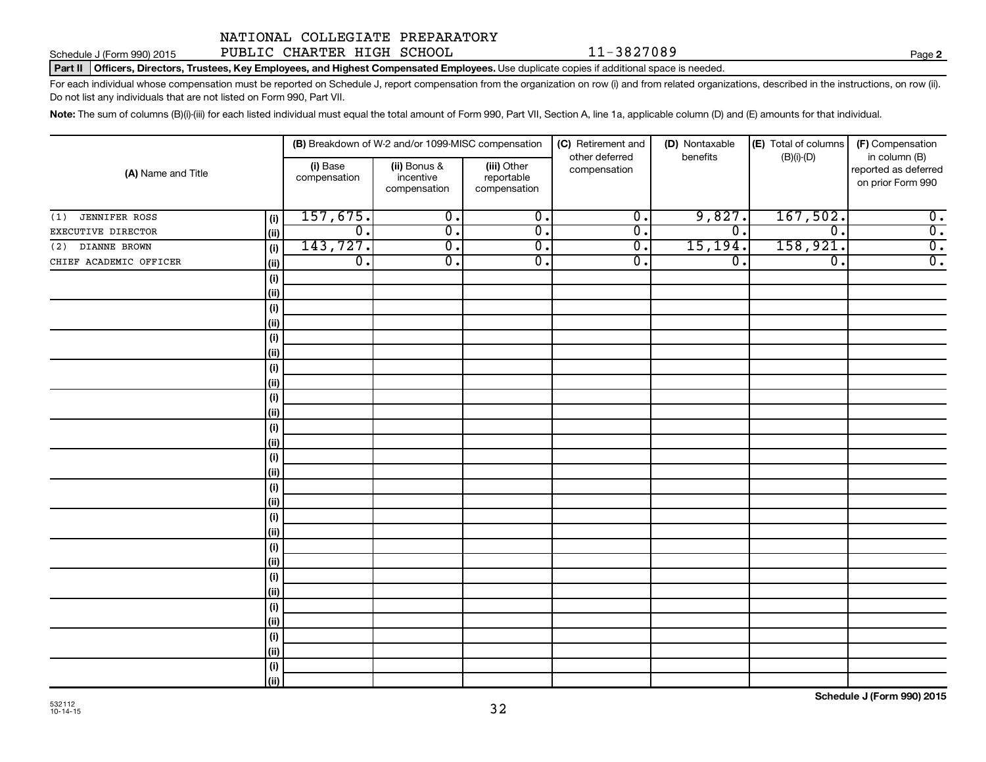Schedule J (Form 990) 2015 Page PUBLIC CHARTER HIGH SCHOOL 11-3827089

Part II | Officers, Directors, Trustees, Key Employees, and Highest Compensated Employees. Use duplicate copies if additional space is needed.

For each individual whose compensation must be reported on Schedule J, report compensation from the organization on row (i) and from related organizations, described in the instructions, on row (ii). Do not list any individuals that are not listed on Form 990, Part VII.

Note: The sum of columns (B)(i)-(iii) for each listed individual must equal the total amount of Form 990, Part VII, Section A, line 1a, applicable column (D) and (E) amounts for that individual.

| (A) Name and Title          |              |                          | (B) Breakdown of W-2 and/or 1099-MISC compensation |                                           | (C) Retirement and             | (D) Nontaxable   | (E) Total of columns        | (F) Compensation                                           |  |
|-----------------------------|--------------|--------------------------|----------------------------------------------------|-------------------------------------------|--------------------------------|------------------|-----------------------------|------------------------------------------------------------|--|
|                             |              | (i) Base<br>compensation | (ii) Bonus &<br>incentive<br>compensation          | (iii) Other<br>reportable<br>compensation | other deferred<br>compensation | benefits         | $(B)(i)-(D)$                | in column (B)<br>reported as deferred<br>on prior Form 990 |  |
| <b>JENNIFER ROSS</b><br>(1) | (i)          | 157,675.                 | $\overline{0}$ .                                   | $\overline{\mathfrak{o}}$ .               | $\overline{\mathfrak{o}}$ .    | 9,827.           | 167,502.                    | $\overline{0}$ .                                           |  |
| EXECUTIVE DIRECTOR          | (ii)         | $\overline{0}$ .         | σ.                                                 | $\overline{0}$ .                          | $\overline{0}$ .               | $\overline{0}$ . | $\overline{0}$ .            | $\overline{0}$ .                                           |  |
| DIANNE BROWN<br>(2)         | (i)          | 143,727.                 | $\overline{0}$ .                                   | σ.                                        | $\overline{0}$ .               | 15, 194.         | 158,921.                    | $\overline{0}$ .                                           |  |
| CHIEF ACADEMIC OFFICER      | (ii)         | $\overline{0}$ .         | $\overline{0}$ .                                   | $\overline{0}$ .                          | $\overline{\mathfrak{o}}$ .    | $\overline{0}$ . | $\overline{\mathfrak{o}}$ . | $\overline{0}$ .                                           |  |
|                             | (i)          |                          |                                                    |                                           |                                |                  |                             |                                                            |  |
|                             | $\vert$ (ii) |                          |                                                    |                                           |                                |                  |                             |                                                            |  |
|                             | (i)          |                          |                                                    |                                           |                                |                  |                             |                                                            |  |
|                             | (ii)         |                          |                                                    |                                           |                                |                  |                             |                                                            |  |
|                             | (i)          |                          |                                                    |                                           |                                |                  |                             |                                                            |  |
|                             | (ii)         |                          |                                                    |                                           |                                |                  |                             |                                                            |  |
|                             | (i)          |                          |                                                    |                                           |                                |                  |                             |                                                            |  |
|                             | (ii)         |                          |                                                    |                                           |                                |                  |                             |                                                            |  |
|                             | (i)          |                          |                                                    |                                           |                                |                  |                             |                                                            |  |
|                             | (ii)         |                          |                                                    |                                           |                                |                  |                             |                                                            |  |
|                             | (i)          |                          |                                                    |                                           |                                |                  |                             |                                                            |  |
|                             | (ii)         |                          |                                                    |                                           |                                |                  |                             |                                                            |  |
|                             | (i)          |                          |                                                    |                                           |                                |                  |                             |                                                            |  |
|                             | (ii)         |                          |                                                    |                                           |                                |                  |                             |                                                            |  |
|                             | (i)          |                          |                                                    |                                           |                                |                  |                             |                                                            |  |
|                             | (ii)         |                          |                                                    |                                           |                                |                  |                             |                                                            |  |
|                             | (i)          |                          |                                                    |                                           |                                |                  |                             |                                                            |  |
|                             | (ii)         |                          |                                                    |                                           |                                |                  |                             |                                                            |  |
|                             | (i)          |                          |                                                    |                                           |                                |                  |                             |                                                            |  |
|                             | (ii)         |                          |                                                    |                                           |                                |                  |                             |                                                            |  |
|                             | (i)          |                          |                                                    |                                           |                                |                  |                             |                                                            |  |
|                             | (ii)         |                          |                                                    |                                           |                                |                  |                             |                                                            |  |
|                             | (i)          |                          |                                                    |                                           |                                |                  |                             |                                                            |  |
|                             | $\vert$ (ii) |                          |                                                    |                                           |                                |                  |                             |                                                            |  |
|                             | (i)          |                          |                                                    |                                           |                                |                  |                             |                                                            |  |
|                             | $\vert$ (ii) |                          |                                                    |                                           |                                |                  |                             |                                                            |  |
|                             | (i)          |                          |                                                    |                                           |                                |                  |                             |                                                            |  |
|                             | (ii)         |                          |                                                    |                                           |                                |                  |                             |                                                            |  |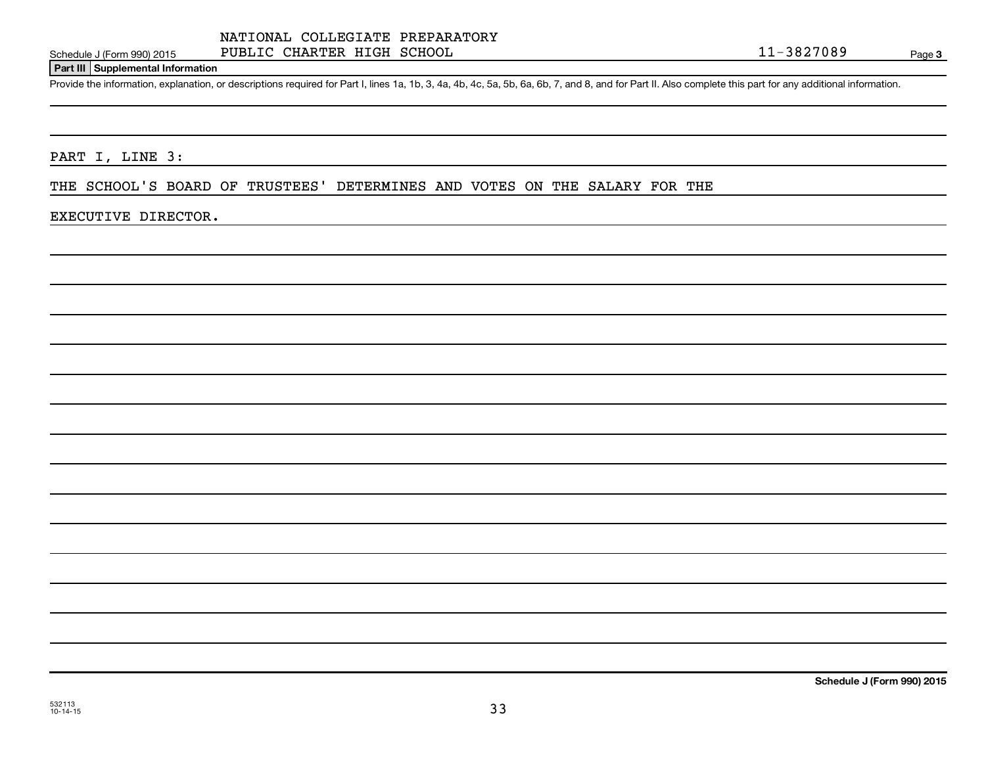### Schedule J (Form 990) 2015 Page PUBLIC CHARTER HIGH SCHOOL 11-3827089

Page 3

#### **Part III Supplemental Information**

Provide the information, explanation, or descriptions required for Part I, lines 1a, 1b, 3, 4a, 4b, 4c, 5a, 5b, 6a, 6b, 7, and 8, and for Part II. Also complete this part for any additional information.

PART I, LINE 3:

THE SCHOOL'S BOARD OF TRUSTEES' DETERMINES AND VOTES ON THE SALARY FOR THE

#### EXECUTIVE DIRECTOR.

**Schedule J (Form 990) 2015**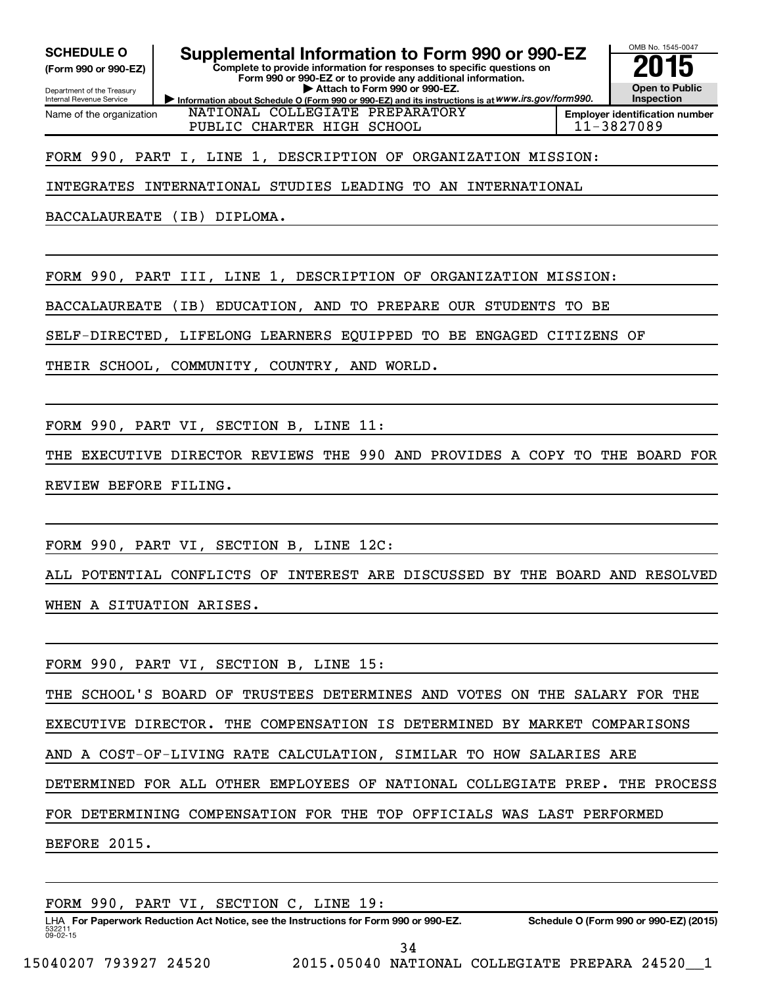#### **(Form 990 or 990-EZ)**

Department of the Treasury Internal Revenue Service Name of the organization

# SCHEDULE O **Supplemental Information to Form 990 or 990-EZ** 2015<br>(Form 990 or 990-EZ) Complete to provide information for responses to specific questions on

**Complete to provide information for responses to specific questions on Form 990 or 990-EZ or to provide any additional information. | Attach to Form 990 or 990-EZ.**

**Information about Schedule O (Form 990 or 990-EZ) and its instructions is at WWW.irs.gov/form990.** NATIONAL COLLEGIATE PREPARATORY PUBLIC CHARTER HIGH SCHOOL 11-3827089



**Employer identification number**

#### FORM 990, PART I, LINE 1, DESCRIPTION OF ORGANIZATION MISSION:

INTEGRATES INTERNATIONAL STUDIES LEADING TO AN INTERNATIONAL

BACCALAUREATE (IB) DIPLOMA.

FORM 990, PART III, LINE 1, DESCRIPTION OF ORGANIZATION MISSION:

BACCALAUREATE (IB) EDUCATION, AND TO PREPARE OUR STUDENTS TO BE

SELF-DIRECTED, LIFELONG LEARNERS EQUIPPED TO BE ENGAGED CITIZENS OF

THEIR SCHOOL, COMMUNITY, COUNTRY, AND WORLD.

FORM 990, PART VI, SECTION B, LINE 11:

THE EXECUTIVE DIRECTOR REVIEWS THE 990 AND PROVIDES A COPY TO THE BOARD FOR REVIEW BEFORE FILING.

FORM 990, PART VI, SECTION B, LINE 12C:

ALL POTENTIAL CONFLICTS OF INTEREST ARE DISCUSSED BY THE BOARD AND RESOLVED WHEN A SITUATION ARISES.

FORM 990, PART VI, SECTION B, LINE 15:

THE SCHOOL'S BOARD OF TRUSTEES DETERMINES AND VOTES ON THE SALARY FOR THE EXECUTIVE DIRECTOR. THE COMPENSATION IS DETERMINED BY MARKET COMPARISONS AND A COST-OF-LIVING RATE CALCULATION, SIMILAR TO HOW SALARIES ARE DETERMINED FOR ALL OTHER EMPLOYEES OF NATIONAL COLLEGIATE PREP. THE PROCESS FOR DETERMINING COMPENSATION FOR THE TOP OFFICIALS WAS LAST PERFORMED

BEFORE 2015.

532211  $09 - 02 - 15$ LHA For Paperwork Reduction Act Notice, see the Instructions for Form 990 or 990-EZ. Schedule O (Form 990 or 990-EZ) (2015) FORM 990, PART VI, SECTION C, LINE 19: